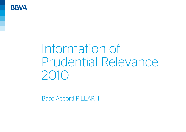

# Information of Prudential Relevance 2010

Base Accord PILLAR III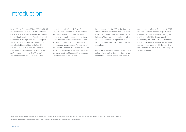## **Introduction**

Bank of Spain Circular 3/2008 of 22 May 2008 and its amendment 9/2010 of 22 December (hereinafter, the Solvency Circular) represents the final implementation for Spanish financial institutions of the legislation on bank capital and supervision of credit institutions on a consolidated basis, laid down in Spanish Law 13/1985 of 25 May 1985 on *Financial intermediary investment ratios, bank capital and reporting requirements of financial intermediaries* and other financial system

regulations, and in Spanish Royal Decree 216/2008 of 15 February 2008 on *Financial institutions' own funds*. These two laws together represent the adaptation of Spanish credit institutions to Community Directives 2006/48/EC of 14 June 2006 *relating to the taking up and pursuit of the business of credit institutions* and 2006/49/EC of 14 June 2006 *on the capital adequacy of investment firms and credit institutions*, of the European Parliament and of the Council.

In accordance with Rule 109 of the Solvency Circular, financial institutions have to publish a document called "Information of Prudential Relevance" including the contents stipulated in chapter eleven of said regulation. This report has been drawn up in keeping with said stipulations.

According to what has been laid down in the policy defined by the Group for drawing up the Information of Prudential Relevance, the

content herein refers to December 31, 2010 and was approved by the Group's Audit and Compliance Committee, in its meeting held on March 28, 2011, having previously been reviewed by the External Auditor. Said review has not revealed any material discrepancies concerning compliance with the reporting requirements laid down in the Bank of Spain Solvency Circular.

Note: All figures have been rounded to present the amounts in million euros. As a result, the amounts appearing in some tables may not be the arithmetical sum of the preceding figures.

Translation of a report originally issued in Spanish, in the event of a discrepancy, the Spanish original version prevails.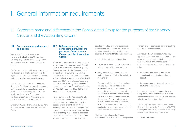## 1. General information requirements

## 1.1. Corporate name and differences in the Consolidated Group for the purposes of the Solvency Circular and the Accounting Circular

#### 1.1.1. Corporate name and scope of application

Banco Bilbao Vizcaya Argentaria, S.A. (hereinafter, the Bank or BBVA) is a privatelaw entity subject to the rules and regulations governing banking institutions operating in Spain.

The Bylaws and other public information about the Bank are available for consultation at its registered address (Plaza San Nicolás, 4 Bilbao) and on its official website: www.bbva.com.

In addition to the transactions it carries out directly, the Bank heads a group of subsidiaries, jointly-controlled and associate institutions which perform a wide range of activities and which, together with the Bank, constitutes the Banco Bilbao Vizcaya Argentaria Group (hereinafter, the Group or BBVA Group).

Circular 3/2008 and its amendment 9/2010 are binding at a consolidated level for the entire Group.

#### 1.1.2. Differences among the consolidated group for the purposes of the Solvency Circular and the Accounting **Circular**

The Group's consolidated financial statements are drawn up in accordance with what is laid down in the International Financial Reporting Standards adopted by the European Union (hereinafter, "IFRS-EU"). The IFRS-EU were adapted to the Spanish credit institution sector in Spain via Bank of Spain Circular 4/2004 of 22 December 2004 (hereinafter, the Accounting Circular) as well as through its subsequent amendments, including Bank of Spain Circulars 6/2008 of 26 November 2008, 3/2010 of 29 June and 8/2010 of 30 November.

For the purposes of the Accounting Circular, companies will be considered to form part of a consolidated group when the controlling institution holds or can hold, directly or indirectly, control of them. For these purposes, an institution is understood to control another when it has the power to direct its policies as regards finance and the pursuit of its business in order to obtain economic profit from its

activities. In particular, control is presumed to exist when the controlling institution has a relationship with another, which is termed dependent, in some of the following situations:

- It holds the majority of voting rights.
- It is entitled to appoint or dismiss the majority of the members of its governing body.
- By agreements subscribed with other partners, it can avail itself of the majority of voting rights.
- Exclusively with its votes, it has appointed the majority of the members of the governing body who are undertaking their responsibilities at the time the consolidated accounts must be drawn up and during the two fiscal years immediately preceding that moment. This case will not give rise to consolidation if the company whose directors have been appointed is bound to another in any of the cases described in the first two bullets of this section.

Therefore, in drawing up the Group's consolidated financial statements, all dependent companies have been consolidated by applying the full consolidation method.

Alternatively, the Group's accounting policy applied to jointly-controlled entities (those which are not dependent and are jointly-controlled under contractual agreement through unanimous consent of the equity holders) is as follows:

- Jointly-controlled financial entities: the proportionate consolidation method is applied.
- Jointly-controlled non-financial entities: the equity method is applied.

Moreover, associates, those upon which the Group holds a significant influence but which are neither dependent nor jointly-controlled, are valued using the equity method.

Alternatively, for the purposes of the Solvency Circular, as is described in Spanish Law 36/2007, heading two, section 3.4, the consolidated group will comprise the following subsidiaries:

• Credit institutions.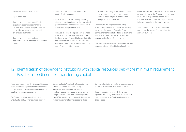- Investment services companies.
- Open-end funds.
- Companies managing mutual funds, together with companies managing pension funds, whose sole purpose is the administration and management of the aforementioned funds.
- Companies managing mortgage securitization funds and asset securitization funds.
- Venture capital companies and venture capital funds managers.
- Institutions whose main activity is holding shares or investments, unless they are mixed portfolio financial corporations supervised at the financial conglomerate level.

Likewise, the special-purpose entities whose main activity implies a prolongation of the business of any of the institutions included in the consolidation, or includes the rendering of back-office services to these, will also form part of the consolidated group.

However, according to the provisions of this law, insurance entities and some service firms will not form part of consolidated groups of credit institutions.

Therefore, for the purposes of calculating solvency requirements, and hence the drawing up of this Information of Prudential Relevance, the perimeter of consolidated institutions is different from the perimeter defined for the purposes of drawing up the Group's financial statements.

The outcome of the difference between the two regulations is that 69 institutions, largely real

estate, insurance and service companies, which are consolidated in the Group's annual accounts by the full or proportionate consolidation method, are consolidated for the purposes of Solvency by applying the equity method.

The Annexes contain a list of the entities comprising the scope of consolidation for solvency purposes.

## 1.2. Identification of dependent institutions with capital resources below the minimum requirement. Possible impediments for transferring capital

There is no institution in the Group not included in the consolidated group under the Solvency Circular whose capital resources are below the regulatory minimum requirement.

The Group operates in Spain, Mexico, the United States and 30 other countries, largely in Europe and Latin America. The Group's banking subsidiaries around the world are subject to supervision and regulation by a number of regulatory bodies with respect to issues such as compliance with a minimum level of regulatory capital. The obligation to comply with these capital requirements may affect the capacity of these

banking subsidiaries to transfer funds to the parent company via dividends, loans or other means.

In some jurisdictions in which the Group operates, the law lays down that dividends may only be paid with the funds legally available for this purpose.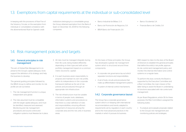## 1.3. Exemptions from capital requirements at the individual or sub-consolidated level

In keeping with the provisions of Rule Five of the Solvency Circular, on the exemption from individual or consolidated compliance with the aforementioned Rule for Spanish credit

institutions belonging to a consolidable group, the Group obtained exemption from the Bank of Spain on December 30, 2009 for the following companies:

- Banco Industrial de Bilbao, S. A.
- Banco de Promoción de Negocios, S.A.
- BBVA Banco de Financiación, S.A.
- **Banco Occidental, S.A.**
- Finanzia Banco de Crédito, S.A.

### 1.4. Risk management policies and targets

#### 1.4.1. General principles in risk management

The aim of Global Risk Management is to preserve the Group's capital adequacy level, support the definition of its strategy and help the business to develop.

The general guiding principles followed by the BBVA Group to define and monitor its risk profile are set out below:

- 1. The risk management function is unique, independent and global.
- 2. The risks assumed must be compatible with the target capital adequacy and must be identified, measured and assessed. Monitoring and risk management procedures and sound control and mitigation systems must likewise be in place.
- 3. All risks must be managed integrally during their life cycle, being treated differently depending on their type and with active portfolio management based on a common metric (economic capital).
- 4. It is each business area's responsibility to propose and maintain its own risk profile, within its independence in the corporate framework (defined as the set of risk policies and procedures) through an appropriate risk infrastructure.
- 5. The risk infrastructure must be suitable in terms of people, tools, databases, information systems and procedures so that there is a clear definition of roles and responsibilities, ensuring efficient assignment of resources among the corporate area and the risk units in business areas.

On the basis of these principles, the Group has developed a global risk management system which is structured around three components:

- A corporate risk governance lay-out which separates functions and responsibilities.
- A set of tools, circuits and procedures that make up differentiated management systems.
- A system of internal control mechanisms.

#### 1.4.2. Corporate governance layout

The Group has a corporate governance system which is in keeping with international recommendations and trends, adapted to requirements set by regulators in each country and to the most advanced practices in the markets in which it pursues its business.

With respect to risks it is the duty of the Board of Directors to establish the general principles that define the entity's risk profile, approve its risk control and management policy, and monitor the internal information and control systems on a regular basis.

To perform this duty correctly the Board is supported by the Executive Committee and a Risk Committee, the main mission of the latter being to assist the Board in undertaking its functions associated with risk control and management.

As per Board Regulations, article 39, for these purposes, the Risk Committee is assigned the following duties:

• To analyze and evaluate proposals related to the Group's risk management and monitoring policies and strategies.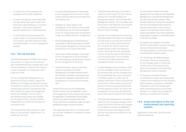- To monitor the match between risks accepted and the profile established.
- To assess and approve, where applicable, any risks whose size could compromise the Group's capital adequacy or recurrent earnings, or that present significant potential operational or reputational risks.
- To check that the Group possesses the means, systems, structures and resources in accordance with best practices to allow the implementation of its risk management strategy.

#### 14.3. The risk function

Global Risk Management (GRM) is the Group's risk function. It is made up of an extensive team of professionals who manage risks in the various businesses, companies and countries in which it operates, as a single team with a single risk model.

The aim of Global Risk Management is to preserve the Group's solvency, support the definition of its strategy and help the business to develop. It is made up of the risk units of the business areas and the Corporate Risk Area, which defines the global risk management policies and strategies. The risk units in the business areas propose and maintain the risk profile of their customer portfolios independently, but within the framework of corporate activity.

The Corporate Risk Area combines a vision based on risk type with a global vision. It is divided into five units:

- Corporate Risk Management: responsible for the management and control of credit market, technical, structural, real estate and non-banking risks.
- Validation & Control: takes on the management of the internal control model and operational risk, the internal validation of the risk measurement and risk admission models and GRM production management.
- Structural Management & Asset Allocation: responsible for defining the target risk profile and the global management of risks assumed by the Group in the course of its activity.
- Technology & Methodologies: responsible for the management of the technological and methodological developments required for risk management in the Group.
- Technical Secretary: carries out technical checks on proposals for the Risk Management Committee (defined below) and the Risk Committee, and prepares and promotes the regulations applicable to the management of social and environmental risks.

Using this structure, the risk management function assures, first, the integration, control and management of all the Group's risks; second, the application of standardized risk principles, policies and metrics throughout the entire Group; and third, the necessary insight into each geographical region and each business.

This organizational scheme is complemented by a number of different committees, including the following:

- The Global Asset Allocation Committee is made up of the Group's COO, the Financial director, the Corporate Strategy and Development director and the Global Risk Management director. This committee plans the process of risk admission and proposes an objective risk profile to the Board of Directors' Risk Committee.
- The task of the Global Internal Control and Operational Risk Committee is to undertake a review at the Group level and of each of its units, of the control environment and the running of the internal control and operational risk models, and likewise to monitor and locate the main operational risks the Group has open, including those of a transversal nature. This committee is therefore the highest operational risk management body in the Group.
- The Risk Management Committee is made up of the managers of the risk units from the business areas and the managers from the Corporate Risk Area units. Among the committee's duties is to define the risk strategy (particularly in terms of the policies and structure of the Group's function) and present it to the Group's governing bodies for their approval, monitor risk control and management in the Group and adopt any actions that may be required in this respect.
- The Global Risk Management Committee is made up of the corporate managers of the Group's risk function and the risk managers in the different countries and WB&AM. It reviews the Group's risk strategy and the the main risk projects and initiatives in the business areas.
- The permanent members of the Risk Management Committee are: the Global Risk Management, Corporate Risk Management and Technical Secretary directors. Other members attend according to the operations that are to be analyzed at each session. It analyzes and decides on those financial programs and operations that lie within its powers and debates those that exceed them. If appropriate, it passes on a favorable opinion to the Risk Committee.
- The Assets and Liabilities Committee (ALCO) is responsible for actively managing structural interest-rate and foreignexchange positions, as well as the Group's overall liquidity and bank capital.
- The Technology and Methodologies Committee is the forum that decides on the coverage needs of models and infrastructures in the business areas within the framework of the Global Risk Management model of operation.
- The functions of the New Products Committee are to assess, and if appropriate to approve, the introduction of new products before activities commence; to undertake subsequent control and monitoring for newly authorized products; and to foster business in an orderly way to enable it to develop in a controlled environment.

#### 1.4.4. Scope and nature of the risk measurement and reporting systems

Depending on their type, risks fall into the following categories: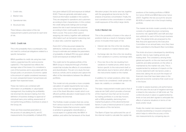- 1. Credit risks.
- 2. Market risks.
- 3. Operational risks.
- 4. Structural risks.

There follows a description of the risk measurement systems and tools for each kind of risk.

#### 1441 Credit risk

This is the probability that a counterparty may not meet its contractual obligations related to a specific transaction.

BBVA quantifies its credit risk using two main metrics: expected loss (EL) and economic capital (EC). The expected loss reflects the average value of the losses. It is considered a cost of the business and is associated with the Group's policy on provisions. Economic capital is the amount of capital considered necessary to cover unexpected losses if actual losses are greater than expected losses.

These risk metrics are combined with information on profitability in value-based management, thus building the profitabilityrisk binomial into decision-making, from the definition of business strategy to approval of individual loans, price setting, assessment of non-performing portfolios, incentives to areas in the Group, etc.

There are three essential parameters in the process of calculating the EL and EC measurements: the probability of default (PD), loss given default (LGD) and exposure at default (EAD). These are generally estimated using historical information available in the systems. They are assigned to operations and customers according to their characteristics. In this context, the credit rating tools (ratings and scorings) assess the risk in each transaction/customer according to their credit quality by assigning them a score. This score is then used in assigning risk metrics, together with additional information such as transaction seasoning, loan to value ratio, customer segment, etc.

Point 4.5.1.7. of this document details the definitions, methods and data used by the Group to estimate and validate the parameters of probability of default (PD), loss given default (LGD) and exposure at default (EAD).

The credit risk for the global portfolio of the BBVA Group is measured through a Portfolio model that includes the effects of concentration and diversification. The aim is to study the loan book as a whole, and to analyze and capture the effect of the interrelations between the different portfolios.

This model not only provides a more complete calculation of capital requirements, but is also a key tool for credit risk management. It is a core of the Asset Allocation model, which is an efficient portfolio allocation model based on the profitability-risk binomial.

The Portfolio model considers that risk comes from various sources (it is a multi-factor model). This feature implies that economic capital is sensitive to geographic diversification, a crucial aspect in a global entity like BBVA. In addition, and within the framework of the Asset Allocation project, the sector axis has, together with the geographical, become key for the analysis of business concentration. Finally, the tool is sensitive to the concentration in certain credit exposures of the entity's large clients.

#### 1442 Market risk

This is the possibility of losses in the value of positions held as a result of changing market prices. It includes three types of risk:

- Interest rate risk: this is the risk resulting from variations in market interest rates.
- Exchange rate risk: this is the risk resulting from variations in currency exchange rates.
- Price risk: this is the risk resulting from variations in market prices, either due to factors specific to the instrument itself, or alternatively due to factors which affect all the instruments traded on the market.

In addition, for certain positions, other risks also need to be considered: credit spread risk, basis risk, volatility or correlation risk.

The basic measurement model used is that of value-at-risk (VaR), which provides a forecast of the maximum loss that can be incurred by trading portfolios in a one-day horizon, with a 99% probability, stemming from market fluctuations of the aforementioned factors. It uses a historical period of 2 years of observations of the risk factors.

The Bank of Spain has authorized the use of the internal model to calculate the capital risk

positions of the trading portfolios of BBVA S.A. (since 2004) and BBVA Bancomer (since 2007). Together, the two account for around 80-90% of market risk in the Group's trading portfolio.

The market risk limits model currently in force consists of a global structure comprising economic risk capital (ERC) and VaR and *stoploss sublimits* for each of the Group's business units. The global limits are proposed by the Risk Area and approved by the Executive Committee on an annual basis, once they have been submitted to the Board's Risk Committee.

This limits structure is developed by identifying specific risks by type, trading activity and trading desk. The consistency among limits: global and specific on the one hand and VaR sublimits and delta sensitivity on the other, is maintained by the market risk units. This is supplemented by analyses of impacts on the income statement with risk factors under a stress test, taking into account the impact of financial crises that have taken place in the past and economic scenarios that could occur in the future.

In order to assess business unit performance over the year, the accrual of negative earnings is linked to the reduction of VaR limits set. The control structure in place is supplemented by limits on loss and alert signals to anticipate the effects of adverse situations in terms of risk levels and/or result.

Finally, the market risk measurement model includes *backtesting* or ex-post comparison*,* which helps to refine the accuracy of the risk measurements by comparing day-on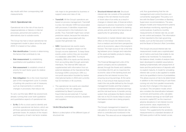day results with their corresponding VaR measurements.

#### 1.4.4.3. Operational risk

Operational risk is the risk of loss due to inappropriateness or failures in internal processes, personnel and systems, or alternatively due to outside events.

The Group has had a robust operational risk management model in place since the year 2000. It is based on four pillars:

- Risk identification: Consists in determining the factors that contribute to risk.
- Risk measurement: by establishing quantitative and qualitative metrics.
- **Risk assessment:** to establish a level of priority for each factor given its relative importance.
- Risk mitigation: this is the most important part of the management cycle. It consists of putting into practice a set of measures, such as improvements in controls or changes in processes, that reduce risk.

To carry out this task, BBVA has several tools already running that cover both qualitative and quantitative aspects of operational risk:

• Ev-Ro. Ev-Ro is a tool used to identify and prioritize operational risk factors, which are all those operational weaknesses that can generate losses. An analysis of the impact and frequency of each risk factor enables

risk maps to be generated by business or support areas and class of risk.

- TransVaR. All the Group's operations are based on process management. TransVaR is a key risk indicator (*KRI*) tool associated with processes. It identifies impairment or improvement in the Institution's risk profile. Thus TransVaR might have certain predictive nature, because the indicators used are always associated with the causes that generate risk.
- SIRO. Operational risk events nearly always have a negative impact on the Group's income statement. To keep these events under control, they are recorded in a database called SIRO. To ensure reliability, 95% of its inputs are fed directly from accounting data through automatic interfaces. The internal SIRO data are supplemented with information from an external database at the Operational Risk Exchange (ORX) consortium. ORX is a non-profit association founded by twelve international banks in 2002 and currently has 53 members in 18 countries.
- The operational risk events are classified according to the risk categories established by Basel II: processes, fraud (internal and external), IT, human resources, commercial practices, disasters and suppliers.

#### 1.4.4.4. Structural risks

Below is a description of the different types of structural risk:

• Structural interest-rate risk Structural interest-rate risk consists of the potential change in the net interest income and/ or book value of an entity as a result in changes in interest rates. A financial entity's exposure to adverse movements in market rates represents a risk inherent to banking activity, and at the same time becomes an opportunity for generating value.

Movements in market interest rates have an effect on the Group's net interest income, from a medium and short-term perspective, and on its economic value in the long-term horizon. The main source of risk is the time lag between price changes and maturities of the asset and liability products making up the banking book.

The Financial Management units of the parent company and its subsidiaries abroad, through the Assets and Liabilities Committee (ALCO), aim to maximize the economic value of the banking book and preserve the net interest income, thus ensuring recurring earnings. At the same time, it must ensure that exposure levels match the risk profile defined by the Group's management bodies and that a balance is maintained between expected earnings and the risk level borne. A transfer pricing system that centralizes the Bank's interestrate risk on ALCO's books helps to assure that balance-sheet risk is being properly managed.

The Group's management is based on calculations of structural interest-rate risk, which is controlled and monitored in the Risk area. This area acts as an independent unit, thus guaranteeing that the risk management and control functions are conveniently segregated. This policy is in line with the Basel Committee on Banking Supervision recommendations. The area designs models and measurement systems and develops monitoring, reporting and control policies. It performs monthly measurements of interest rate risk, as well as risk control and analysis. This information is then reported to the main governing bodies, such as the Executive Committee and the Board of Director's Risk Committee.

The Group's structural interest-rate risk measurement model uses a sophisticated set of metrics and tools that enable its risk profile to be monitored. To characterize the balance sheet, models of analysis have been developed to establish assumptions dealing fundamentally with prepayment of loans and the performance of deposits with no explicit maturity. A model for simulating interest rate curves is also applied to enable risk to be quantified in terms of probabilities. This allows sources of risk to be determined in addition to the mismatching of cash flows coming not only from parallel movements but also from changes in the slope and curvature. This simulation model, which also considers the diversification between currencies and business units, calculates the net interest earnings at risk (EaR) and economic capital (EC) as the maximum adverse deviations in net interest income and economic value, respectively, for a particular confidence level and time horizon. This supplements the sensitivity measurements to a standard deviation of 100 basis points in all the market curves.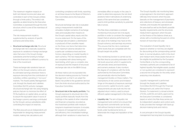The maximum negative impacts on both net interest income and value, are controlled in each of the Group's entities through a limits policy. The entity's risk appetite, as determined by the Executive Committee, is expressed through the limit structure, which is one of the mainstays of control policies.

The risk measurement model is supplemented by analysis of specific scenarios and stress tests.

• Structural exchange-rate risk. Structural exchange-rate risk is basically caused by exposure to variations in foreign exchange rates that arise in the Group's foreign subsidiaries and the funding to foreign branches financed in a different currency to that of the investment.

These exchange-rate variations have an effect on the Group's solvency ratios and its estimated earnings whenever there is exposure deriving from the contribution of subsidiary entities operating in "non-euro" markets. The Asset/Liability Management unit, through the Assets and Liabilities Committee (ALCO), actively manages structural exchange rate risk using hedging policies that aim to minimize the effect of FX fluctuations on capital ratios, as well as to assure the equivalent value in euros of the foreign currency earnings contributed by the Group's various subsidiaries while controlling the impact on reserves.

The Risk area acts as an independent unit responsible for designing measurement models, making risk calculations and

controlling compliance with limits, reporting on all these issues to the Board of Director's Risk Committee and to the Executive Committee.

Structural exchange rate risk is evaluated using a measurement model that simulates multiple scenarios of exchange rates and evaluates their impacts on the Group's capital ratios, equity and the income statement. On the basis of this exchange-rate simulation, a distribution is produced of their possible impact on the three core items that determine their maximum adverse deviation for a particular confidence level and time horizon, depending on market liquidity in each currency. The risk measurements are completed with stress testing and back-testing, which give a complete view of exposure and the impacts of structural exchange rate risk on the BBVA Group.

All these metrics are incorporated into the decision-making process by Financial Management, so that it can adapt the Bank's risk profile to the guidelines derived from the limits structure authorized by the Executive Committee.

• Structural risk in the equity portfolio. The Group's exposure to structural risk in the equity portfolio basically results from the holdings in the capital of other industrial and financial companies, recorded as the investment portfolio with medium/ long-term investment horizons. It includes, for reasons of management prudence and efficiency, the consolidated holdings, although their variations in value have no

immediate effect on equity in this case. In order to determine exposure, the net short positions held in derivatives of underlying assets of the same kind are considered, used to limit portfolio sensitivity to potential falls in prices.

The Risk Area undertakes a constant monitoring of structural risk in its equity portfolio in order to constrain the negative impact that an adverse performance of the value of its holdings may have on the Group's solvency and earnings recurrence. This ensures that the risk is maintained within levels that are compatible with the Group's target risk profile.

This monitoring function is carried out by the Risk Area by providing estimates of the risk levels assumed, which it supplements with periodic stress and back-testing and scenario analyses. It also monitors the degree of compliance with the limits authorized by the Executive Committee, and periodically informs the Bank's management bodies on these matters. The mechanisms of risk control and limitation hinge on the aspects of exposure, earnings and economic capital. Economic capital measurements are also built into the riskadjusted return metrics, used to ensure efficient capital management in the Group.

• Liquidity risk. The aim of liquidity risk management and control is to ensure that the payment commitments can be duly met without having to resort to borrowing funds under burdensome terms, or deteriorate the image and reputation of the entity.

The Group's liquidity risk monitoring takes a dual approach: the short-term approach (365-day time horizon), which focuses basically on the management of payments and collections of treasury and wholesale markets, and includes the operations of the area itself as well as the Bank's possible liquidity requirements; and the structural, medium-term approach, which focuses on the finance of the balance sheet as a whole, with a monitoring focused on a time horizon of more than one year.

The evaluation of asset liquidity risk is based on whether or not they are eligible for discounting at the corresponding central bank. In normal situations, both in the short and medium term, those assets that are on the eligible list published by the European Central Bank or by the corresponding monetary authority are considered to be of highest liquidity. Non-eligible assets, quoted or non-quoted, are considered to represent a second line of liquidity for the entity when analyzing crisis situations.

Liquidity management is performed through the Assets and Liabilities Committee (ALCO) through the Financial Management unit, within the Finance Division. To implement it, a broad scheme of limits, sublimits and alerts, approved by the Executive Committee, is considered, based on which the Risk Area carries out its independent valuation and control work. It also provides the manager with back-up decision-making tools and metrics.

A core principle in the Group's liquidity management has long been to encourage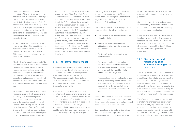the financial independence of its subsidiaries. This aims to ensure that the cost of liquidity is correctly reflected in price formation and that there is sustainable growth in the lending business. Each of the local risk areas, which are independent from the local manager, complies with the corporate principles of liquidity risk control that are established by Global Risk Management, the Structural Risk unit for the entire Group.

For each entity, the management areas request an outline of the quantitative and qualitative limits and alerts for shortmedium- and long-term liquidity risk. This request must be authorized by the Executive Committee.

Also, the Risk Area performs periodic (daily and monthly) risk exposure measurements, develops the related valuation tools and models, conducts periodic stress tests, measures the degree of concentration on interbank counterparties, prepares the policies and procedures manual, and monitors the authorized limits and alerts, which are reviewed al least one time every year.

Information on liquidity risk is sent to the managing areas and Risk Management every day and to the Management Committee at least every week. It is one of the basic items dealt with by all the ALCO in the Group. As established in the Contingency Plan, the Technical Liquidity Group (TLG) conducts an initial analysis of the Bank's short- and long-term liquidity situation in the event of an alert

of a possible crisis. The TLG is made up of experts from the Short-Term Cash Desk Asset/Liability Management and Structural Risks. Any of the three areas has the power to call the TLG to evaluate the situation. If, on analyzing the situation, the limits policy or liquidity indicators suggest that decisions have to be adopted, the TLG immediately submits its evaluation to the Liquidity Committee. The committee, which is made up of directors of the corresponding areas, plans a strategy that is submitted to the Financing Committee, who decide on its implementation. The Financing Committee is made up of the COO and the executive heads of the Bank's business areas and the Risk Area.

#### 14.5. The internal control model

The Group's internal control model is based on the best practices described in the following documents: ""*Enterprise Risk Management – Integrated Framework*" by the COSO ("*Committee of Sponsoring Organizations of the Treadway Commission*) and ""*Framework for Internal Control Systems in Banking Organizations*" by the BIS.

The internal control model is therefore part of the integral risk management framework. This framework is the organizational process within the entity involving its Board of Directors, management and all the staff that is designed to identify the potential risks facing the institution so that they can be managed within established limits, in such a way as to achieve the corporate targets set by the management bodies.

This Integral risk management framework is made up of specialized units (Risks, Compliance, Accounting and Consolidation, Legal Services), the Internal Control Function, Operational Risk and Internal Audit.

The internal control model is underpinned by, amongst others, the following principles:

- The "process" is the articulating axis of the internal control model.
- Risk identification, assessment and mitigation activities must be unique for each process.
- The Group's units are responsible for internal control.
- The systems, tools and information flows that support internal control and operational risk activities must be unique or, in any event, they must be wholly administered by a single unit.
- The specialized units promote policies and draw up internal regulations, whose secondlevel development and application is the responsibility of the Corporate Internal Control and Corporate Operational Risk unit.

One of the essential elements in the model is the institution-level controls, a top-level control layer that aims to reduce the severity of overall risk inherent in its business activities.

Each unit's Internal Control and Operational Risk management is responsible for implementing the control model within its

scope of responsibility and managing the existing risk by proposing improvements to processes.

Given that some units have a global scope of responsibility, there are transversal control functions which supplement the previously mentioned control mechanisms.

Lastly, the Internal Control and Operational Risk Committee in each unit is responsible for approving suitable mitigation plans for each existing risk or shortfall. This committee structure culminates at the Group's Global Internal Control and Operational Risk Committee.

#### 1.4.6. Risk protection and reduction policies. Supervision strategies and processes

The Group applies a credit risk protection and mitigation policy deriving from its business model focused on relationship banking. On this basis, the provision of guarantees is a necessary instrument but one that is not sufficient when taking risks; therefore for the Group to assume risks, it needs to verify the payment or resource generation capacity to comply with repayment of the risk incurred.

The aforementioned is carried out through a prudent risk management policy which consists of analyzing the financial risk in a transaction, based on the repayment or resource generation capacity of the credit receiver, the provision of guarantees in any of the generally accepted ways (monetary,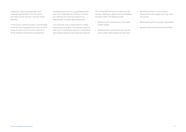collateral or personal guarantees and hedging) appropriate to the risk borne, and lastly on the recovery risk (the asset's liquidity).

In the Group, monitoring plays a fundamental role in the risk management process and the scope of action of this function extends to all the phases in this process (acceptance,

monitoring and recovery), guaranteeing that each risk is dealt with according to its status and defining and fostering measures to appropriately manage deteriorating risk.

Each business area is responsible for initially monitoring risk quality in its business segment referring to outstanding exposure, outstanding deteriorating exposure and past due exposure.

The Central Monitoring Area supervises this function, offering its global vision and fulfilling, amongst others, the following tasks:

- Monitoring the achievement of the asset quality targets.
- Monitoring the outstanding risks that are under watch, deteriorating and past due.
- Monitoring trends in concentration, expected loss and capital use in the main risk groups.
- Benchmarking the risk quality parameters.
- Special monitoring of sensitive portfolios.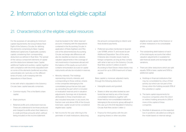## 2. Information on total eligible capital

## 2.1. Characteristics of the eligible capital resources

For the purposes of calculating its minimum capital requirements, the Group follows Rule Eight of the Solvency Circular, for defining the elements comprising its Basic Capital, Additional Capital and, if applicable, auxiliary capital, considering their corresponding deductions as defined in Rule Nine. The spread of the various component elements of capital and the deductions between basic Capital, additional Capital and auxiliary capital, together with compliance with the limits stipulated both on some of the elements (preferred securities, subordinated, etc.) and also on the different kinds of funds, is all in keeping with the dispositions in Rule Eleven.

In line with what is stipulated in the Solvency Circular, basic capital basically comprises:

- Common equity: This is the Bank's share capital.
- Share premium.
- Retained profits and undisclosed reserves These are understood to be those produced and charged to profits when their balance is in credit and those amounts which, without being included on the income statement

must be booked in the "other reserves". account, in keeping with the dispositions contained in the Accounting Circular. In application of Rules Eighteen and Fiftyone of the aforementioned Accounting Circular, exchange rate differences will also be classified as reserves. Likewise valuation adjustments in the coverage of net investments in businesses abroad and the balance of the equity account which contains remuneration accrued on capital instruments will also be included in reserves.

- Minority interests: The holdings representing minority interests, and corresponding to those ordinary shares in the companies belonging to the consolidated group that are fully paid up, excluding the part which is included in revaluation reserves and in valuation adiustments. Earnings net of dividends attributable to these shareholders are also included hereunder. In any event, the fraction over and above 10% of the Group's total basic capital would not be considered eligible basic capital.
- Net income for the year referring to the perimeter of credit institutions, deducting

the amount corresponding to interim and final dividend payments.

• Preferred securities mentioned in Spanish Law 13/1985, article 7.1, and issued as per Additional Disposition Two of the same. It likewise also includes issues made by foreign companies, as long as they comply with what is laid out in the Solvency Circular, Rule Nine, section 5, letters e) and f). According to Rule Eleven, these shares may account for up to 30% (maximum) of basic capital.

Basic capital is, moreover, adjusted mainly through the following deductions:

- Intangible assets and goodwill.
- Shares or other securities booked as own funds that are held by any of the Group's consolidated institutions, together with those held by non-consolidated institutions belonging to the economic group, although in this case up to the limit stipulated in Solvency Circular, Rule Nine, section 1, letter c).
- Finance for third parties with the aim acquiring shares or other securities

eligible as bank capital of the financer or of other institutions in its consolidable group.

- The outstanding debit balance of each of the total equity accounts that reflect valuation adjustments in available-forsale financial assets and exchange-rate variations.
- There are other deductions which are split equally; 50% to basic capital and 50% to additional capital:
	- a. Holdings in financial institutions that may be consolidated by virtue of their activity, but which are not part of the Group, when the holding exceeds 10% of the subsidiary's capital.
	- b. The bank capital requirements for insurance companies when the direct or indirect holding amounts to 20% or more of the capital of these companies.
	- c. Shortfall of allowances on the expected loss in positions calculated according to the model based on internal ratings.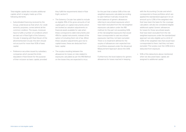Total eligible capital also includes additional capital, which is largely made up of the following elements:

- Subordinated financing received by the Group, understood as that which, for credit seniority purposes, comes behind all the common creditors. The issues, moreover, have to fulfill a number of conditions which are laid out in Rule Eight of the Solvency Circular. In keeping with Rule Eleven of the aforementioned Circular, this item should not account for more than 50% of basic capital.
- Preference securities issued by subsidiary companies which exceed the limits stipulated in Rule Eleven for the purpose of their inclusion as basic capital, provided

they fulfill the requirements listed in Rule Eight, section 5.

- The Solvency Circular has opted to include as eligible 35% of the gross amounts of net capital gains on capital instruments which are booked as valuation adjustments on financial assets available for sale when these correspond to debt instruments and 45% for capital instruments, instead of the option of including them net of tax. When these valuation adjustments give rise to capital losses, these are deducted from basic capital.
- The surplus resulting between the allowances for losses on risks related to exposures calculated as per the IRB Method on the losses they are expected to incur,

for the part that is below 0.6% of the riskweighted exposures calculated according to said method. It will also include the book balances of generic allowances referring to securitized exposures which have been excluded from the risk-weighted exposures calculation under the IRB method, for the part not exceeding 0.6% of the risk-weighted exposures that would have corresponded to said securitized exposures, had they not been excluded. There is no treatment defined for the surplus of allowances over expected loss in portfolios assessed under the Advanced Measurement Approach above the 0.6% limit.

Furthermore, the book balance for generic allowances for losses reached in keeping

with the Accounting Circular and which corresponds to those portfolios which are applied the standardized approach, for an amount up to 1.25% of the weighted risks that have been the basis for the coverage calculation, will also be considered eligible additional capital. Generic allowances for losses for those securitized assets that have been excluded from the riskweighted exposures under the standardized approach are also eligible up to a limit of 1.25% of the weighted risks that would have corresponded to them, had they not been excluded. The surplus over the 1.25% limit is deducted from exposure.

• 50% of the deductions above mentioned when we discussed basic capital, are assigned to additional capital.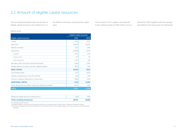## 2.2. Amount of eligible capital resources

The accompanying table shows the amount of eligible capital resources, net of deductions, of

the different elements comprising the capital base:

The increase in Tier I capital is due basically to the capital increase of 5,015 million euros in

November 2010, together with the earnings generated by the Group and not distributed.

#### (Millions euros)

|                                                                           | Eligible capital resources |          |  |
|---------------------------------------------------------------------------|----------------------------|----------|--|
| Eligible capital resources                                                | 2010                       | 2009     |  |
| Capital                                                                   | 2.201                      | 1.837    |  |
| Reserves <sup>(1)</sup>                                                   | 30,694                     | 22,630   |  |
| Minority interests                                                        | 1.325                      | 1.245    |  |
| Deductions                                                                | $-10,568$                  | $-8,315$ |  |
| - Goodwill                                                                | $-8,532$                   | $-7,248$ |  |
| - Treasury stock                                                          | $-553$                     | $-139$   |  |
| - Other deductions                                                        | $-1,483$                   | $-928$   |  |
| Net attrib, profit and interim and final dividends                        | 3,526                      | 2,587    |  |
| Eligible preference shares and other eligible liabilities                 | 7.164                      | 7.129    |  |
| <b>BASIC CAPITAL</b>                                                      | 34,342                     | 27,113   |  |
| Subordinated debt                                                         | 5,211                      | 9,522    |  |
| Valuation adjustments in the AFS portfolio                                | 563                        | 959      |  |
| Surplus on generic allowances for loan losses                             | 1.698                      | 1.922    |  |
| <b>ADDITIONAL CAPITAL</b>                                                 | 7.472                      | 12,402   |  |
| Other deductions from Basic Capital and Additional Capital <sup>(2)</sup> | $-4.477$                   | $-2.131$ |  |
| <b>TOTAL</b>                                                              | 37.337                     | 37,384   |  |

| Additional capital resources mixed group <sup>(3)</sup> | 1.291<br>.305 |
|---------------------------------------------------------|---------------|

(1) Including Share Premium.

(2) Mainly holdings in financial and insurance institutions are divided equally between Basic Capital and Additional Capital.<br>(3) Article 6 of Spanish Royal Decree 1332/2005, of 11 November 2005 on the capital adequacy of reporting.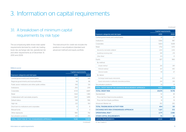## 3. Information on capital requirements

## 3.1. A breakdown of minimum capital requirements by risk type

The accompanying table shows total capital requirements itemized by credit risk, tradingbook risk, exchange rate risk, operational risk and other requirements as of December 31, 2010 and 2009.

The total amount for credit risk includes the positions in securitizations (standard and advanced method) and equity portfolio.

#### (Millions euros)

|                                                      | <b>Capital requirements</b> |        |  |
|------------------------------------------------------|-----------------------------|--------|--|
| <b>Exposure categories and risk types</b>            | 2010                        | 2009   |  |
| Central governments and central banks                | 591                         | 681    |  |
| Regional governments and local authorities           | 94                          | 86     |  |
| Public sector institutions and other public entities | 106                         | 134    |  |
| Institutions                                         | 250                         | 209    |  |
| Corporates                                           | 4,723                       | 4,687  |  |
| Retail                                               | 1.632                       | 1.383  |  |
| Collateralized with real estate property             | 1,567                       | 1,499  |  |
| Default status                                       | 538                         | 596    |  |
| High risk                                            | 222                         | 164    |  |
| Short term to institutions and corporates            | 12                          | 8      |  |
| Mutual funds                                         | 4                           | 4      |  |
| Other exposures                                      | 980                         | 792    |  |
| Securitization positions                             | 425                         | 255    |  |
| TOTAL CREDIT RISK BY THE STANDARDIZED APPROACH       | 11,145                      | 10,499 |  |

|                                                           | <b>Capital requirements</b> |        |  |  |
|-----------------------------------------------------------|-----------------------------|--------|--|--|
| <b>Exposure categories and risk types</b>                 | 2010                        | 2009   |  |  |
| Central governments and central banks                     | 33                          | 20     |  |  |
| Institutions                                              | 1,066                       | 987    |  |  |
| Corporates                                                | 5.823                       | 5.638  |  |  |
| Retail                                                    | 1,752                       | 1,575  |  |  |
| Secured by real estate collateral                         | 1,250                       | 1,206  |  |  |
| Qualifying revolving retail                               | 399                         | 278    |  |  |
| Other Retail                                              | 103                         | 91     |  |  |
| Equity                                                    | 827                         | 966    |  |  |
| By method:                                                |                             |        |  |  |
| Simple method                                             | 282                         | 389    |  |  |
| PD/LGD method                                             | 427                         | 490    |  |  |
| Internal models                                           | 118                         | 87     |  |  |
| By nature:                                                |                             |        |  |  |
| Exchange traded equity instruments                        | 541                         | 609    |  |  |
| Equity instruments in sufficiently diversified portfolios | 286                         | 358    |  |  |
| Securitization positions                                  | 33                          | 31     |  |  |
| TOTAL CREDIT RISK BY THE ADVANCED MEASUREMENT APPROACH    | 9,534                       | 9,219  |  |  |
| <b>TOTAL CREDIT RISK</b>                                  | 20,679                      | 19,718 |  |  |
| Standardized:                                             | 52                          | 38     |  |  |
| Price risk from fixed income positions                    | 38                          | 24     |  |  |
| Price risk from Equity portfolios                         | 14                          | 14     |  |  |
| Advanced: Market risk                                     | 352                         | 292    |  |  |
| TOTAL TRADING-BOOK ACTIVITY RISK                          | 404                         | 331    |  |  |
| EXCHANGE RATE RISK (STANDARDIZED APPROACH)                | 1,227                       | 572    |  |  |
| <b>OPERATIONAL RISK<sup>(1)</sup></b>                     | 2,771                       | 2,585  |  |  |
| <b>OTHER CAPITAL REQUIREMENTS</b>                         | 70                          | 82     |  |  |
| <b>CAPITAL REQUIREMENTS</b>                               | 25.151                      | 23.288 |  |  |

*(Continued)* (1) See Chapter 6.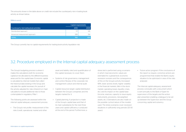The amounts shown in the table above on credit risk include the counterparty risk in trading-book activity as shown below:

#### (Millions euros)

|                                           |      | <b>Capital requirements</b> |  |  |  |
|-------------------------------------------|------|-----------------------------|--|--|--|
| Counterparty risk trading book activities | 2010 | 2009                        |  |  |  |
| Standardized approach                     | 171  | 145                         |  |  |  |
| Advanced measurement approach             | 589  | 514                         |  |  |  |
| <b>TOTAL</b>                              | 760  | 659                         |  |  |  |

The Group currently has no capital requirements for trading-book activity liquidation risk.

### 3.2. Procedure employed in the Internal capital adequacy assessment process

The Group's budgeting process is where it makes the calculations both for economic capital at risk allocated by the different business areas and for the capital base. Economic capital is calculated by internal models that collect the historical data existing in the Group and calculate the capital necessary for pursuit of the activity adjusted for risks inherent to it. Said calculations include additional risks to those contemplated in regulatory Pillar I.

The following points are assessed within the internal capital adequacy assessment process:

• The Group's risk profile: measurement of the risks (credit, operational, market and other

asset and liability risks) and quantification of the capital necessary to cover them.

- Systems of risk governance, management and control: Review of the corporate risk management culture and internal audit.
- Capital resources target: capital distribution between the Group's companies and the targets marked for it.
- Capital planning: A projection is made of the Group's capital base and that of its main subsidiaries for the next three years and capital sufficiency is analyzed at the end of the period. Furthermore, a

stress test is performed using a scenario in which macroeconomic values are estimated for a global-level, economic recession scenario and the consequences of this on the Group's activity (increased NPA, lower activity levels, higher volatility in the financial markets, falls in the stock market, operating losses, liquidity crises, etc.) and its impact on the capital base (income, reserves, capacity to issue equity instruments, provisions, risk-weighted assets, etc.). Estimations are also made on the possible cyclical nature of the models used. The stress scenarios cover recession situations in sufficiently long periods (20-30 years).

• Future action program: If the conclusions of the report so require, corrective actions are programmed that enable the Bank's equity situation to be optimized in view of the risks analyzed.

The Internal capital adequacy assessment process concludes with a document which is sent annually to the Bank of Spain for supervision of the targets and the action plan presented, enabling a dialogue to be set up between the Supervisor and the Group concerning capital and solvency.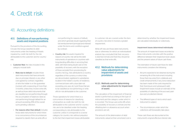## 4. Credit risk

## 4.1. Accounting definitions

#### 4.1.1. Definitions of non-performing assets and impaired positions

Pursuant to the provisions of the Accounting Circular, the Group classifies its debt instruments under the heading of Assets impaired by credit risk both for the risk attributable to the customer and for country risk:

- Customer Risk: the risks included in this category include both:
	- Risks due to default: includes those debt instruments that have amounts due on principal, interest or any other cost agreed by contract, regardless of who the holder is or the guarantee involved, with a seasoning of more than 3 months, unless they involve write-offs; as well as those debt instruments that are classified as non-performing through the accumulation of balances rated as non-performing through default for an amount exceeding 25% of the overall sums pending collection.
	- – For reasons other than default: includes those debt instruments for which there is no concurrence of the circumstances required to classify them as write-offs or

non-performing for reasons of default, and which generate doubt regarding their full reimbursement (principal and interest) under the terms and conditions agreed by contract.

• Country risk: the assets impaired for reasons of country risk will be the debt instruments of operations in countries with long-standing difficulties in servicing their debt, with there being doubt cast on the possibility of recovery, with the exception of those excluded from provisioning for country risk (e.g., risks attributed to a country, regardless of the currency in which they are denominated, registered in subsidiaries located in the holder's country of residence, commercial loans with a due date not exceeding one year, etc.) and those that are to be classified as non-performing or writeoffs for risk attributable to the customer.

Those operations for which there is a concurrence of reasons for classifying a transaction as credit risk, both for risk attributable to the customer and for country risk, are to be classified under the heading corresponding to risk attributable to the customer, unless it corresponds to a worse category for country risk, without prejudice to the fact that impairment losses attributable to customer risk are covered under the item of country risk when it involves a greater requirement.

Write-off risks are those debt instruments due or otherwise, for which an individualized analysis has concluded that their recovery is deemed remote and that they should be classified as final write-offs.

#### 4.1.2. Methods for determining value adjustments for impairment of assets and provisions

#### 4.1.2.1. Methods used for determining value adjustments for impairment of assets

The calculation of the impairment of financial assets is performed according to the type of instrument and the category under which it is recorded. The Group uses write-offs when the possibility of recovery is remote and the offsetting item or allowance account when provisions are set.

The amount of the deterioration of debt instruments valued at their amortized cost is determined by whether the impairment losses are calculated individually or collectively.

#### Impairment losses determined individually

The amount of impairment losses recorded by these instruments coincides with the positive difference between their respective book values and the present values of future cash flows.

The estimation of future cash flows for debt instruments considers the following:

- All sums expected to be obtained during the remaining life of the instrument including those that may arise from collaterals and credit enhancements, if any, (once deduction has been made of the costs required for their foreclosure and subsequent sale). Impairment losses include an estimate of the possibility of collecting of the accrued, pastdue and uncollected interest.
- The different types of risk to which each instrument is subject.
- The circumstances under which the collections will foreseeably take place

These cash flows are discounted at the instrument's original effective interest rate.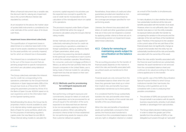When a financial instrument has a variable rate, the discount rate for valuing any impairment loss is the current effective interest rate stipulated by contract.

As an exception to the above, the market value of quoted debt instruments is considered to be a fair estimate of the current value of its future cash flows.

#### Impairment losses determined collectively

The quantification of impairment losses is determined on a collective basis both in the case of some assets classified as impaired and for the asset portfolio not currently impaired, but for which an inherent loss is foresseable.

The inherent loss is considered to be equal to the sum of the losses incurred that are pending assignment to specific transactions and which are calculated using statistical procedures.

The Group collectively estimates the inherent loss for credit risk corresponding to the operations undertaken by the Group's financial institutions in Spain (approximately 69% of the Group's loan book as of December 31, 2010) using the parameters provided by Annex IX to the Bank of Spain Circular 4/2004, based on its own experience and on the information held on the Spanish banking sector.

Notwithstanding the above, the Group has its proprietary historic records available as used in its internal rating models approved by the Bank of Spain for some portfolios, albeit only for the purposes of estimating regulatory capital under the new Basel Accord (BIS II). These internal rating models to calculate the

economic capital required in its activities use the expected loss concept to quantify the cost of credit risk for incorporation into its calculation of the risk-adjusted return on capital of its operations.

The provisions required under Bank of Spain Circular 4/2004 fall within the range of provisions calculated using the Group's internal rating models.

Similar methods and criteria are applied for collectively estimating the loss for credit risk corresponding to operations undertaken in foreign subsidiaries, taking as reference Bank of Spain parameters, albeit using non-performing seasoning standards adapted to the particular circumstances in each country in which the subsidiary operates. Nevertheless, for consumer, cards and mortgage portfolios in Mexico, as well as the loan portfolio held by the Group's companies in the United States, use is being made of internal models for calculating impairment loss that are based on their own historical experience.

#### 4.1.2.2. Methods used for provisioning for contingent exposures and commitments

Non-performing contingent exposures and commitments, except for letters of credit and other guarantees, are to be provisioned for an amount equal to the estimation of the sums expected to be disbursed that are deemed to be non-recoverable, applying criteria of valuation prudence. When calculating the provisions criteria similar to those established for non-performing assets for reasons other than customer default are applied.

Nonetheless, those letters of credit and other guarantees provided and classified as nonperforming are to be covered at least by the coverage percentages specified for nonperforming assets.

Likewise, the inherent loss associated with letters of credit and other guarantees provided that are in force and not impaired is covered by applying similar criteria to those set out in the preceding section on impairment losses determined collectively.

#### 4.1.3. Criteria for removing or maintaining assets subject to securitization on the balance sheet

The accounting procedure for the transfer of financial assets depends on the manner in which the risks and benefits associated with securitized assets are transferred to third parties.

Financial assets are only removed from the consolidated balance sheet when the cash flows they generate have dried up or when their implicit risks and benefits have been substantially transferred out to third parties.

It is considered that the Group substantially transfers the risks and benefits when these account for the majority of the overall risks and benefits of the securitized assets.

When the risks and benefits of transferred assets are substantially conveyed to third parties, the financial asset transferred is removed from the consolidated balance sheet, and any right or obligation retained or created

as a result of the transfer is simultaneously acknowledged.

In many situations, it is clear whether the entity has substantially transferred all the risks and benefits associated with the transfer of an asset. However, when it is not sufficiently clear if said transfer took place or not, the entity evaluates its exposure before and after the transfer by comparing the variation in the amounts and the calendar of the net cash flows of the transferred asset. Therefore, if the exposure to the variation in the current value of the net cash flows of the financial asset does not significantly change as a result of the transfer, then the entity has not substantially transferred all the risks and benefits associated with the ownership of the asset.

When the risks and/or benefits associated with the financial asset transferred are substantially retained, the asset transferred is not removed from the consolidated balance sheet and continues to be valued according to the same criteria applied prior to the transfer.

In the specific case of the SSPEs (Securitization Special Purpose Entities) to which Group institutions transfer their loan-books, the following control guidelines are to be considered with a view to analyzing their possible consolidation:

- The activities of SSPEs are pursued on the Group's behalf in accordance with its specific business requirements, whereby it will obtain benefits or advantages from said activities.
- The Group retains decision-making powers in order to obtain the greater part of the benefits from the activities of SSPEs or has delegated such powers through an "auto-pilot"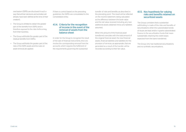mechanism (SSPEs are structured in such a way that all their decisions and activities will already have been defined at the time of their creation).

- The Group is entitled to obtain the greater part of the benefits from SSPEs and is therefore exposed to the risks forthcoming from their business.
- The Group withholds the greater part of the residual benefits from SSPEs.
- The Group withholds the greater part of the risks of the SSPE assets and the rules on asset removal are applied.

If there is control based on the preceding guidelines, the SSPEs are consolidated to the consolidated entity.

#### 4.1.4. Criteria for the recognition of income in the event of the removal of assets from the balance sheet

In order for the Group to recognize the result of the sale of financial instruments, this is to involve the corresponding removal from the accounts, which requires the fulfillment of the requirements governing the substantial

transfer of risks and benefits as described in the preceding point. The result will be reflected on the income statement, being calculated as the difference between the book value and the net value received including any new additional assets obtained minus any liabilities assumed.

When the amount of the financial asset transferred coincides with the total amount of the original financial asset, the new financial assets, financial liabilities and liabilities for the provision of services, as appropriate, that are generated as a result of the transfer will be recorded according to their fair value.

#### 4.1.5. Key hypothesis for valuing risks and benefits retained on securitized assets

The Group considers that a substantial withholding is made of the risks and benefits of securitizations when the subordinated bonds of issues are kept and/or it grants subordinated finance to the securitization funds that mean substantially retaining the credit losses expected from the loans transferred.

The Group only has traditional securitizations and no synthetic securitizations.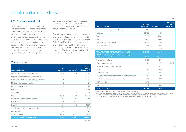### 4.2. Information on credit risks

#### 4.2.1. Exposure to credit risk

Pursuant to Rule Thirteen in the Solvency Circular concerning the capital requirements for credit risk, exposure is understood to be any asset item and all items included in the Group's memorandum accounts, involving credit risk and not deducted from the Group's eligible capital. Accordingly, inclusion is made mainly of customer lending items, with their corresponding undrawn balances, letters of credit and guarantees, debt securities and equity instruments, cash and deposits in

central banks and credit institutions, assets purchased or sold under a repurchase agreement (asset and liability repos), financial derivatives and fixed assets.

Below is a presentation of the original exposure and the forecasts under the advanced model and standardized approaches as of December 31, 2010 and 2009. In accordance with section one of Rule Twenty-Eight of the Solvency Circular, only the exposure net of allowances is presented for those exposures calculated under the standardized approach.

| Category of exposure                                 | Original<br>exposure <sup>(1)</sup> | Allowances <sup>(2)</sup> | <b>Exposure</b><br>net of<br>allowances <sup>(3)</sup> |
|------------------------------------------------------|-------------------------------------|---------------------------|--------------------------------------------------------|
| Central governments and central banks                | 78,123                              | $-5$                      | 78,118                                                 |
| Regional governments and local authorities           | 6.355                               | $-1$                      | 6.354                                                  |
| Public sector institutions and other public entities | 5,350                               | $-3$                      | 5,347                                                  |
| Multilateral development banks                       | 51                                  |                           | 51                                                     |
| International organizations                          | 13                                  | $\overline{\phantom{0}}$  | 13                                                     |
| Institutions                                         | 13.377                              | $-59$                     | 13.318                                                 |
| Corporates                                           | 83,749                              | $-569$                    | 83.180                                                 |
| Retail                                               | 38,087                              | $-168$                    | 37,920                                                 |
| Collateralized with real estate property             | 42.165                              | $-293$                    | 41.872                                                 |
| Default status                                       | 8,335                               | $-2.144$                  | 6.191                                                  |
| High risk                                            | 2,202                               | $-245$                    | 1.957                                                  |
| Short term to institutions and corporates            | 729                                 | $-4$                      | 725                                                    |
| Mutual funds                                         | 49                                  |                           | 49                                                     |
| Other exposures                                      | 16,052                              | $-1.372$                  | 14,680                                                 |
| <b>TOTAL STANDARDIZED APPROACH</b>                   | 294,636                             | $-4,862$                  | 289,774                                                |
|                                                      |                                     |                           | (Continued)                                            |

| Category of exposure                                                               | Original<br>exposure <sup>(1)</sup> | Allowances <sup>(2)</sup> | <b>Exposure</b><br>net of<br>allowances <sup>(3)</sup> |
|------------------------------------------------------------------------------------|-------------------------------------|---------------------------|--------------------------------------------------------|
| Central governments and central banks                                              | 1,087                               | $-3$                      |                                                        |
| Institutions                                                                       | 95.730                              | $-52$                     |                                                        |
| Corporates                                                                         | 161.743                             | $-3.395$                  |                                                        |
| Retail                                                                             | 83.515                              | $-996$                    |                                                        |
| Secured by real estate collateral                                                  | 69.998                              | $-286$                    |                                                        |
| Qualifying revolving retail                                                        | 10.166                              | $-546$                    |                                                        |
| Other retail                                                                       | 3.351                               | $-164$                    |                                                        |
| <b>TOTAL ADVANCED MEASUREMENT APPROACH</b>                                         | 342.075                             | $-4.446$                  |                                                        |
| <b>SUBTOTAL CREDIT RISK (securitizations and equity</b><br>positions not included) | 636,711                             | $-9,309$                  |                                                        |
| Securitization positions                                                           | 8.456                               | $-256$                    |                                                        |
| Standardized approach                                                              | 6.021                               | $-174$                    | 5.847                                                  |
| Advanced measurement approach                                                      | 2.435                               | $-82$                     |                                                        |
| Equity                                                                             | 7.345                               | $-429$                    |                                                        |
| Simple method                                                                      | 1.473                               | $-326$                    |                                                        |
| Equity instruments in sufficiently diversified portfolios                          | 1.051                               | $-29$                     |                                                        |
| Exchange Traded equity instruments                                                 | 422                                 | $-297$                    |                                                        |
| PD/LGD method                                                                      | 5,375                               |                           |                                                        |
| Internal models                                                                    | 497                                 | $-103$                    |                                                        |
| <b>TOTAL CREDIT RISK</b>                                                           | 652.512                             | $-9.994$                  |                                                        |

(1) Gross exposure prior to the application of risk mitigation techniques.

(2) It includes allowances for assets losses (financial and non-financial) and other valuation adjustments, with the exception of the generic alalowance included in the capital base as more Additional Capital, as per Rule Eight in the Solvency Circular.

(3) Exposures are adjusted solely by allowances in the case of exposures by the standardized approach.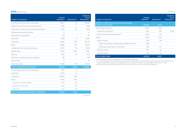#### 2009 (Millions euros) *(Continued)*

| Category of exposure                                 | Original<br>exposure <sup>(1)</sup> | Allowances <sup>(2)</sup> | <b>Exposure</b><br>net of<br>allowances <sup>(3)</sup> |
|------------------------------------------------------|-------------------------------------|---------------------------|--------------------------------------------------------|
| Central governments and central banks                | 55.075                              | $-10$                     | 55.065                                                 |
| Regional governments and local authorities           | 5.526                               | $-7$                      | 5.519                                                  |
| Public sector institutions and other public entities | 7.470                               | $-67$                     | 7.402                                                  |
| Multilateral development banks                       | 13                                  |                           | 13                                                     |
| International organizations                          | 68                                  |                           | 68                                                     |
| Institutions                                         | 10.321                              | $-5$                      | 10.316                                                 |
| Corporates                                           | 81.583                              | $-853$                    | 80.729                                                 |
| Retail                                               | 33.688                              | $-129$                    | 33,559                                                 |
| Collateralized with real estate property             | 37.873                              | $-59$                     | 37.814                                                 |
| Default status                                       | 9.020                               | $-1.952$                  | 7.067                                                  |
| High risk                                            | 1.505                               | $-33$                     | 1.472                                                  |
| Short term to institutions and corporates            | 481                                 | $\overline{\phantom{a}}$  | 481                                                    |
| Mutual funds                                         | 51                                  |                           | 51                                                     |
| Other exposures                                      | 16.648                              | $-744$                    | 15.904                                                 |
| <b>TOTAL STANDARDIZED APPROACH</b>                   | 259.320                             | $-3.860$                  | 255,460                                                |
| Central governments and central banks                | 1.168                               | $-3$                      |                                                        |
| Institutions                                         | 72.824                              | $-41$                     |                                                        |
| Corporates                                           | 168.936                             | $-3.176$                  |                                                        |
| Retail                                               | 79.160                              | $-1.033$                  |                                                        |
| Secured by real estate collateral                    | 67.211                              | $-433$                    |                                                        |
| Qualifying revolving retail                          | 8.612                               | $-457$                    |                                                        |
| Other retail                                         | 3.337                               | $-142$                    |                                                        |
| TOTAL ADVANCED MEASUREMENT APPROACH                  | 322,088                             | $-4,253$                  |                                                        |

*(Continued)*

| Category of exposure                                                               | Original<br>exposure <sup>(1)</sup> | Allowances <sup>(2)</sup> | <b>Exposure</b><br>net of<br>allowances <sup>(3)</sup> |
|------------------------------------------------------------------------------------|-------------------------------------|---------------------------|--------------------------------------------------------|
| <b>SUBTOTAL CREDIT RISK (securitizations and equity</b><br>positions not included) | 581,408                             | $-8,113$                  |                                                        |
| Securitization positions                                                           | 8.008                               | $-286$                    |                                                        |
| Standardized approach                                                              | 5,503                               | $-196$                    | 5,306                                                  |
| Advanced measurement approach                                                      | 2,506                               | -89                       |                                                        |
| Equity                                                                             | 8.461                               | $-226$                    |                                                        |
| Simple method                                                                      | 1.913                               | $-178$                    |                                                        |
| Equity instruments in sufficiently diversified portfolios                          | 1,298                               | $-1$                      |                                                        |
| Exchange Traded equity instruments                                                 | 616                                 | $-177$                    |                                                        |
| PD/LGD method                                                                      | 6,187                               | $-28$                     |                                                        |
| Internal models                                                                    | 361                                 | $-20$                     |                                                        |
| <b>TOTAL CREDIT RISK</b>                                                           | 597,878                             | $-8,625$                  |                                                        |

(1) Gross exposure prior to the application of risk mitigation techniques.

(2) It includes allowances for assets losses (financial and non-financial) and other valuation adjustments, with the exception of the generic alalowance included in the capital base as more Additional Capital, as per Rule Eight in the Solvency Circular. (3) Exposures are adjusted solely by allowances in the case of exposures by the standardized approach.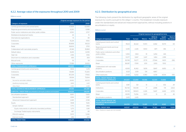#### 4.2.2. Average value of the exposures throughout 2010 and 2009

#### (Millions euros)

|                                                                          | Original average exposure for the period |         |  |
|--------------------------------------------------------------------------|------------------------------------------|---------|--|
| Category of exposure                                                     | 2010                                     | 2009    |  |
| Central governments and central banks                                    | 67,829                                   | 62,669  |  |
| Regional governments and local authorities                               | 6,230                                    | 6,588   |  |
| Public sector institutions and other public entities                     | 6,550                                    | 3,707   |  |
| Multilateral development banks                                           | 26                                       | 15      |  |
| International organizations                                              | 15                                       | 89      |  |
| Institutions                                                             | 15,224                                   | 11,150  |  |
| Corporates                                                               | 80.858                                   | 81.023  |  |
| Retail                                                                   | 36.606                                   | 37,112  |  |
| Collateralized with real estate property                                 | 41,346                                   | 35,868  |  |
| Default status                                                           | 8.226                                    | 6.099   |  |
| High risk                                                                | 2,146                                    | 1,556   |  |
| Short term to institutions and corporates                                | 655                                      | 309     |  |
| Mutual funds                                                             | 55                                       | 54      |  |
| Other exposures                                                          | 17,089                                   | 24,363  |  |
| <b>TOTAL STANDARDIZED APPROACH</b>                                       | 282,855                                  | 270,602 |  |
| Central governments and central banks                                    | 1.806                                    | 1.278   |  |
| Institutions                                                             | 90.189                                   | 70.305  |  |
| Corporates                                                               | 167.239                                  | 179.112 |  |
| Retail                                                                   | 81,934                                   | 75,694  |  |
| Secured by real estate collateral                                        | 68,892                                   | 66,005  |  |
| Qualifying revolving retail                                              | 9.692                                    | 6.431   |  |
| Other Retail                                                             | 3,350                                    | 3,258   |  |
| TOTAL ADVANCED MEASUREMENT APPROACH                                      | 341,169                                  | 326,389 |  |
| SUBTOTAL CREDIT RISK (securitizations and equity positions not included) | 624,024                                  | 596,991 |  |
| Securitization positions                                                 | 8.610                                    | 5.925   |  |
| Standardized approach                                                    | 6,164                                    | 3,387   |  |
| Advanced measurement approach                                            | 2,445                                    | 2,538   |  |
| Equity                                                                   | 7.838                                    | 7.626   |  |
| Simple method                                                            | 1,770                                    | 1,892   |  |
| Equity instruments in sufficiently diversified portfolios                | 1,273                                    | 1,081   |  |
| Exchange Traded equity instruments                                       | 497                                      | 811     |  |
| PD/LGD method                                                            | 5,572                                    | 5,330   |  |
| Internal models                                                          | 496                                      | 405     |  |
| <b>TOTAL CREDIT RISK</b>                                                 | 640.471                                  | 610.542 |  |

#### 4.2.3. Distribution by geographical area

The following charts present the distribution by significant geographic areas of the original exposure by country pursuant to the obligor´s country. The breakdown includes exposure under the standardized and advanced measurement approaches, without including positions in securitizations or equity.

#### (Millions euros)

|                                                                                   |              | Original exposure by geographical area |               |                                         |                  |                      |
|-----------------------------------------------------------------------------------|--------------|----------------------------------------|---------------|-----------------------------------------|------------------|----------------------|
| Category of exposure                                                              | <b>Total</b> | Europe                                 | <b>Mexico</b> | <b>EEUU &amp;</b><br><b>Puerto Rico</b> | South<br>America | Rest of<br>the world |
| Central governments and central<br>banks                                          | 78.123       | 46.322                                 | 17.470        | 4.082                                   | 10.179           | 69                   |
| Regional governments and local<br>authorities                                     | 6.355        | 2.226                                  | 1.900         | 1.871                                   | 356              | 2                    |
| Public sector institutions and other<br>public entities                           | 5,350        | 1.563                                  | 91            | 3.254                                   | 443              |                      |
| Institutions                                                                      | 13.377       | 5.847                                  | 3.247         | 1.464                                   | 2.818            |                      |
| Corporates                                                                        | 83.749       | 19.277                                 | 21.731        | 27.944                                  | 14.101           | 696                  |
| Retail                                                                            | 38.087       | 17.991                                 | 1.051         | 3.933                                   | 15.112           |                      |
| Collateralized with real estate<br>property                                       | 42.165       | 16.362                                 | 9.091         | 9.847                                   | 6.853            | 12                   |
| Securitization positions                                                          | 6.021        | 1.019                                  | 134           | 4.867                                   |                  |                      |
| Other exposures                                                                   | 27.431       | 13.252                                 | 4.780         | 4.739                                   | 4.004            | 656                  |
| <b>TOTAL CREDIT RISK BY THE</b><br><b>STANDARDIZED APPROACH</b>                   | 300,657      | 123,859                                | 59,496        | 62,001                                  | 53,866           | 1,435                |
| Central governments and central<br>banks                                          | 1.087        | 521                                    | 51            | $\mathcal{P}$                           | 302              | 211                  |
| Institutions                                                                      | 95,730       | 90.039                                 | 17            | 2.898                                   | 174              | 2.602                |
| Corporates                                                                        | 161.743      | 138.923                                | 2.226         | 9447                                    | 4.442            | 6.705                |
| Retail                                                                            | 83.515       | 73.256                                 | 10.171        | 13                                      | 25               | 49                   |
| Securitization positions                                                          | 2.435        | 2.435                                  |               |                                         |                  |                      |
| <b>TOTAL CREDIT RISK BY THE</b><br><b>ADVANCED MEASUREMENT</b><br><b>APPROACH</b> | 344.510      | 305,174                                | 12.465        | 12.361                                  | 4.943            | 9.566                |
| <b>TOTAL CREDIT RISK</b>                                                          | 645.167      | 429.033                                | 71,961        | 74.362                                  | 58,809           | 11,001               |

Note: Positions in equity are not included.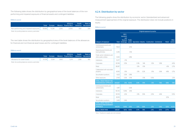The following table shows the distribution by geographical area of the book balances of the nonperforming and impaired exposures of financial assets and contingent liabilities.

#### (Millions euros)

|                                                               | Total |  | EEUU &<br>Europe Mexico Puerto Rico America the world |       | South Rest of |
|---------------------------------------------------------------|-------|--|-------------------------------------------------------|-------|---------------|
| Non-performing and impaired exposures   15,936   11,236 1,206 |       |  | 2.050                                                 | 1.110 | 334           |

Note: Accounting balances solvency perimeter.

The next table shows the distribution by geographical area of the book balances of the allowances for financial and non-financial asset losses and for contingent liabilities.

#### (Millions euros)

|                            | Total |              |       | <b>EEUU &amp;</b><br>Europe Mexico Puerto Rico America the world | South | Rest of |
|----------------------------|-------|--------------|-------|------------------------------------------------------------------|-------|---------|
| Allowance for asset losses |       | 11,708 7,034 | 1.843 | 1374                                                             | 1.288 | 169     |

Note: Accounting balances solvency perimeter.

#### 4.2.4. Distribution by sector

The following graphs show the distribution by economic sector (standardized and advanced measurement approaches) of the original exposure. The distribution does not include positions in equity.

#### (Millions euros)

|                                                                                   |              | Original exposure by sector            |               |      |      |                                                     |       |        |         |
|-----------------------------------------------------------------------------------|--------------|----------------------------------------|---------------|------|------|-----------------------------------------------------|-------|--------|---------|
|                                                                                   |              | EECC.<br>insurance<br>and<br>financial | <b>Public</b> |      |      |                                                     |       |        | Other   |
| Category of exposure                                                              | <b>Total</b> | brokerage                              |               |      |      | sector Agriculture Industry Construction Commercial |       | Retail | sectors |
| Central governments and<br>central banks                                          | 78.123       |                                        | 12.1%         |      |      |                                                     |       |        |         |
| Regional governments and<br>local authorities                                     | 6,355        |                                        | 1.0%          |      |      |                                                     |       |        |         |
| Public sector institutions and<br>other public entities                           | 5,350        |                                        | 0.8%          |      |      |                                                     |       |        |         |
| Institutions                                                                      | 13.377       | 2.1%                                   |               |      |      |                                                     |       |        |         |
| Corporates                                                                        | 83.749       | 0.5%                                   |               | 0.3% | 1.4% | 1.0%                                                | 5.8%  |        | 4.0%    |
| Retail                                                                            | 38.087       |                                        |               | 0.1% | 0.1% |                                                     |       | 4.1%   | 0.7%    |
| Collateralized with real estate<br>property                                       | 42.165       | 0.1%                                   |               | 0.1% | 0.2% | O.1%                                                | 0.6%  | 4.8%   | 0.7%    |
| Securitization positions                                                          | 6,021        | 0.2%                                   | 0.8%          |      |      |                                                     |       |        |         |
| Other exposures                                                                   | 27.431       | 0.2%                                   | 0.3%          |      | 0.1% | 0.0%                                                |       |        | 2.2%    |
| <b>TOTAL CREDIT RISK BY THE</b><br>STANDARDIZED APPROACH                          | 300,657      | 3.1%                                   | 15.0%         | 0.5% | 1.9% | 1.3%                                                | 7.6%  | 9.6%   | 7.6%    |
| Central governments and<br>central banks                                          | 1.087        |                                        | 0.2%          |      |      |                                                     |       |        |         |
| Institutions                                                                      | 95,730       | 10.4%                                  | 4.4%          |      |      |                                                     |       |        |         |
| Corporates                                                                        | 161.743      | 2.2%                                   |               | 0.1% | 5.9% | 2.0%                                                | 4.6%  |        | 10.1%   |
| Retail                                                                            | 83,515       |                                        |               |      |      |                                                     |       | 12.1%  |         |
| Securitization positions                                                          | 2,435        | 0.4%                                   |               |      |      |                                                     |       |        |         |
| <b>TOTAL CREDIT RISK BY THE</b><br><b>ADVANCED MEASUREMENT</b><br><b>APPROACH</b> | 344,510      | 13.0%                                  | 4.5%          | 0.1% | 5.9% | 2.1%                                                | 5.4%  | 12.1%  | 10.2%   |
| <b>TOTAL CREDIT RISK</b>                                                          | 645.167      | 16.1%                                  | 19.5%         | 0.7% | 7.8% | 3.4%                                                | 13.1% | 21.7%  | 17.8%   |

Note: Positions in equity are not included.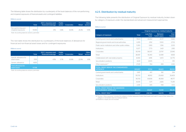The following table shows the distribution by counterparty of the book balances of the non-performing and impaired exposures of financial assets and contingent liabilities.

#### (Millions euros)

|                                          | Total  | EECC, insurance and<br>financial brokerage | <b>Public</b><br>sector | <b>Corporates</b> | Retail | Other<br>sectors |
|------------------------------------------|--------|--------------------------------------------|-------------------------|-------------------|--------|------------------|
| Non-performing and<br>impaired exposures | 15.936 | 3.1%                                       | 78%                     | 639%              | 26.3%  | 5.9%             |

Note: Accounting balances solvency perimeter.

The next table shows the distribution by counterparty of the book balances of allowances for financial and non-financial asset losses and for contingent exposures:

#### (Millions euros)

|                                                    | <b>Total</b> | <b>EECC, insurance and</b><br>financial brokerage | <b>Public</b><br>sector | Corporates | Retail | <b>Other</b><br>sectors |
|----------------------------------------------------|--------------|---------------------------------------------------|-------------------------|------------|--------|-------------------------|
| Specific allowance for<br>asset losses             | 7.015        | 4.5%                                              | 0.7%                    | 63.8%      | 22.9%  | 8.1%                    |
| Generic allowance                                  | 4.693        |                                                   |                         |            |        |                         |
| Total allowance for<br>asset losses                | 11.708       |                                                   |                         |            |        |                         |
| Alaka Aasan miliwa kalengara askingaran matusatika |              |                                                   |                         |            |        |                         |

Note: Accounting balances solvency perimeter.

#### 4.2.5. Distribution by residual maturity

The following table presents the distribution of Original Exposure by residual maturity, broken down by category of exposure under the standardized and advanced measurement approaches:

#### (Millions euros)

|                                                                         |              | Original exposure by residual maturity |                                 |                 |  |
|-------------------------------------------------------------------------|--------------|----------------------------------------|---------------------------------|-----------------|--|
| Category of exposure                                                    | <b>Total</b> | Less than<br>1 year                    | <b>Between</b><br>1 and 5 years | Over<br>5 years |  |
| Central governments and central banks                                   | 78.123       | 43.264                                 | 21,717                          | 13.142          |  |
| Regional governments and local authorities                              | 6.355        | 2.152                                  | 1.500                           | 2.703           |  |
| Public sector institutions and other public entities                    | 5.350        | 1.993                                  | 1.356                           | 2.001           |  |
| Institutions                                                            | 13.377       | 7.773                                  | 3.421                           | 2.183           |  |
| Corporates                                                              | 83,749       | 36,007                                 | 23,797                          | 23,945          |  |
| Retail                                                                  | 38.087       | 16.340                                 | 12.089                          | 9.658           |  |
| Collateralized with real estate property                                | 42.165       | 3.916                                  | 5.472                           | 32.776          |  |
| Securitization positions                                                | 6.021        | 4.905                                  | 1                               | 1.115           |  |
| Other exposures <sup>(1)</sup>                                          | 27,431       | 764                                    | 269                             | 2.012           |  |
| <b>TOTAL CREDIT RISK BY THE STANDARDIZED</b><br><b>APPROACH</b>         | 300.657      | 117,114                                | 69.623                          | 89,534          |  |
| Central governments and central banks                                   | 1.087        | 401                                    | 392                             | 294             |  |
| Institutions                                                            | 95.730       | 48.912                                 | 20,408                          | 26.409          |  |
| Corporates                                                              | 161.743      | 64.658                                 | 48.368                          | 48.717          |  |
| Retail                                                                  | 83,515       | 7.371                                  | 2.826                           | 73,319          |  |
| Securitization positions                                                | 2.435        | 305                                    | 558                             | 1.572           |  |
| <b>TOTAL CREDIT RISK BY THE ADVANCED</b><br><b>MEASUREMENT APPROACH</b> | 344.510      | 121,647                                | 72,551                          | 150,311         |  |
| <b>TOTAL CREDIT RISK<sup>(2)</sup></b>                                  | 645,167      | 238,760                                | 142.174                         | 239.845         |  |

(1) The item "Other exposures" includes the category of other exposures (mainly fixed assets and cash). In view of their nature, this category is not broken down by residual maturity.

(2) Positions in equity are not included.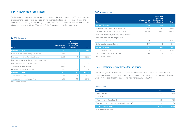#### 4.2.6. Allowances for asset losses

The following table presents the movement recorded in the years 2010 and 2009 in the allowance for impairment losses of financial assets on the balance sheet and for contingent liabilities and commitments, including country risk, generic and specific funds. It does not include allowances for other assets losses, which as of December 31, 2010 amounted to 1,412 million euros.

#### 2010 (Millions euros)

| <b>Item</b>                                        | Allowances on<br>assets  | <b>Allowances</b><br>for contingent<br>liabilities and<br>commitments | <b>Total</b> |
|----------------------------------------------------|--------------------------|-----------------------------------------------------------------------|--------------|
| <b>BALANCE BoY 2010</b>                            | 9.202                    | 243                                                                   | 9.445        |
| Increase in impairment charged to income           | 7.195                    | 62                                                                    | 7.256        |
| Decrease in impairment credited to income          | $-2.236$                 | $-40$                                                                 | $-2.276$     |
| Institutions acquired by the Group during the year | $\overline{\phantom{0}}$ | $\overline{\phantom{0}}$                                              |              |
| Institutions disposed of during the year           |                          | $\overline{\phantom{a}}$                                              |              |
| Transfers to written-off loans                     | $-4.488$                 | $\overline{\phantom{0}}$                                              | $-4.488$     |
| Exchange differences and others                    | 360                      | $-1$                                                                  | 359          |
| <b>BALANCE EoY 2010</b>                            | 10.032                   | 264                                                                   | 10.296       |
| For impaired portfolio                             | 7.305                    | 145                                                                   | 7.450        |
| For current non-impaired portfolio                 | 2.727                    | 119                                                                   | 2.846        |

Note: Solvency perimeter.

#### 2009 (Millions euros)

| Item                                               | <b>Allowances on</b><br>assets | <b>Allowances</b><br>for contingent<br>liabilities and<br>commitments | <b>Total</b> |
|----------------------------------------------------|--------------------------------|-----------------------------------------------------------------------|--------------|
| <b>BALANCE BoY 2009</b>                            | 7.740                          | 421                                                                   | 8.161        |
| Increase in impairment charged to income           | 8.258                          | 110                                                                   | 8.368        |
| Decrease in impairment credited to income          | $-2,638$                       | $-280$                                                                | $-2.918$     |
| Institutions acquired by the Group during the year |                                |                                                                       |              |
| Institutions disposed of during the year           | $\overline{\phantom{0}}$       |                                                                       |              |
| Transfers to written-off loans                     | $-3.878$                       |                                                                       | $-3.878$     |
| Exchange differences and others                    | $-280$                         | -8                                                                    | $-288$       |
| <b>BALANCE EoY 2009</b>                            | 9.202                          | 243                                                                   | 9.445        |
| For impaired portfolio                             | 6.055                          | 239                                                                   | 6.294        |
| For current non-impaired portfolio                 | 3.148                          | 3                                                                     | 3.151        |

Note: Solvency perimeter,

#### 4.2.7. Total impairment losses for the period

The following table shows details of impairment losses and provisions on financial assets and continent risks and commitments, as well as derecognition of losses previously recognized in asset write-offs recorded directly in the income statement in 2010 and 2009.

#### (Millions euros)

| <b>Items</b>                                        | 2010   | 2009   |
|-----------------------------------------------------|--------|--------|
| Financial assets                                    | 4.706  | 5.439  |
| Of which:                                           |        |        |
| Recovery of written-off assets                      | $-253$ | $-185$ |
| Contingent exposure and commitments [recoveries(-)] | 22     | -170   |
| <b>TOTAL IMPAIRMENT LOSSES</b>                      | 4.728  | 5,268  |

Note: Solvency perimeter.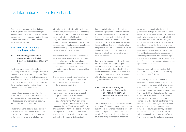## 4.3. Information on counterparty risk

Counterparty exposure involves that part of the original exposure corresponding to derivative instruments, repurchase and resale transactions, securities or commodities lending or borrowing transactions and deferred settlement transactions.

#### 4.3.1. Policies on managing counterparty risk

#### 4.3.1.1. Methodology: allocation of internal capital and limits to exposures subject to counterparty risk

The Group has an economic model for calculating internal capital through exposure to counterparty risk in treasury operations. This model has been implemented in the systems of the Risk unit in Markets Areas, and it is used to estimate the distribution of potential losses the Group faces due to possible default of the counterparties of the instruments.

The calculation process is based on the Montecarlo simulation of the aforementioned distribution of losses consisting of the product of three sources of uncertainty: exposures, defaults and loss given default (LGD).

The generation of exposures is undertaken in a manner that is consistent with those used for the monitoring and control of credit risk limits. The time horizon is divided up into

intervals, and, for each interval, the risk factors (interest rates, exchange rates, etc.) underlying the instruments are simulated. The exposures are generated from 500 different scenarios using the Montecarlo method for risk factors (subject to counterparty risk) and applying the corresponding mitigations to each counterparty (in other words, applying collateral and/or netting agreements as applicable.

The individual defaults of the counterparties are simulated by means of a factorial model that takes into account the correlations between counterparties and the credit quality of the different counterparties. In addition, the model includes the random nature of loss given default.

The correlations, loss given defaults, internal ratings and associated probabilities of default are consistent with the Group's economic model for general credit risk.

The distribution of possible losses for credit risk for a one-year horizon is constructed through the simulation of the variables considered and through the process indicated, thereby estimating the 99.9% percentile corresponding to the level of confidence for estimating the risk. This figure is modified by an adjustment factor for the possible maturity subsequent to one year of the operations in a similar vein to the general approach adopted by Basel for the treatment of credit risk.

Counterparty limits are specified within the financial programs authorized for each subsidiary within the line item of treasury limits. It stipulates both the limit and the maximum term for the operation. The use of transactions within the limits is measured in terms of (mark-to-market valuation plus the potential risk with Montecarlo Simulation methodology (95% confidence level) and bearing in mind the possible existence of collateral contracts.

Control of the counterparty risk in the Markets Area is carried out through a corporate platform that enables online monitoring of the limits and availabilities established for the different counterparties and clients. This control is completed by independent units of the business area to guarantee proper segregation of functions.

#### 4.3.1.2. Policies for ensuring the effectiveness of collaterals and establishing the value adjustments for impairment to cover this risk

The Group has concluded collateral contracts with many of its counterparties that serve as a guarantee of the (mark-to-market valuation of derivatives operations. The collateral consists mostly of deposits, which means that no situations of impairment are forthcoming.

A tool has been specifically designed to process and manage the collateral contracts concluded with counterparties. This application enables the management of collateral at the transaction level -useful for controlling and monitoring the status of specific operationsas well as at the position level by providing accumulated information according to different parameters or characteristics. Furthermore, this tool feeds the applications responsible for estimating counterparty risk by providing all the necessary parameters for considering the impact of mitigation in the portfolio due to the agreements concluded.

Likewise, there is also an application that reconciles and adjusts the positions serving the Collateral and Risks units.

In order to uphold the effectiveness of collateral contracts, the Group carries out a daily monitoring of the market values of the operations governed by such contracts and of the deposits made by the counterparties. Once the amount of the collateral to be delivered or received is obtained, the collateral demand (margin call), or the demand received, is carried out at the intervals established in the contract, usually daily. If significant variations arise from the process of reconciliation between the counterparties, they are reported by the Collateral unit to the Risks unit for subsequent analysis and monitoring. Within the control process, the Collateral unit issues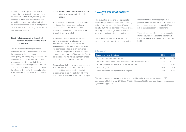a daily report on the guarantees which includes the description by counterparty of the exposure and collateral, making special reference to those guarantee deficits at or beyond the set warning levels. Collateral insufficiencies are considered to be of greater credit exposure by consuming the line for the corresponding amount.

#### 4.3.1.3. Policies regarding the risk of adverse effects occurring due to correlations

Derivatives contracts may give rise to potential adverse correlation effects between the exposure to the counterparty and its credit quality me (wrong-way-exposures). The Group has strict policies on the treatment of exposures of this nature that, firstly, follow specific admission processes for each individual operation and, secondly, compute the effects of risk not for the potential value of the exposure but for 100% of its nominal value.

#### 4.3.1.4. Impact of collaterals in the event of a downgrade in their credit rating

In derivatives operations, as a general policy, the Group does not conclude collateral contracts that involve an increase in the amount to be deposited in the event of the Group being downgraded.

The general criterion applied to date with banking counterparties is to establish a zero threshold within collateral contracts, independently of the mutual rating (provision will be made as collateral of any difference that arises through mark-to-market valuation, however small it may be). Therefore, the Group's downgrading will not have a significant impact on the amount of collateral to be provided.

It is calculated that, in the worst case scenario, in accordance with the characteristics of the current transactions and contracts, the increase of collateral will be below 2% of the total collateral provided on the date of analysis.

#### 4.3.2. Amounts of Counterparty Risk

The calculation of the original exposure for the counterparty risk of derivatives, according to Rule Seventy-one in the Bank of Spain Circular 3/2008, can be made by means of the following methods: original risk, mark-to-market valuation, standardized and internal models.

The Group calculates solely the value of exposure to risk through the mark-to-market method obtained as the aggregate of the positive mark-to-market value after contractual netting agreements plus the potential future risk of each transaction or instrument.

There follows a specification of the amounts in million euros involved in the counterparty risk of derivatives as at December 31, 2010 and 2009:

#### (Millions euros)

| Counterparty risk of derivatives                                           | 2010   | 2009   |
|----------------------------------------------------------------------------|--------|--------|
| Gross positive fair value of the contracts                                 | 34.084 | 32.251 |
| Positive effects arising from compensation agreements (netting agreements) | 31.338 | 25.667 |
| Credit exposure after netting and before collateral assigned               | 25.182 | 22.777 |
| Collateral assigned                                                        | 2.825  | 3.612  |
| Credit exposure after netting and collateral assigned                      | 22.358 | 19165  |

The total exposure to counterparty risk, composed basically of repo transactions and OTC derivatives, is 85,336 million (2010) and 47,359 million euro (2009), after applying any compensation agreements applicable.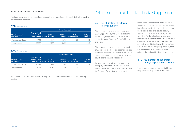The table below shows the amounts corresponding to transactions with credit derivatives used in intermediation activities:

#### 2010 (Millions euros)

|                                  |                                                        |                              | <b>Types of derivatives</b> |                                  |                      |
|----------------------------------|--------------------------------------------------------|------------------------------|-----------------------------|----------------------------------|----------------------|
| Classification of<br>derivatives | Total notional<br>amount of the<br><b>transactions</b> | (CDS) on<br>individual names | (CDSI) on<br>indexes        | <b>Baskets</b><br>Nth to default | (CDO) on<br>tranches |
| Protection purchased             | 37.198                                                 | 17.011                       | 18.982                      | 519                              | 685                  |
| Protection sold                  | 35.827                                                 | 16.272                       | 18.875                      | 44                               | 635                  |

#### 2009 (Millions euros)

| Classification of<br>derivatives |                                        | <b>Types of derivatives</b>               |                      |                                  |                      |  |  |  |
|----------------------------------|----------------------------------------|-------------------------------------------|----------------------|----------------------------------|----------------------|--|--|--|
|                                  | <b>Total notional</b><br>amount of the | (CDS) on<br>transactions individual names | (CDSI) on<br>indexes | <b>Baskets</b><br>Nth to default | (CDO) on<br>tranches |  |  |  |
| Protection purchased             | 30.433                                 | 17.933                                    | 11.529               | 261                              | 709                  |  |  |  |
| Protection sold                  | 28.189                                 | 15948                                     | 11.449               | 70                               | 777                  |  |  |  |

As of December 31, 2010 and 2009 the Group did not use credit derivatives for its own lending portfolio.

## 4.3.2.1. Credit derivative transactions and the standardized approach 4.4. Information on the standardized approach

#### 4.4.1. Identification of external rating agencies

The external credit assessment institutions (ECAIs) appointed by the Group to determine the risk weightings applicable to its exposures are the following: Standard & Poor's, Moody's and Fitch.

The exposures for which the ratings of each ECAI are used are those corresponding to the wholesale portfolios, basically involving central governments and central banks in developed countries and financial institutions.

In those cases in which a counterparty has ratings by different ECAIs, the Group follows the procedure laid down in Rule Twenty-one in the Solvency Circular, in which specification is

made of the order of priority to be used in the assignment of ratings. On the one hand, when two different credit ratings made by nominated ECAIs are available for a rated exposure, application is to be made of the higher risk weighting. On the other hand, when there are more than two credit ratings for the same rated exposure, use is to be made of the two credit ratings that provide the lowest risk weightings. If the two lowest risk weightings coincide, then that weighting will be applied; if they do not coincide, the higher of the two will be applied.

#### 4.4.2. Assignment of the credit ratings of public share issues

The number of cases and amount of these assignments is insignificant in the Group.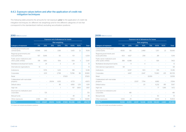#### 4.4.3. Exposure values before and after the application of credit risk mitigation techniques

The following table presents the amounts for net exposure, prior to the application of credit risk mitigation techniques, for different risk weightings and for the different categories of risk that correspond to the standardized method, excluding securitization positions:

#### 2010 (Millions euros)

|                                                         |                          |                          | <b>Exposure net of allowances for losses</b> |                          |                          |         |                          |              |
|---------------------------------------------------------|--------------------------|--------------------------|----------------------------------------------|--------------------------|--------------------------|---------|--------------------------|--------------|
|                                                         |                          |                          |                                              | <b>Risk weighting</b>    |                          |         |                          |              |
| Category of exposure                                    | 0%                       | 20%                      | 35%                                          | 50%                      | 75%                      | 100%    | 150%                     | <b>Total</b> |
| Central governments and<br>central banks                | 67.946                   | 1,145                    | $\overline{a}$                               | 3.581                    |                          | 5.425   | 22                       | 78,118       |
| Regional governments and<br>local authorities           | 557                      | 5.646                    |                                              | 50                       |                          | 1O1     | $\overline{a}$           | 6.354        |
| Public sector institutions and<br>other public entities | 518                      | 3.810                    |                                              | 506                      |                          | 509     | 3                        | 5,347        |
| Multilateral development banks                          |                          | 24                       |                                              | 3                        | $\overline{a}$           | 24      | $\overline{a}$           | 51           |
| International organizations                             | 13                       | $\overline{\phantom{a}}$ | $\overline{\phantom{0}}$                     | $\overline{\phantom{a}}$ | $\overline{\phantom{0}}$ |         | $\overline{\phantom{a}}$ | 13           |
| Institutions                                            | $\overline{a}$           | 11.176                   | $\overline{a}$                               | 1.223                    | $\overline{\phantom{0}}$ | 918     | $\overline{\phantom{a}}$ | 13.318       |
| Corporates                                              | $\overline{a}$           | 6,511                    | $\overline{a}$                               | 2,798                    | $\overline{a}$           | 73,786  | 86                       | 83,180       |
| Retail                                                  | $\overline{a}$           |                          |                                              | $\overline{\phantom{a}}$ | 37.920                   |         |                          | 37,920       |
| Collateralized with real estate<br>property             |                          |                          | 29.014                                       | 6.135                    |                          | 6.723   |                          | 41.872       |
| Default status                                          | $\overline{\phantom{0}}$ |                          | $\overline{a}$                               | 85                       |                          | 4.892   | 1.213                    | 6,191        |
| High risk                                               |                          |                          |                                              | 1                        | $\overline{\phantom{0}}$ | 157     | 1.800                    | 1.957        |
| Short term to institutions and<br>corporates            |                          | 725                      |                                              |                          |                          |         |                          | 725          |
| Mutual funds                                            | $\overline{a}$           |                          | $\overline{\phantom{a}}$                     | $\overline{a}$           | $\overline{\phantom{0}}$ | 49      | $\overline{\phantom{a}}$ | 49           |
| Other exposures                                         | 2.065                    | 810                      |                                              |                          | $\overline{a}$           | 11.802  | 3                        | 14.680       |
| <b>TOTAL<sup>(1)</sup></b>                              | 71.099                   | 29.847                   | 29.014                                       | 14.382                   | 37.920                   | 104.386 | 3.126                    | 289,774      |

(1) It does not include securitization positions.

#### 2009 (Millions euros)

|                                                         |                          |                |                          | Exposure net of allowances for losses |                |                          |                |              |
|---------------------------------------------------------|--------------------------|----------------|--------------------------|---------------------------------------|----------------|--------------------------|----------------|--------------|
|                                                         |                          |                |                          | <b>Risk weighting</b>                 |                |                          |                |              |
| Category of exposure                                    | 0%                       | 20%            | 35%                      | 50%                                   | 75%            | 100%                     | 150%           | <b>Total</b> |
| Central governments and<br>central banks                | 45.192                   | 126            | $\qquad \qquad -$        | 2.468                                 |                | 7.257                    | 22             | 55,065       |
| Regional governments and<br>local authorities           | 603                      | 4.427          |                          | 208                                   |                | 281                      |                | 5,519        |
| Public sector institutions and<br>other public entities | 388                      | 6.088          |                          | 1                                     | $\overline{a}$ | 926                      |                | 7,402        |
| Multilateral development banks                          | $\overline{a}$           | 9              | $\overline{a}$           | $\overline{4}$                        | $\overline{a}$ | $\overline{\phantom{a}}$ |                | 13           |
| International organizations                             | 68                       | $\overline{a}$ | $\overline{\phantom{0}}$ |                                       | $\overline{a}$ |                          |                | 68           |
| Institutions                                            | $\overline{a}$           | 8,297          | $\overline{a}$           | 903                                   | $\overline{a}$ | 1.115                    | $\overline{a}$ | 10,316       |
| Corporates                                              | $\overline{a}$           | 4.497          | $\overline{a}$           | 2,647                                 | $\overline{a}$ | 73,360                   | 225            | 80,729       |
| Retail                                                  | $\overline{a}$           |                |                          | $\overline{a}$                        | 33.559         | $\overline{a}$           | $\overline{a}$ | 33.559       |
| Collateralized with real estate<br>property             |                          |                | 23.137                   | 7.794                                 |                | 6.882                    |                | 37,814       |
| Default status                                          |                          | $\overline{a}$ | $\overline{a}$           | 20                                    |                | 6,232                    | 815            | 7.067        |
| High risk                                               |                          |                |                          |                                       |                | 77                       | 1.395          | 1.472        |
| Short term to institutions and<br>corporates            | $\overline{\phantom{a}}$ | 481            |                          |                                       |                |                          |                | 481          |
| Mutual funds                                            | $\overline{\phantom{a}}$ | 1              | ٠                        |                                       | $\overline{a}$ | 50                       | $\overline{a}$ | 51           |
| Other exposures                                         | 5,933                    | 29             | ٠                        |                                       | $\overline{a}$ | 9,939                    | 3              | 15,904       |
| <b>TOTAL<sup>(1)</sup></b>                              | 52.184                   | 23.955         | 23.137                   | 14.046                                | 33,559         | 106.120                  | 2.460          | 255,460      |

(1) It does not include securitization positions.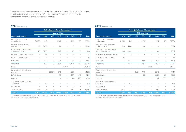The tables below show exposure amounts **after** the application of credit risk mitigation techniques, for different risk weightings and for the different categories of risk that correspond to the standardized method, excluding securitization positions.

#### 2010 (Millions euros)

|                                                         | Fully adjusted value of the exposure (1) |                |                          |                          |                          |         |                          |              |  |  |
|---------------------------------------------------------|------------------------------------------|----------------|--------------------------|--------------------------|--------------------------|---------|--------------------------|--------------|--|--|
|                                                         |                                          |                |                          | <b>Risk weighting</b>    |                          |         |                          |              |  |  |
| Category of exposure                                    | 0%                                       | 20%            | 35%                      | 50%                      | 75%                      | 100%    | 150%                     | <b>Total</b> |  |  |
| Central governments and<br>central banks                | 56.388                                   | 1.145          | $\qquad \qquad -$        | 3.581                    |                          | 5.425   | 22                       | 66.561       |  |  |
| Regional governments and<br>local authorities           | 557                                      | 5.636          |                          | 50                       |                          | 1O1     | $\overline{a}$           | 6.344        |  |  |
| Public sector institutions and<br>other public entities | 518                                      | 3.790          |                          | 506                      |                          | 491     | 3                        | 5,308        |  |  |
| Multilateral development banks                          | $\overline{\phantom{0}}$                 | 24             | $\overline{a}$           | 3                        | $\overline{\phantom{0}}$ | 24      | $\overline{a}$           | 51           |  |  |
| International organizations                             | 13                                       | $\overline{a}$ |                          |                          | $\overline{\phantom{0}}$ |         | $\overline{\phantom{0}}$ | 13           |  |  |
| Institutions                                            | $\overline{a}$                           | 14,319         | $\overline{a}$           | 1,223                    | $\overline{\phantom{0}}$ | 918     | $\overline{a}$           | 16,461       |  |  |
| Corporates                                              | $\overline{a}$                           | 6,526          | $\overline{a}$           | 2.873                    | $\overline{\phantom{0}}$ | 70.588  | 86                       | 80,073       |  |  |
| Retail                                                  | $\overline{a}$                           |                |                          | $\overline{\phantom{a}}$ | 35,869                   |         |                          | 35,869       |  |  |
| Collateralized with real estate<br>property             |                                          | $\overline{a}$ | 28.697                   | 6.112                    | -                        | 6.553   | $\overline{a}$           | 41.362       |  |  |
| Default status                                          |                                          |                |                          | 85                       | $\overline{a}$           | 4.872   | 1.213                    | 6.170        |  |  |
| High risk                                               | $\overline{\phantom{0}}$                 |                | $\overline{\phantom{0}}$ | 1                        | $\overline{a}$           | 156     | 1.776                    | 1.933        |  |  |
| Short term to institutions and<br>corporates            | $\overline{\phantom{0}}$                 | 725            |                          |                          |                          |         | $\overline{\phantom{0}}$ | 725          |  |  |
| Mutual funds                                            |                                          |                |                          |                          |                          | 49      | $\overline{a}$           | 49           |  |  |
| Other exposures                                         | 2,551                                    | 1,079          | 314                      |                          | $\overline{\phantom{0}}$ | 11,938  | 11                       | 15,894       |  |  |
| TOTAL <sup>(2)</sup>                                    | 60,027                                   | 33.244         | 29.012                   | 14,435                   | 35,869                   | 101,116 | 3.110                    | 276,813      |  |  |

 (1) It is defined as the value of the exposure net of allowances, following the application of risk mitigation techniques. (2) It does not include securitization positions.

#### 2009 (Millions euros)

|                                                         |                          | Fully adjusted value of the exposure (1) |                          |                          |                          |                          |                          |              |
|---------------------------------------------------------|--------------------------|------------------------------------------|--------------------------|--------------------------|--------------------------|--------------------------|--------------------------|--------------|
|                                                         |                          |                                          |                          | <b>Risk weighting</b>    |                          |                          |                          |              |
| Category of exposure                                    | 0%                       | 20%                                      | 35%                      | 50%                      | 75%                      | 100%                     | 150%                     | <b>Total</b> |
| Central governments and<br>central banks                | 44.204                   | 126                                      |                          | 2.470                    |                          | 7.257                    | 22                       | 54.079       |
| Regional governments and<br>local authorities           | 603                      | 4.432                                    |                          | 208                      |                          | 281                      |                          | 5,524        |
| Public sector institutions and<br>other public entities | 388                      | 6.036                                    |                          | 1                        |                          | 881                      |                          | 7.305        |
| Multilateral development banks                          | $\overline{\phantom{0}}$ | 9                                        | $\overline{\phantom{a}}$ | $\overline{4}$           |                          |                          |                          | 13           |
| International organizations                             | 68                       | $\overline{\phantom{0}}$                 | $\overline{\phantom{a}}$ | $\overline{\phantom{a}}$ | $\overline{a}$           | $\overline{\phantom{a}}$ | ٠                        | 68           |
| Institutions                                            | $\overline{a}$           | 9.866                                    | $\overline{a}$           | 905                      | $\overline{\phantom{0}}$ | 1.123                    | $\overline{\phantom{0}}$ | 11,895       |
| Corporates                                              | $\overline{a}$           | 4.451                                    | 3                        | 2,904                    | $\overline{a}$           | 70,942                   | 225                      | 78,526       |
| Retail                                                  | $\overline{\phantom{0}}$ |                                          |                          | $\overline{a}$           | 31.985                   |                          | $\overline{\phantom{a}}$ | 31,985       |
| Collateralized with real estate<br>property             |                          | $\overline{a}$                           | 23.131                   | 7.748                    |                          | 6.840                    |                          | 37,719       |
| Default status                                          | $\overline{a}$           | $\overline{\phantom{a}}$                 | $\overline{a}$           | 20                       |                          | 6,228                    | 813                      | 7,061        |
| High risk                                               |                          |                                          |                          | $\overline{a}$           |                          | 67                       | 1.350                    | 1.417        |
| Short term to institutions and<br>corporates            |                          | 481                                      |                          |                          |                          |                          |                          | 481          |
| Mutual funds                                            | $\overline{a}$           | 1                                        | $\overline{a}$           | $\overline{\phantom{0}}$ | $\overline{a}$           | 50                       | $\overline{\phantom{a}}$ | 51           |
| Other exposures                                         | 6,802                    | 29                                       |                          |                          | $\overline{a}$           | 9,915                    | 9                        | 16,755       |
| TOTAL <sup>(2)</sup>                                    | 52,065                   | 25.431                                   | 23.135                   | 14,261                   | 31.985                   | 103.583                  | 2,420                    | 252.880      |

 (1) It is defined as the value of the exposure net of allowances, following the application of risk mitigation techniques. (2) It does not include securitization positions.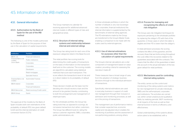## 4.5. Information on the IRB method

#### 4.5.1. General information

#### 4.5.1.1. Authorization by the Bank of Spain for the use of the IRB method

The following is a list of the models authorized by the Bank of Spain for the purpose of their use in the calculation of capital requirements.

| <b>Institution</b>           | <b>Portfolio</b>                |  |  |  |  |
|------------------------------|---------------------------------|--|--|--|--|
| BBVA, S.A.                   | <b>Financial institutions</b>   |  |  |  |  |
| Finanzia Banco de<br>Crédito | Public institutions             |  |  |  |  |
| Uno-e Bank                   | Corporates                      |  |  |  |  |
|                              | Corporates                      |  |  |  |  |
|                              | Developers                      |  |  |  |  |
|                              | Retail mortgages                |  |  |  |  |
|                              | Specialist finance              |  |  |  |  |
| Finanzia Banco de<br>Crédito | Automobile Finanzia             |  |  |  |  |
| <b>BBVA</b> Ireland          | Corporates                      |  |  |  |  |
|                              | <b>Financial fnstitutions</b>   |  |  |  |  |
| <b>BBVA Bancomer</b>         | Retail revolving (Credit cards) |  |  |  |  |
| <b>BBVA Group</b>            | Equity                          |  |  |  |  |
|                              |                                 |  |  |  |  |

The approval of the models by the Bank of Spain includes both own estimations of the probability of default (PD), loss given default (LGD) and the internal estimation of credit conversion factors (CCFs).

The Group maintains its calendar for receiving approval for additional advanced internal models in different types of risks and geographical areas.

#### 4.5.1.2. Structure of internal rating systems and relationship between internal and external ratings

The Group has rating tools for each one of the exposure categories listed in the Basel Accord.

The retail portfolio has scoring tools for determining the credit quality of transactions on the basis of information on the transaction itself and on the customer. The scoring models are algorithms calculated using statistical methods that score each transaction. This score reflects the transaction's level of risk and is in direct relation to its probability of default  $(PD)$ 

These decision models are the basic tool for deciding who should receive a loan and the amount to be granted, thereby contributing to both the arrangement and management of retail-type loans.

For the wholesale portfolio, the Group has rating tools that, as opposed to scorings, do not assess transactions but rather, customers. The Group has different tools for rating the various customer segments: SMEs, corporates, public administrations, etc.

In those wholesale portfolios in which the number of defaults is very low (sovereign risks, corporates, financial institutions) the internal information is supplemented by the benchmarks of external rating agencies. The PD estimations made by the Group are transferred to the Group's Master Scale, enabling a comparison to be made with the scales used by external agencies.

#### 4.5.1.3. Use of internal estimations for purposes other than the calculation of capital requirements

The Group's internal calculations are a vital component of management based on value creation, providing criteria for assessing the risk-return trade-off.

These measures have a broad range of uses, from the adoption of strategic business decisions through to the individual admission of transactions.

Specifically, internal estimations are used in everyday business in support of credit risk management through their inclusion in admission and monitoring processes, as well as in the pricing of transactions.

The management use of performance metrics that consider expected loss, economic capital and risk-adjusted return enables the monitoring of portfolios and the assessment of non-performing positions, among others.

#### 4.5.1.4. Process for managing and recognizing the effects of credit risk mitigation

The Group uses risk mitigation techniques for exposures pertaining to the wholesale portfolio by replacing the obligor's PD with that of the guarantor, in those cases in which the latter is eligible and their PD is lower than the obligor's.

In retail admission processes, the scoring contains the effect of the guarantor, and the recovery flows that are forthcoming throughout the cycle reflect the recoveries related to the guarantees associated with the contracts. This means that the effect of the guarantees is taken into account in the actual estimation of the loss given default for retail portfolios.

#### 4.5.1.5. Mechanisms used for controlling internal rating systems

The entity carries out the control and monitoring of the rating systems and metrics for risk management for private individuals, SMEs and the self-employed, corporates and institutions. The activities are carried out, within certain analytical and qualitative fields, by realizing periodic 360º monitoring of all impacts of the tools as well as their internal function in terms of efficiency and effectiveness.

Global understanding of the systems allows action plans to be established, with a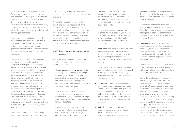follow-up to ensure their proper execution. The weaknesses of the rating systems are thus identified and managed. The monitoring function is the main driving force of new developments and evolving maintenance, which allow the business interests of the entity to be aligned with regulatory requirements within a framework of analytical, technical and technological capacities.

Analysis, in the methodological sphere, is defined as the monitoring of the predictive capabilities of the models, back-testing calibration of the parameters, proper granularity and concentration, sample stability of input, as well as traceability, integrity and consistency.

The use of rating systems by the different areas is overseen from the context of integration in management. This context defines parameter sensitivity tests, stress-tests of estimates, proper use of the parameters in the portfolio management to facilitate decision-making, control of exposure without rating, risk policies and the framework for delegating tasks, structures of decisionmaking committees, implementation risk evaluation, proper technological environment, evaluation of the inclusion of the parameters in corporate applications, proper follow-up of the training of users to guarantee its proper implementation and full comprehension, follow-up of the correct structure and quality of documentation, as well as all other activities that ensure the proper use of management metrics.

Furthermore, access to the internal rating repository is based on IT system-authorized profiles ensuring that only the customer loan management supervisors can see the scoring and rating.

Control of the capital process is performed by risk units that are independent of the units that calculate the scoring and rating and which, therefore, are users of the internal rating system. These control mechanisms are established at different levels of the process, such as at input, execution and final outputs, and involve both the integrity of the data and their accuracy and correctness.

#### 4.5.1.6. Description of the internal rating process

There follows a description of the internal classification processes according to each customer category:

• Central banks and central governments: The assignment of sovereign risk ratings is made by the risk units nominated accordingly, which periodically analyze customers of this nature, rating them according to the parameters included in the corresponding rating model.

This model comprises different tools depending on the type of country: developed, emerging or peripheral. Ratings in local and foreign currencies are generated for these three tools.

In general, the rating is obtained through the ratings of external agencies, if these exist, except for the case of foreign currencies in emerging and peripheral

countries in which a ratio is established among the scores granted to each country for country risk and the empirical PD of the rating agencies, which enable the classification of these countries using the BBVA master scale.

In the case of emerging countries with presence of BBVA subsidiaries, the rating in local currency is adjusted to that obtained by the emerging countries' tool under the authorization of the Sovereign Risk Committee.

• Institutions: The rating of Public Institutions is generally provided by the risk units responsible for their approval, on a yearly basis, coinciding with the review of customer risk or with the reporting of their accounts.

In the case of Financial Institutions, the risk unit responsible makes a regular assessment of this type of customers, continuously monitoring their evolution on domestic and international markets.

- • Corporates: Includes the assessment of exposures with corporate business groups. The result is influenced by both qualitative (business positioning, financial flexibility, etc.) and quantitative indicators (size of group by sales, debt levels, etc.). The responsibility for rating lies with the units approving the exposure.
- SMEs: This includes exposures with SMEs, specialized lending and collection rights. Corporate customers are classified according to which one of the different

segments in this portfolio they belong to. The responsibility for the assessment may befall either the Units originating the risk or those approving it.

Furthermore, for the assessment and arrangement of specialized lending, the Group has chosen to apply the supervisory slotting criteria approach, as featured in the Basel Accord of June 2004 and in the Solvency Circular.

- Developers: The rating of developers classifies property projects and associated operations, as well as the risk of client developers who are not associated with property projects. Its use makes it easier to monitor and rate projects during their execution phase.
- Retail: It has been broken down into each one of the exposure categories referred to by the correlations foreseen in the sections defined in the Solvency Circular.

One of the most important processes in which scoring is fully integrated at the highest level and in all decision-making areas is the Group's process for approving retail transactions. Scoring is an important factor for the analysis and resolution of transactions and it is a mandatory requirement to include it in decision-making on risk in those segments for which it has been designed. In the process of marketing and approving retail transactions, the manager is responsible for marketing management, the quality of the risk and the return, in other words, the customer's comprehensive management, attending to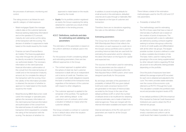the processes of admission, monitoring and control.

The rating process is as follows for each specific category of retail exposure:

- Retail mortgages (Spain): the manager collects data on the customer (personal, financial, banking relationship information) and on the operation (LTV, amount, maturity, etc.) and carries out the rating of the transaction with the scoring. The decision of whether it is approved is made based on the results issued by the model.
- Finanzia car loans (Finanzia Banco de Crédito): The financing application may enter through the call center or be directly recorded in Finanzianet by our authorized dealers. The necessary information on the client (personal, financial information, authorization of the consult from the external bureau of credit) and on the transaction (maturity, amount, etc.) to complete the rating of the transaction with the scoring. Once the validity of the information provided is obtained, the decision of whether to approve it is made based on the results issued by the model.
- Retail Revolving (BBVA Bancomer credit cards): the manager or specialist party gathers the necessary information on the client (personal, financial information and authorization of the consult from the external bureau of credit) and on the transaction (limit requested) to complete the rating of the transaction with the scoring. The decision of whether it is

approved is made based on the results issued by the model.

• Equity: For its portfolio position registered as equity, the Group is applying the rating obtained for customers as a result of their classification in the lending process.

#### 4.5.1.7. Definitions, methods and data for estimating and validating risk parameters

The estimation of the parameters is based on the uniform definition of default used in the Group

For the purpose of both considering default and estimating parameters, there are two different approaches in the Group:

- The contract approach is applied within the sphere of retail risk. Each customer transaction is dealt with as an independent unit in terms of credit risk. Therefore, noncompliance with credit obligations towards the bank is handled at the transaction level, regardless of the behavior of the customer with respect to other obligations.
- The customer approach is applied to the remainder of the portfolio. The significant unit - when defining default - is the customer's sum of contracts, which enter a situation of default en masse when the customer defaults.

The Group considers a contract or customer to be in default status when the situation described in 411 arises.

In addition, to avoid including defaults for small amounts in the estimations, defaulted volumes are to pass through a materiality filter that depends on the type of customer and transaction.

Therefore, there are no deviations regarding the rules on the definition of default.

#### Estimating parameters

The Group has an information system called RAR (Risk-Adjusted Return) that reflects the information on each exposure to credit risk in the Group's various portfolios and is used for providing historical data that are used both for estimating the parameters and for obtaining the latest information on the figures for capital and expected loss.

The sources of information used for estimating the risk parameters are the outputs of historical data that are integrated within the Risk-Adjusted Return (RAR) system, which were designed specifically for this purpose.

By and large, estimates of the parameters of probability of default (PD), loss given default (LGD) and credit conversion factors (CCF) are generated on the basis of historical data recorded by the Group. In the case of low default portfolios (LDP), in which the number of defaults tends to be insufficient for obtaining empirical estimates, use is made of data from external agencies. These are merged with the internal information available and expert criteria.

Internal estimations of the PD, LGD and CCF parameters are made for all the Group's portfolios.

There follows a detail of the estimation methodologies used for the PD, LGD and CCF risk parameters.

*a. Probability of default (PD)*

The methodology used for estimating the PD in those cases that have a mass of internal data of sufficient size is based on the creation of pools of exposures. The groups proposed with a view to calibration are defined by pooling contracts together seeking to achieve intra-group uniformity in terms of credit quality and differentiation with all the other risk groups. The largest possible number of pools is defined in order to allow a suitable discrimination of risk. The basic metric used for making these groupings is the score, being supplemented by other relevant metrics regarding PD that are proven to be sufficiently distinguishable depending on the portfolio.

Once the pools of exposures have been defined, the average empirical PD recorded for each one is obtained and adjusted to the cycle. This metric provides stable estimates over the course of the economic cycle, referred to as PD-TTC (Through the Cycle). This calculation considers the portfolio's track record and provides long-term levels of PD.

In low default portfolios (LDPs) the empirical PDs imputed by External Credit Assessment Institutions are used to obtain the PD of internal risk groups.

Finally, there is a Master Scale, which is simply a standard and uniform rule for credit levels that makes it possible to make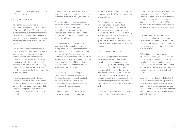comparisons of credit quality in the Group's different portfolios.

*b. Loss given default (LGD)*

As a general rule, the method used for estimating loss given default is referred to as Workout LGD. Here, LGD is obtained as a quotient of the sum of all the financial flows recorded during the recovery process that takes place when a transaction defaults and the transaction's exposure at the time of the default.

This estimate is made by considering all the historical data recorded in internal systems. When making the estimates, there are transactions that have already defaulted but for which the recovery process is still ongoing, whereby the loss given default recorded at the time of the estimate is higher than it will ultimately be. The necessary adjustments are made for these so as not to distort the estimate.

These estimates are made by defining uniform risk groups in terms of the nature of the operations that determine loss given default. They are made in such a way that there are enough groups for each one to be distinguishable and receive a different estimate.

In keeping with the guidelines set out by the rules, the estimates are made by distinguishing between wholesale and retail type exposures.

There is insufficient historical experience to make a reliable estimation in low default portfolios (LDP) using the Workout LGD method, so external sources of information are used, combined with internal data to provide the portfolio with a representative rate of loss given default.

The loss given default rates estimated according to the internal databases the Group holds are conditioned to the moment of the cycle of the data window used, given that loss given default varies over the economic cycle. Hence, two concepts can be defined: long-term loss given default, referred to as Long-Run LGD (LRLGD), and loss given default at the worst moment in the cycle, called Downturn LGD (DLGD).

LRLGD is calculated by making an adjustment to capture the difference between the loss given default obtained empirically with the available sample and the average loss given default observed throughout the economic cycle.

In addition, an estimate is made to reflect the loss given default that would be

observed at the worst moment in the next economic cycle (DLGD). An internal model is used for this.

These estimates are made for those portfolios whose loss given default is noticeably sensitive to the cycle. The different ways the recovery cycles can conclude are determined for each portfolio, differentiating solely those that lead to significantly different estimations of loss given default, with an estimate of the level those parameters would have in a downturn situation.

*c. Credit conversion factor (CCF)*

As with the two preceding parameters, the exposure at the moment of default is another of the necessary inputs for calculating expected loss and regulatory capital. A contract's exposure usually coincides with its balance. However, this does not hold true in all cases. For example, for those products with explicit limits, such as cards or credit lines, the exposure should incorporate the potential increase in the balance that may be recorded up to the time of default.

In observance of regulatory requirements, exposure is calculated as the drawn

balance, which is the real risk at any specific moment, plus a percentage (CCF) of the undrawn balance, which is the part that the customer can still use until the available limit is reached. Therefore, the CCF is defined as the percentage of the Undrawn Balance that is expected to be used before default occurs.

CCF is estimated by using the cohort approach, analyzing how the exposure varies from a pre-established reference date through to the moment of default, obtaining the average performance according to the relevant metrics.

Different approaches are used for wholesale and retail type exposures. The contract approach analyzes the exposure's evolution until the contract's moment of breach of contract, whereas the customer approach analyzes the exposure's evolution through to the moment of breach by the customer.

Once again, in low default portfolios (LDP) there is insufficient historical experience to make a reliable calculation with the Workout LGD method defined. In this case, too, use is made of external sources that are combined with internal data to provide a representative CCF of the portfolio.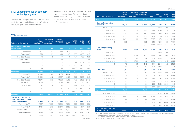#### 4.5.2. Exposure values by category and obligor grade

The following table presents the information on credit risk by method of internal classifications (IRB) by obligor grade for the different

categories of exposure. The information shown is balance-sheet volume, Off-balance-sheet volume, exposure, EAD, PD-TTC and Downturn LGD and RW (internal estimates approved by the Bank of Spain):

#### 2010 (Millions euros)

| <b>Categories of exposure</b>                                                    | <b>Balance</b><br>sheet<br>reassigned <sup>(1)</sup> | <b>Off balance</b><br>sheet<br>reassigned <sup>(2)</sup> | <b>Exposure</b><br>reassigned<br>$(3) = (1+2)$ | EAD <sup>(4)</sup> | <b>PD-TTC</b><br>(%) | <b>DLGD</b><br>(%) | <b>RW</b><br>$(\%)$ |
|----------------------------------------------------------------------------------|------------------------------------------------------|----------------------------------------------------------|------------------------------------------------|--------------------|----------------------|--------------------|---------------------|
| <b>Central governments and</b><br>central banks                                  | 1.677                                                | 891                                                      | 2.568                                          | 2.132              | 0.85                 | 39.90              | 19.64               |
| From AAA to AA-                                                                  | 1.257                                                | 693                                                      | 1.950                                          | 1.612              | 0.03                 | 39.73              | 13.39               |
| From $A+$ to $A-$                                                                | 255                                                  | 159                                                      | 414                                            | 335                | 0.08                 | 43.06              | 24.37               |
| From BBB+ to BBB-                                                                | 72                                                   | 18                                                       | 90                                             | 81                 | 0.14                 | 31.56              | 31.36               |
| From BB+ to BB-                                                                  | 68                                                   | 22                                                       | 90                                             | 79                 | 0.77                 | 38.59              | 87.05               |
| From B+ to B-                                                                    | 7                                                    |                                                          | 7                                              | 7                  | 2.56                 | 39.98              | n.s.                |
| С                                                                                |                                                      |                                                          |                                                | $\overline{a}$     | 21.22                | 40.00              | n.s.                |
| $\Box$                                                                           | 16                                                   |                                                          | 16                                             | 16                 | 100.00               | 40.00              | 96.82               |
| <b>Institutions</b>                                                              | 87,968                                               | 8.156                                                    | 96,124                                         | 92,472             | 0.19                 | 22.64              | 14.41               |
| From AAA to AA-                                                                  | 43.909                                               | 3.266                                                    | 47.175                                         | 45.881             | 0.03                 | 21.41              | 9.12                |
| From $A+$ to $A-$                                                                | 29.085                                               | 1.972                                                    | 31.057                                         | 30.120             | 0.07                 | 23.08              | 13.10               |
| From BBB+ to BBB-                                                                | 12.279                                               | 2.573                                                    | 14.852                                         | 13.593             | O.18                 | 24.60              | 24.40               |
| From BB+ a BB-                                                                   | 2.503                                                | 340                                                      | 2.843                                          | 2.684              | 0.83                 | 27.57              | 58.37               |
| From $B+$ a $B-$                                                                 | 68                                                   | $\overline{\mathcal{A}}$                                 | 72                                             | 70                 | 5.68                 | 45.17              | n.s.                |
| C                                                                                | 47                                                   | $\overline{\phantom{a}}$                                 | 47                                             | 47                 | 21.22                | 45.00              | n.s.                |
| D                                                                                | 77                                                   |                                                          | 78                                             | 78                 | 100.00               | 32.75              | 72.33               |
| <b>Corporates</b>                                                                | 93.414                                               | 66,455                                                   | 159,868                                        | 129.496            | 6.64                 | 38.26              | 56.20               |
| Of which: Total exposures<br>assigned to obligor grades<br>or pools of exposures | 85,686                                               | 63.924                                                   | 149,609                                        | 120,397            | 6.64                 | 38.26              | 54.31               |
| From AAA to AA-                                                                  | 11,527                                               | 7.999                                                    | 19,526                                         | 15,821             | 0.03                 | 33.99              | 12.96               |
| From $A+$ to $A-$                                                                | 11.125                                               | 15.173                                                   | 26.298                                         | 18.995             | 0.09                 | 39.91              | 22.41               |
| From BBB+ to BBB-                                                                | 16.231                                               | 23.954                                                   | 40,185                                         | 29,873             | 0.20                 | 40.61              | 38.61               |
| From BB+ to BB-                                                                  | 18.185                                               | 10.846                                                   | 29.031                                         | 24.059             | 0.97                 | 36.70              | 67.07               |
| D                                                                                | 6.163                                                | 590                                                      | 6.753                                          | 6.456              | 100.00               | 57.79              | 80.60               |
|                                                                                  |                                                      |                                                          |                                                |                    |                      |                    |                     |

Categories of exposure Balance sheet reassigned  $^{\text{\tiny{(1)}}}$  reassigned  $^{\text{\tiny{(2)}}}$ Off balance sheet Exposure reassigned  $EAD<sup>(4)</sup>$ PD-TTC  $(% )$ DLGD (%) RW (%) Retail 77,613 5,902 83,515 79,873 5.22 17.55 27.42 Secured by real estate<br>collateral collateral 69,775 224 69,998 69,809 4.77 10.64 22.39 From AAA to AA– – – – – 0.00 0.00 – From A+ to A– 1187 12 1199 1189 009 1015 2.31 From BBB+ to BBB– 8,657 55 8,712 8,666 0.25 10.66 5.24 From BB+ to BB– 38,000 139 38,139 38,021 1.18 8.39 11.81 From B+ to B– 18,694 18 18,713 18,697 4.76 12.66 42.05 C 1,516 – 1,516 1,516 16.16 13.11 73.40 D 1,720 – 1,720 1,720 100.00 36.44 97.87 Qualifying revolving retail 4,488 5,678 10,166 6,713 7.47 81.35 74.21 From A+ to A–  $-$  –  $-$  –  $-$  0.00 0.00 – From BBB+ to BBB– 872 2,249 3,122 1,545 0.23 80.43 13.47 From BB+ to BB– 1,203 1,678 2,881 1,901 0.99 81.22 34.04 From B+ to B– 1,534 1,298 2,832 2,168 4.26 82.57 94.46 C 710 451 1,162 930 23.41 80.22 211.53 D 168 1 169 169 100.00 81.62 66.72 Other retail 3,351 – 3,351 3,351 10.17 33.84 38.41 From AAA to AA– 761 – 761 761 0.03 45.00 4.72 From BBB+ to BBB– 21 – 21 21 0.11 44.70 12.89 From BB+ to BB– 194 – 194 194 1.04 31.03 32.84 From B+ to B– 1,975 – 1,975 1,975 5.81 28.59 45.34 C 201 – 201 201 12.32 26.09 50.11 D 199 – 199 199 100.00 52.58 94.74 Equity PD/LGD method 5,375 – 5,375 5,375 0.14 83.77 99.26 From AAA to AA– 397 – 397 397 0.09 65.00 69.66 From A+ to A– 4,645 – 4,645 4,645 0.10 86.45 97.17 From BBB+ to BBB– 169 – 169 169 0.19 72.49 112.29 From BB+ to BB– 103 – 103 103 0.97 65.00 187.09 From B+ to B– 61 – 61 61 2.37 65.00 266.31 TOTAL BY CATEGORY AND<br>OBLIGOR GRADE OBLIGOR GRADE 266,047 81,403 347,450 309,349 4.19 29.05 36.78

(2) Amount not used included in memorandum accounts corresponding mainly to sums undrawn from credit lines and cards, as well as exposures in letters of credit and documentary credits.

(3) This refers to exposure following the application of risk mitigation techniques.

(4) Value of the exposure in the event of default.

*(Continued)*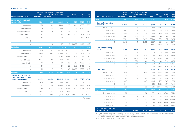#### 2009 (Millions euros)

| <b>Categories of exposure</b>                                                    | <b>Balance</b><br>sheet<br>reassigned <sup>(1)</sup> | Off balance<br>sheet<br>reassigned <sup>(2)</sup> | <b>Exposure</b><br>reassigned<br>$(3) = (1+2)$ | EAD <sup>(4)</sup>       | <b>PD-TTC</b><br>(%) | <b>DLGD</b><br>$(\%)$ | <b>RW</b><br>$(\%)$ |
|----------------------------------------------------------------------------------|------------------------------------------------------|---------------------------------------------------|------------------------------------------------|--------------------------|----------------------|-----------------------|---------------------|
| <b>Central governments and</b><br>central banks                                  | 1.189                                                | 905                                               | 2.094                                          | 1.644                    | 0.79                 | 36.73                 | 15.49               |
| From AAA to AA-                                                                  | 865                                                  | 623                                               | 1.488                                          | 1.177                    | 0.01                 | 40.53                 | 9.00                |
| From $A+$ to $A-$                                                                | 75                                                   | 118                                               | 194                                            | 135                      | 0.09                 | 43.23                 | 25.76               |
| From BBB+ to BBB-                                                                | 56                                                   | 131                                               | 187                                            | 121                      | 0.29                 | 22.22                 | 15.71               |
| From BB+ to BB-                                                                  | 174                                                  | 13                                                | 187                                            | 181                      | 120                  | 16.95                 | 36.81               |
| From B+ to B-                                                                    | 18                                                   | $\overline{4}$                                    | 22                                             | 20                       | 3.70                 | 34.57                 | 92.59               |
| C                                                                                | $\overline{\phantom{a}}$                             | ÷                                                 | $\overline{a}$                                 | $\overline{\phantom{0}}$ | 2116                 | 39.89                 |                     |
|                                                                                  | 1                                                    | 16                                                |                                                | 9                        | 100.00               | 40.00                 | n,s,                |
| D<br><b>Institutions</b>                                                         | 64.612                                               | 8.657                                             | 17<br>73.270                                   | 69.297                   |                      | 27.60                 | 96.77<br>17.81      |
|                                                                                  |                                                      |                                                   |                                                |                          | 0.21                 |                       |                     |
| From AAA to AA-                                                                  | 26,700                                               | 3.185                                             | 29.885                                         | 28,538                   | 0.03                 | 30.95                 | 14.18               |
| From A+ to A-                                                                    | 28.148                                               | 2.771                                             | 30.919                                         | 29.570                   | 0.07                 | 24.19                 | 14.06               |
| From BBB+ to BBB-                                                                | 7.341                                                | 2.393                                             | 9.733                                          | 8.594                    | O.19                 | 27.56                 | 27.80               |
| From BB+ a BB-                                                                   | 2.256                                                | 286                                               | 2.541                                          | 2.413                    | 0.90                 | 28.11                 | 62.06               |
| From B+ a B-                                                                     | 78                                                   | $15 \frac{1}{2}$                                  | 93                                             | 88                       | 5.55                 | 42.86                 | n.s.                |
| C                                                                                | 25                                                   | $\overline{\phantom{a}}$                          | 25                                             | 25                       | 2119                 | 45.00                 | n,s,                |
| D                                                                                | 65                                                   | 7                                                 | 72                                             | 69                       | 100.00               | 65.56                 | 43.45               |
| <b>Corporates</b>                                                                | 99,988                                               | 67,576                                            | 167,564                                        | 137,669                  | 5.12                 | 35.72                 | 51.19               |
| Of which: Total exposures<br>assigned to obligor grades<br>or pools of exposures | 93.270                                               | 64.754                                            | 158,025                                        | 129,391                  | 5.12                 | 35.72                 | 49.22               |
| From AAA to AA-                                                                  | 11.723                                               | 6.164                                             | 17.886                                         | 15.216                   | 0.03                 | 33.54                 | 13.39               |
| From A+ to A-                                                                    | 11.161                                               | 13.305                                            | 24.466                                         | 18.254                   | 0.08                 | 38.45                 | 21.78               |
| From BBB+ to BBB-                                                                | 22.109                                               | 27.867                                            | 49.976                                         | 38.146                   | 0.21                 | 40.36                 | 38.51               |
| From BB+ to BB-                                                                  | 24.437                                               | 11.332                                            | 35.769                                         | 30.664                   | 0.98                 | 32.93                 | 62.37               |
| D                                                                                | 5.031                                                | 668                                               | 5.700                                          | 5.359                    | 100.00               | 37.40                 | 83.29               |

| <b>Categories of exposure</b>         | reassigned <sup>(1)</sup> | reassigned <sup>(2)</sup> | $(3) = (1+2)$ | EAD <sup>(4)</sup> | $(\%)$ | $(\%)$ | $(\%)$ |
|---------------------------------------|---------------------------|---------------------------|---------------|--------------------|--------|--------|--------|
| Retail                                | 74,151                    | 5.009                     | 79,160        | 75,735             | 5.65   | 15.50  | 26.00  |
| Secured by real estate<br>collateral  | 67,025                    | 186                       | 67,211        | 67,070             | 4.94   | 10.44  | 22.49  |
| From AAA to AA-                       | 427                       | 9                         | 436           | 429                | 0.05   | 17.18  | 2.42   |
| From A+ to A-                         | 1,517                     | 3                         | 1,520         | 1,518              | O.1O   | 9.49   | 2.38   |
| From BBB+ to BBB-                     | 6.998                     | 43                        | 7.041         | 7.008              | 0.25   | 10.38  | 4.78   |
| From BB+ to BB-                       | 26,416                    | 105                       | 26,521        | 26,441             | 1.13   | 9.57   | 13.19  |
| From B+ to B-                         | 27,674                    | 25                        | 27,699        | 27,680             | 3.51   | 9.71   | 28.84  |
| C                                     | 2,287                     | $\mathbf{1}$              | 2,288         | 2,287              | 13.91  | 12.59  | 69.77  |
| D                                     | 1,706                     |                           | 1.706         | 1.706              | 100.00 | 32.13  | 95.78  |
| <b>Qualifying revolving</b><br>retail | 3.788                     | 4.823                     | 8.612         | 5.327              | 11.71  | 68.90  | 65.31  |
| From A+ to A-                         | $\overline{a}$            | 1                         | 2             | $\mathbf{1}$       | O.1O   | 84.13  | 4.81   |
| From BBB+ to BBB-                     | 166                       | 1.242                     | 1.408         | 478                | 0.25   | 74.47  | 10.66  |
| From BB+ to BB-                       | 1,551                     | 2,463                     | 4.014         | 2,303              | 0.99   | 73.53  | 32.58  |
| From B+ to B-                         | 1,223                     | 868                       | 2,091         | 1,578              | 4.03   | 71.05  | 82.51  |
| C                                     | 536                       | 247                       | 783           | 654                | 34.10  | 70.38  | 182.55 |
| D                                     | 311                       | $\overline{2}$            | 313           | 313                | 100.00 | 12.33  | 57.97  |
| Other retail                          | 3.337                     | ÷,                        | 3.337         | 3.337              | 11.58  | 31.97  | 33.92  |
| From AAA to AA-                       | 694                       | $\overline{\phantom{a}}$  | 694           | 694                | 0.03   | 50.32  | 5.28   |
| From BBB+ to BBB-                     | 13                        | $\qquad \qquad -$         | 13            | 13                 | 0.29   | 49.63  | 26.27  |
| From BB+ to BB-                       | 245                       |                           | 245           | 245                | 1.14   | 25.90  | 27.67  |
| From B+ to B-                         | 1,805                     | $\overline{a}$            | 1,805         | 1,805              | 5.77   | 23.73  | 37.51  |
| C                                     | 344                       | $\bar{\phantom{a}}$       | 344           | 344                | 12.52  | 21.41  | 41.00  |
| D                                     | 236                       |                           | 236           | 236                | 100.00 | 61.81  | 87.28  |
| <b>Equity PD/LGD method</b>           | 6,187                     | ÷                         | 6,187         | 6,187              | 0.14   | 83.78  | 98.95  |
| From AAA to AA-                       | 872                       | $\overline{a}$            | 872           | 872                | 0.09   | 65.00  | 72.19  |
| From A+ to A-                         | 4,897                     | $\overline{a}$            | 4,897         | 4,897              | O.1O   | 88.46  | 99.94  |
| From BBB+ to BBB-                     | 260                       |                           | 260           | 260                | O.18   | 69.97  | 104.26 |
| From BB+ to BB-                       | 111                       |                           | 111           | 111                | 0.99   | 65.00  | 187.76 |

Balance Off balance Exposure

sheet reassigned

sheet

From B+ to B– 48 – 48 48 2.55 65.00 251.55 TOTAL BY CATEGORY AND OBLIGOR GRADE 246,127 82,148 328,275 290,533 3.96 29.54 37.48

(2) Amount not used included in memorandum accounts corresponding mainly to sums undrawn from credit lines and cards, as well as exposures in letters of credit and documentary credits.

(3) This refers to exposure following the application of risk mitigation techniques.

(4) Value of the exposure in the event of default.

*(Continued)*

RW  $(0/3)$ 

PD-TTC DLGD  $(0/3)$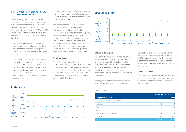#### 4.5.3. Comparative analysis of the estimates made

The following graphs compare the expected loss adjusted to the cycle calculated according to the Group's core internal models in Spain approved by the Bank of Spain, with the effective loss incurred between 2001 and 2010. They also present the average effective loss between 2001 and 2010 in accordance with the following:

- Estimated expected loss calculated with the internal models calibrated to 2010, and adjusted to the economic cycle (green line). that is, the annual average expected loss in an economic cycle.
- Effective loss, calculated as the ratio of new non-performing loans over the average exposure recorded (2001-2010) multiplied by the stressed LGD (light blue line), is the average loss incurred and which should be lower than the expected loss in the best years of an economic cycle, and higher in the bad years.

• Average effective loss (2001-2010) calculated as the average effective PD (probability of default) multiplied by the stressed LGD in the last year (dark blue line).

The comparison has been made for the portfolios of Retail mortgages, SMEs and Developers. In the categories of Institutions (Public and Financial Institutions) and Corporate, historical experience shows that there is such a small number of defaulted exposures (Low Default Portfolios) that it is not statistically significant, and hence the comparison is not shown. This comparison is also not shown for the rest of the Retail portfolios, given the extremely limited relevance of the exposure.

#### Retail mortgages

Despite the downturn in the economic environment, the effective loss in 2010 is below the estimated annual average expected loss for an entire economic cycle. This is due to the conservative criteria included in the internal models and to the risk management approach pursued within the Group.

#### **SMEs and developers**



#### SMEs and developers

The chart illustrates how estimated average Expected Loss for the cycle is consistent with the average of the effective loss in the last nine years. Given the magnitude of the economic recession taken into account in this period, we can conclude that the calculations are aligned with the impairment of the cycled observed.

In the years of highest economic growth the effective loss was lower than the average

expected loss for an economic cycle calculated according to internal models, but starting in 2008 the opposite occurs. This is consistent with the sharp economic slowdown and the financial difficulties businesses had to cope with in recent years.

#### Impairment losses

The table below shows the balance of specific, generic and country risk allowances for losses, by exposure categories, as of December 31, 2010 and 2009.



#### (Millions euros)

|                                       |       | Allowance for asset losses |
|---------------------------------------|-------|----------------------------|
| Categories of exposure                | 2010  | 2009                       |
| Central governments and central banks | 3     | 3                          |
| Institutions                          | 52    | 41                         |
| Corporates                            | 3,396 | 3176                       |
| Retail                                | 996   | 1.033                      |
| Secured by real estate collateral     | 286   | 433                        |
| Other retail                          | 710   | 599                        |
| <b>TOTAL</b>                          | 4.446 | 4.253                      |

#### **Retail mortgages**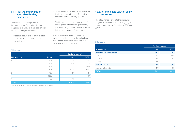#### 4.5.4. Risk-weighted value of specialized lending exposures

The Solvency Circular stipulates that the consideration of specialized lending companies is to apply to those legal entities with the following characteristics:

• That the exposure is to an entity created specifically to finance and/or operate physical assets

(Millions euros)

- That the contractual arrangements give the lender a substantial degree of control over the assets and income they generate.
- That the primary source of repayment of the obligation is the income generated by the assets being financed, rather than in the independent capacity of the borrower.

The following table presents the exposures assigned to each one of the risk weightings of the specialized lending exposures as of December 31, 2010 and 2009:

#### 4.5.5. Risk-weighted value of equity exposures

The following table presents the exposures assigned to each one of the risk weightings of equity exposures as of December 31, 2010 and 2009:

#### (Millions euros)

|                       |        | Original exposure <sup>(1)</sup> |       |  |  |
|-----------------------|--------|----------------------------------|-------|--|--|
| <b>Risk weighting</b> | Factor | 2010                             | 2009  |  |  |
|                       | 50%    | $\qquad \qquad$                  | 191   |  |  |
|                       | 70%    | 4,407                            |       |  |  |
| $\mathcal{P}$         | 70%    | $\overline{\phantom{0}}$         | 4,080 |  |  |
|                       | 90%    | 5,727                            | 5,197 |  |  |
| 3                     | 115%   | 67                               | 23    |  |  |
| 4                     | 250%   | $\overline{\phantom{0}}$         | 47    |  |  |
| 5                     | 0%     | 59                               |       |  |  |
| <b>TOTAL</b>          |        | 10,259                           | 9,539 |  |  |

(1) Gross exposure prior to the application of risk mitigation techniques.

|                              | Original exposure |       |
|------------------------------|-------------------|-------|
| Risk weighting               | 2010              | 2009  |
| Risk weighting simple method | 1,473             | 1,913 |
| 190%                         | 901               | 883   |
| 290%                         | 382               | 780   |
| 370%                         | 190               | 250   |
| <b>PD/LGD method</b>         | 5,375             | 6,187 |
| Internal models method       | 497               | 361   |
| <b>TOTAL</b>                 | 7.345             | 8,461 |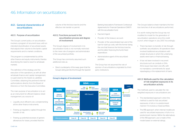### 4.6. Information on securitizations

#### 4.6.1. General characteristics of securitizations

#### 4.6.1.1. Purpose of securitization

The Group's current policy on securitization involves a program of recurrent issue, with an intended diversification of securitized assets that adjusts their volume to the bank's capital requirements and to market conditions.

This program is complemented by all the other finance and equity instruments, thereby diversifying the need to resort to wholesale markets.

The definition of the strategy and the execution of the operations, as with all other wholesale finance and capital management, is supervised by the Assets & Liabilities Committee, obtaining the pertinent internal authorizations directly from the Board of Directors or from the Executive Committee.

The main purpose of securitization is to act as an instrument for efficient balance sheet management, as a source of:

- Liquidity at an efficient cost, complementing all the other finance instruments.
- Freeing up regulatory capital, through the transfer of risk.
- Freeing up potential excesses of generic allowances for losses, provided that the

volume of the first-loss tranche and the effective risk transfer so permit.

#### 4.6.1.2. Functions pursued in the securitization process and degree of involvement

The Group's degree of involvement in its securitization funds is not normally restricted to the mere role of assignor and administrator of the securitized portfolio.

The Group has commonly assumed such additional roles as:

• Direct counterparty of the swap, given that the Group's rating permits this through the Spanish

#### Group's degree of involvement



Banking Association's Framework Contractual Agreements for Financial Operations (CMOF) with the securitization fund.

- Payment Agent.
- Provider of the treasury account.
- Provider of the subordinated loan and of the loan for start-up costs, with the former being the one that finances the first-loss tranche, and the latter financing the fund's fixed expenditure.
- Administrative agent of the securitized portfolio.

The Group has not assumed the role of sponsor of securitizations originated by thirdparty institutions.

The Group's balance sheet maintains the firstloss tranches of all securitizations performed.

It is worth noting that the Group has not modified its model for the generation of securitization operations since the credit crunch, which began in July 2007. Accordingly:

- There has been no transfer of risk through synthetic securitizations. All operations have involved traditional securitizations with simple structures in which the underlying assets were loans or financial leasing.
- It has not been involved in recurrent structures such as conduits or SIVs. All its issues have been one-offs, with no mandatory commitments for asset repackaging or the replacement of loans.

#### 4.6.1.3. Methods used for the calculation of risk-weighted exposures in its securitization activity

The methods used to calculate the riskweighted exposures in securitizations are:

- The standardized approach: when this method is used for fully securitized exposures, in full or in a predominant manner if it involves a mixed portfolio.
- The IRB approach: when internal models are used for securitized exposures, in full or in a predominant manner. Within the alternatives of the IRB approach, use is made of the model based on external ratings.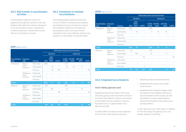#### 4.6.2. Risk transfer in securitization activities

A securitization fulfills the criterion of significant and effective transfer of risk, and therefore falls within the solvency framework of the securitizations, when it upholds the conditions laid down in Rules Fifty-five and Fifty-six in the Solvency Circular.

#### 4.6.3. Investment or retained securitizations

The following table presents the amounts in terms of EAD of investment and retained securitizations by type of exposure, tranche and weighting ranges that correspond to securitizations that, in the case of those originated in the Group, fulfill the criteria of risk transfer as of December 31, 2010 and 2009.

#### 2010 (Millions euros)

|                        |                                   |                | EAD broken down by ECAI tranches |                          |                          |                          |                          |                          |        |
|------------------------|-----------------------------------|----------------|----------------------------------|--------------------------|--------------------------|--------------------------|--------------------------|--------------------------|--------|
|                        |                                   |                |                                  | <b>Standard</b>          |                          |                          |                          | Advanced                 |        |
| Securitization<br>type | <b>Exposure</b><br>type           | <b>Tranche</b> | 20%                              | 50%;<br>100%;<br>350%    | 1.250%                   | $6 - 10\%$<br>12-18%     | 50-75%;<br>100%          | 250-425-<br>625%         | 1.250% |
| Investment             | Balance-                          | Preferential   | 4,601                            |                          | $\overline{\phantom{0}}$ | 1,011                    |                          |                          |        |
|                        | sheet<br>exposure                 | Intermediate   | $\overline{a}$                   | 39                       | $\overline{a}$           | 10                       | 25                       | $\overline{4}$           |        |
|                        |                                   | First-losss    | $\overline{a}$                   | 38                       | 184                      | $\overline{\phantom{0}}$ | $\overline{a}$           | $\overline{a}$           | 69     |
|                        | Off-balance-<br>sheet<br>exposure | Preferential   |                                  |                          | $\overline{\phantom{0}}$ |                          |                          | $\overline{\phantom{0}}$ |        |
|                        |                                   | Intermediate   |                                  |                          | $\overline{\phantom{0}}$ | $\overline{\phantom{0}}$ | $\overline{\phantom{0}}$ |                          |        |
|                        |                                   | First-losss    |                                  |                          | $\overline{\phantom{0}}$ |                          |                          | $\overline{\phantom{0}}$ |        |
| <b>TOTAL</b>           |                                   |                | 4,601                            | 77                       | 184                      | 1,021                    | 25                       | $\overline{4}$           | 69     |
| Retained               | Balance-                          | Preferential   | 524                              |                          | $\overline{a}$           | 1.183                    | $\overline{\phantom{a}}$ | $\overline{a}$           |        |
|                        | sheet<br>exposure                 | Intermediate   | $\qquad \qquad -$                | 338                      | $\overline{\phantom{0}}$ | 25                       |                          | 15                       |        |
|                        |                                   | First-losss    |                                  | $\overline{\phantom{0}}$ | 88                       | $\overline{\phantom{0}}$ | $\overline{\phantom{0}}$ | $\overline{a}$           | 94     |
|                        | Off-balance-                      | Preferential   | $\overline{\phantom{0}}$         |                          | $\overline{a}$           | $\overline{\phantom{0}}$ |                          | $\overline{a}$           |        |
|                        | sheet<br>exposure                 | Intermediate   |                                  |                          |                          | $\overline{a}$           |                          | $\overline{a}$           |        |
|                        |                                   | First-losss    |                                  |                          | 35                       | $\overline{\phantom{0}}$ |                          | $\overline{\phantom{0}}$ |        |
| <b>TOTAL</b>           |                                   |                | 524                              | 338                      | 123                      | 1.207                    |                          | 15                       | 94     |

#### 2009 (Millions euros)

|                        |                                   |                 | EAD broken down by ECAI tranches |                          |                          |                          |                          |                          |        |
|------------------------|-----------------------------------|-----------------|----------------------------------|--------------------------|--------------------------|--------------------------|--------------------------|--------------------------|--------|
|                        |                                   | <b>Standard</b> |                                  |                          | Advanced                 |                          |                          |                          |        |
| Securitization<br>type | Exposure<br>type                  | <b>Tranche</b>  | 20%                              | 50%;<br>100%;<br>350%    | 1,250%                   | 12-18%                   | 6-10%; 50-75%;<br>100%   | 250-425-<br>625%         | 1,250% |
| Investment             | Balance-                          | Preferential    | 3,631                            |                          | $\overline{a}$           | 1,085                    | $\overline{a}$           |                          |        |
|                        | sheet<br>exposure                 | Intermediate    | $\overline{a}$                   | 97                       |                          | 9                        | 18                       | 10                       |        |
|                        |                                   | First-losss     | $\overline{a}$                   | $\overline{a}$           |                          |                          | $\overline{a}$           |                          |        |
|                        | Off-balance-<br>sheet<br>exposure | Preferential    |                                  |                          |                          |                          |                          |                          |        |
|                        |                                   | Intermediate    |                                  |                          |                          |                          |                          |                          |        |
|                        |                                   | First-losss     |                                  |                          | $\overline{\phantom{0}}$ |                          | $\overline{\phantom{0}}$ |                          |        |
| <b>TOTAL</b>           |                                   |                 | 3,631                            | 97                       | ۰                        | 1,095                    | 18                       | 10                       |        |
| Retained               | Balance-<br>sheet<br>exposure     | Preferential    | 731                              |                          |                          | 1,251                    | $\overline{\phantom{0}}$ |                          |        |
|                        |                                   | Intermediate    | $\overline{\phantom{a}}$         | 744                      | $\overline{\phantom{0}}$ | 25                       | $\overline{a}$           | 15                       |        |
|                        |                                   | First-losss     |                                  | $\overline{\phantom{0}}$ | 93                       | $\overline{\phantom{a}}$ | $\overline{a}$           | $\overline{\phantom{0}}$ | 93     |
|                        | Off-balance-                      | Preferential    |                                  | $\overline{\phantom{a}}$ | $\overline{\phantom{0}}$ |                          | $\overline{\phantom{a}}$ |                          |        |
|                        | sheet<br>exposure                 | Intermediate    |                                  |                          |                          |                          | $\overline{a}$           |                          |        |
|                        |                                   | First-losss     |                                  | $\overline{a}$           | 11                       |                          | $\overline{a}$           |                          |        |
| <b>TOTAL</b>           |                                   |                 | 731                              | 744                      | 104                      | 1.275                    |                          | 15                       | 93     |

#### 4.6.4. Originated securitizations

#### 4.6.4.1. Rating agencies used

Regarding those issues made in the Group, the rating agencies that have been involved in the issues that fulfill the criteria of risk transfer and fall within the securitizations' solvency framework are, on a general basis, Fitch, Moody's and S&P.

In all the SSPEs, the agencies have assessed the risk of the entire issuance structure:

- Awarding ratings to all bond tranches.
- Establishing the volume of the credit enhancement.
- Establishing the necessary triggers (early termination of the restitution period, prorata amortization of AAA classes, pro-rata amortization of series subordinated to AAA and amortization of the reserve fund, amongst others)

In each and every one of the issues, in addition to the initial rating, the agencies carry out regular quarterly monitoring.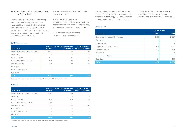#### 4.6.4.2. Breakdown of securitized balances by Type of Asset

The next table gives the current outstanding balance, non-performing exposures and impairment losses recognized in the period corresponding to the underlying assets of originated securitizations, in which risk transfer criteria are fulfilled, by type of asset, as of December 31, 2010 and 2009.

#### 2010 (Millions euros)

| Type of asset                        | Current<br>balance | Of which: non-performing<br>exposures <sup>(1)</sup> | <b>Total impairment</b><br>losses for the period |
|--------------------------------------|--------------------|------------------------------------------------------|--------------------------------------------------|
| Commercial and residential mortgages | 5.624              | 125                                                  | 13                                               |
| Credit cards                         |                    |                                                      |                                                  |
| Financial leasing                    | 922                | 87                                                   | 16                                               |
| Lending to corporates or SMEs        | 1.506              | 134                                                  | 24                                               |
| Consumer lending                     | 1.695              | 152                                                  | 65                                               |
| Receivables                          |                    |                                                      |                                                  |
| Securitization balances              |                    |                                                      |                                                  |
| Derivatives                          |                    |                                                      |                                                  |
| <b>TOTAL</b>                         | 9.747              | 498                                                  | 118                                              |

The Group has not securitized positions in

securitizations that fulfill the transfer criteria as per the requirements of the Solvency Circular, and, therefore, no results were recognized.

In 2010 and 2009, there were no

BBVA has been the structurer of all transactions effected since 2006.

revolving structures.

(1) It includes the total amount of exposures impaired for reasons of default or for other reasons.

#### 2009 (Millions euros)

| Type of asset                        | Current<br>balance       | Of which: non-performing<br>exposures <sup>(1)</sup> | <b>Total impairment</b><br>losses for the period |
|--------------------------------------|--------------------------|------------------------------------------------------|--------------------------------------------------|
| Commercial and residential mortgages | 6.385                    | 145                                                  |                                                  |
| Credit cards                         |                          | ٠                                                    |                                                  |
| Financial leasing                    | 1.479                    | 10 <sub>5</sub>                                      | 16                                               |
| Lending to corporates or SMEs        | 2.238                    | 157                                                  |                                                  |
| Consumer lending                     | 2.737                    | 245                                                  | 55                                               |
| <b>Receivables</b>                   |                          |                                                      |                                                  |
| Securitization balances              | $\overline{\phantom{0}}$ | $\overline{\phantom{0}}$                             |                                                  |
| Derivatives                          |                          |                                                      |                                                  |
| <b>TOTAL</b>                         | 12.838                   | 653                                                  | 79                                               |

(1) It includes the total amount of exposures impaired for reasons of default or for other reasons,

The next table gives the current outstanding balance of underlying assets of securitizations originated by the Group, in which risk transfer criteria are not fulfilled. These therefore do

not enter within the solvency framework of securitizations; the capital exposed is calculated as if they had not been securitized:

#### (Millions euros)

|                                      | <b>Current balance</b>   |        |  |
|--------------------------------------|--------------------------|--------|--|
| Type of asset                        | 2010                     | 2009   |  |
| Commercial and residential mortgages | 23,876                   | 24,537 |  |
| Credit cards                         |                          |        |  |
| Financial leasing                    | 23                       | 21     |  |
| Lending to corporates or SMEs        | 6,178                    | 6,407  |  |
| Consumer lending                     | 2,481                    | 1.801  |  |
| Receivables                          |                          | 3      |  |
| Securitization balances              | $\overline{\phantom{0}}$ |        |  |
| Derivatives                          | 154                      | 208    |  |
| <b>TOTAL</b>                         | 32,712                   | 32,976 |  |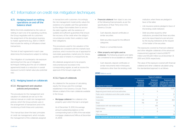## 4.7. Information on credit risk mitigation techniques

#### 4.7.1. Hedging based on netting operations on and off the balance sheet

Within the limits established by the rules on netting in each one of its operating countries, the Group negotiates with its customers the assignment of the derivatives business to master agreements (e.g., ISDA or CMOF) that include the netting of off-balance sheet transactions.

The text of each agreement in each case determines the transactions subject to netting.

The mitigation of counterparty risk exposure stemming from the use of mitigation techniques (netting plus the use of collateral agreements) leads to a reduction in overall exposure (current market value plus potential risk).

#### 4.7.2. Hedging based on collaterals

#### 4.7.2.1. Management and valuation policies and procedures

The procedures for the management and valuation of collaterals are set out in the internal manual on credit risk management policies, which the Group actively uses in the arrangement of transactions and in the monitoring of both these and customers.

This manual lays down the basic principles of credit risk management, which includes the management of the collaterals assigned in transactions with customers. Accordingly, the risk management model jointly values the existence of a suitable cash flow generation by the obligor that enables them to service the debt, together with the existence of suitable and sufficient guarantees that ensure the recovery of the credit when the obligor's circumstances render them unable to meet their obligations.

The procedures used for the valuation of the collateral are consistent with the market's best practices, which involve the use of appraisal for real estate guarantees, market price for shares, quoted value of shares in a mutual fund, etc.

All collaterals assigned are to be properly instrumented and recorded in the corresponding register, as well as receive the approval of the Group's Legal units.

#### 4.7.2.2. Types of collaterals

As collateral for the purpose of calculating equity, the Group uses the coverage established in the Solvency Circular. There follows a detail of the main collaterals available in the Group:

• Mortgage collateral: the collateral is the property upon which the loan is arranged.

As of December 31, 2010, the average amount outstanding balance on the corresponding loans is 53% of the real estate mortgage collateral and 54% as at December 31, 2009.

- Financial collateral: their object is any one of the following financial assets, as per the specifications of Rule Thirty-nine in the Solvency Circular:
	- Cash deposits, deposit certificates or similar securities.
	- Debt securities issued for the different categories.
	- Shares or convertible bonds.
- • Other property and rights used as collaterals: The following property and rights are considered to be acceptable as collateral:
	- Cash deposits, deposit certificates or similar instruments held in third-party institutions other than the lending credit

#### 2010 (Millions euros)

The value of the exposure covered with financial collateral and other collateral calculated using the standardized approach is as follows: Types of collateral Exposure covered by financial collaterals Exposure covered by netting and volatility other eligible collaterals Exposure after adjustments covered by eligible collaterals

2010 and 2009, respectively.

institution, when these are pledged in

– Life insurance policies pledged in favor of

institutions, provided that these securities are to be repurchased at a pre-set price by the issuing institutions at the request

the lending credit institution. – Debt securities issued by other

of the holder of the securities.

The exposures covered by financial collateral and other ellegible collaterals of the advanced measurement approach stand at €68,717 million and €51,220 million as at December 31

favor of the latter.

| <b>Categories of exposure</b>                        | financial<br>collaterals | other eligible<br>collaterals | adjustments covered<br>by eligible collaterals |
|------------------------------------------------------|--------------------------|-------------------------------|------------------------------------------------|
| Central governments and central banks                |                          |                               | 12,416                                         |
| Regional governments and local authorities           |                          | 9                             |                                                |
| Public sector institutions and other public entities | 17                       |                               | 32                                             |
| Institutions                                         |                          | 3                             | 6                                              |
| Corporates                                           | 134                      | 262                           | 460                                            |
| Retail                                               | 716                      | 37                            |                                                |
| Collateralized with real estate property             |                          | 476                           | 18                                             |
| Default status                                       |                          | 5                             |                                                |
| High risk                                            |                          | 8                             | 5                                              |
| Other exposures                                      |                          |                               | 23                                             |
| <b>TOTAL EXPOSURE VALUE AFTER GUARANTEES</b>         | 867                      | 800                           | 12,961                                         |
|                                                      |                          |                               |                                                |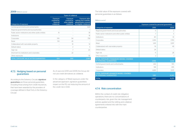#### 2009 (Millions euros)

|                                                      | <b>Types of collateral</b>                                |                                                                |                                                                                                   |
|------------------------------------------------------|-----------------------------------------------------------|----------------------------------------------------------------|---------------------------------------------------------------------------------------------------|
| Categories of exposure                               | <b>Exposure</b><br>covered by<br>financial<br>collaterals | <b>Exposure</b><br>covered by<br>other eligible<br>collaterals | <b>Exposure after</b><br>netting and volatility<br>adjustments covered<br>by eligible collaterals |
| Central governments and central banks                |                                                           |                                                                | 1.631                                                                                             |
| Regional governments and local authorities           |                                                           |                                                                |                                                                                                   |
| Public sector institutions and other public entities | 15                                                        |                                                                | 78                                                                                                |
| Institutions                                         |                                                           |                                                                | 18                                                                                                |
| Corporates                                           | 106                                                       | 94                                                             | 758                                                                                               |
| Retail                                               | 513                                                       | 45                                                             |                                                                                                   |
| Collateralized with real estate property             |                                                           | 31                                                             | 14                                                                                                |
| Default status                                       |                                                           | $\mathcal{P}$                                                  | 5                                                                                                 |
| High risk                                            |                                                           | 7                                                              | 20                                                                                                |
| Short term to institutions and corporates            |                                                           | 22                                                             |                                                                                                   |
| Other exposures                                      |                                                           |                                                                | 55                                                                                                |
| <b>TOTAL EXPOSURE VALUE AFTER GUARANTEES</b>         | 634                                                       | 200                                                            | 2.580                                                                                             |

#### 4.7.3. Hedging based on personal guarantees

According to the Solvency Circular, signature guarantees are those personal guarantees, including those arising from credit insurances, that have been awarded by the providers of coverage defined in Rule Forty in the Solvency Circular.

As of year-end 2010 and 2009, the Group did not use credit derivatives as collateral.

In the category of Retail exposure under the advanced approach, signature guarantees impact on the PD, not reducing the amount of the credit risk in EAD.

The total value of the exposure covered with personal guarantees is as follows:

#### (Millions euros)

|                                                                    | Exposure covered by personal guarantees |        |
|--------------------------------------------------------------------|-----------------------------------------|--------|
| Categories of exposure                                             | 2010                                    | 2009   |
| Regional governments and local authorities                         | 9                                       | 2      |
| Public sector institutions and other public entities               | 7                                       | 5      |
| Institutions                                                       | 40                                      | 61     |
| Corporates                                                         | 2.416                                   | 1.790  |
| Retail                                                             | 1.431                                   | 1.097  |
| Collateralized with real estate property                           | 16                                      | 49     |
| Default status                                                     | 24                                      |        |
| High risk                                                          | 11                                      | 28     |
| Other exposures                                                    | 2                                       |        |
| TOTAL EXPOSURE STANDARIZED MODEL COVERED<br>BY PERSONAL GUARANTEES | 3.956                                   | 3.033  |
| Central governments and central banks                              | 442                                     | 510    |
| Institutions                                                       | 518                                     | 655    |
| Corporates                                                         | 6.891                                   | 7.075  |
| TOTAL EXPOSURE ADVANCED MODEL COVERED<br>BY PERSONAL GUARANTEES    | 7.851                                   | 8.240  |
| <b>TOTAL</b>                                                       | 11.807                                  | 11.273 |

#### 4.7.4. Risk concentration

Within the context of credit risk mitigation operations, there are no concentrations of counterparty risk, given the risk management policies applied and the netting and collateral agreements entered into with the main counterparties.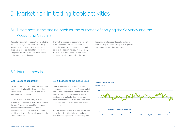## 5. Market risk in trading book activities

## 5.1. Differences in the trading book for the purposes of applying the Solvency and the Accounting Circulars

Regulatory trading book activities include the positions managed by the Group's Trading units, for which market risk limits are set and these are monitored daily. Moreover, they comply with the other requirements defined in the solvency regulations.

The trading book as an accounting concept is not confined to any business area, but rather follows the true reflection criteria laid down in the accounting regulations. Hence, for example, all derivatives are booked as accounting trading book unless they are

hedging derivates, regardless of whether or not they are part of the Trading units' exposure or they come from other business areas.

## 5.2. Internal models

#### 5.2.1. Scope of application

For the purposes of calculating own funds, the scope of application of the internal model for market risk extends to BBVA S.A. and BBVA Bancomer Trading Floors.

For the purposes of calculating own funds requirements, the Bank of Spain has authorized the use of the internal model for measuring price risk commodity positions and/or exchange rate and gold risk in trading book activities held by the Group in its operations in Spain and Mexico.

#### 5.2.2. Features of the models used

Value at Risk (VaR) is the basic variable for measuring and controlling the Group's market risk. This risk metric estimates the maximum loss that may occur in a portfolio's market positions for a particular time horizon and given confidence level. VaR is calculated in the Group at a 99% confidence level and a 1-day time horizon.

In BBVA and BBVA Bancomer, VaR is estimated using the Historic Simulation methodology. This methodology consists of observing how

#### **Trends in market risk**

(Million euros)

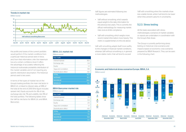#### **Trends in market risk**





the profits and losses of the current portfolio would perform if the market conditions from a particular historical period were in force, and, from that information, infer the maximum loss at a certain confidence level. It offers the advantage of accurately reflecting the historical multivariate probability distribution of the market variables and of not requiring any specific distribution assumption. The historical period used is two years.

In terms of the types of market risk on the Group's trading portfolio, the main risk factor in BBVA S.A. is linked to interest rates, at 58% of the total at the end of 2010 (this figure includes spread risk). Equity accounts for 4% of risk, exchange-rate risk 7% and volatility risk 31% of the total portfolio. The following tables show the VaR by risk factor for BBVA S.A. and BBVA Bancomer:

#### BBVA, S.A. market risk  $(A)$

| Millions euros).       |         |
|------------------------|---------|
| <b>Risk (VaR)</b>      |         |
| Interest+spread        | 18.9    |
| Exchange rate          | 24      |
| Equity                 | 1.2     |
| Vega and correlation   | 99      |
| Diversification effect | $-16.1$ |
| <b>TOTAL</b>           | 16.4    |
| <b>AVERAGE</b>         | 21.2    |
| <b>MAXIMUM</b>         | 26.6    |

MINIMUM 15.1 Contract of the Contract of the 15.1

#### BBVA Bancomer market risk (Millions euros)

| <b>Risk (VaR)</b>      |        |
|------------------------|--------|
| Interest+spread        | 7.0    |
| Exchange rate          | 03     |
| Equity                 | 25     |
| Vega and correlation   | 17     |
| Diversification effect | $-4.0$ |
| <b>TOTAL</b>           | 7.5    |
| <b>AVERAGE</b>         | 7.5    |
| <b>MAXIMUM</b>         | 11.8   |
| <b>MINIMUM</b>         | 4.5    |

VaR figures are estimated following two methodologies:

- VaR without smoothing, which awards equal weight to the daily information for the previous two years. This is currently the official methodology for measuring market risks vis-à-vis limits compliance.
- VaR with smoothing, which weighs more recent market information more heavily. This metric is supplementary to the one above.

VaR with smoothing adapts itself more swiftly to the changes in financial market conditions, whereas VaR without smoothing is, in general, a more stable metric that will tend to exceed

VaR with smoothing when the markets show less volatile trends, while it will tend to be lower when they present upturns in uncertainty.

#### 5.2.3. Stress testing

All the tasks associated with stress, methodologies, scenarios of market variables or reports are undertaken in coordination with the Group's Risk Areas.

The Group is currently performing stress testing on historical crisis scenarios and impacts based on economic crisis scenarios prepared by BBVA Research. They can be seen in the following chart.





Market risk in trading book activities 45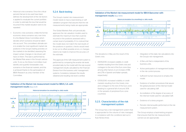- Historical crisis scenarios: Once the critical periods that are to be used have been defined, the development of the risk factors is applied to revaluate the current portfolio in order to estimate the loss that would be incurred if this market situation were to be repeated.
- Economic crisis scenarios: Unlike the former, economic stress scenarios vary over time. It is the Market *Stress* Committee which decides which scenarios should be taken into account. This committee's ultimate aim is to enable the most significant market risk positions in the Group's trading activities on the markets to be identified, assessing the impact certain changes in risk drivers will have on them. This task is performed by the Market Risk areas in the Group's various units. To do so, the Stress Committee must identify and quantify foreseeable crisis scenarios in the financial markets, and this is achieved thanks to the participation of BBVA Research as a key member of the **Committee**

#### 5.2.4. Back-testing

The Group's market risk measurement model needs to have a back-testing or selfvalidation program that assures that the risk measurements being made are appropriate.

The Global Markets Risk unit periodically approves the risk valuation models used to estimate the maximum loss that could be incurred in the positions assessed with a certain level of probability. If it is noticed that the model does not match the real results of the positions in question, checks would need to be run to offset possible errors, or changes need to be made to improve the accuracy of the estimate.

The approval of the VaR measurement system is performed by comparing the ex-ante risk levels provided daily by the model with the real, ex-post management results calculated by the Financial Division from the business units' management systems. Consistency between the results obtained and resulting risk level is verified.

#### Validation of the Market risk measurement model for BBVA, S.A. with management results (Base EUR)



#### Validation of the Market risk measurement model for BBVA Bancomer with management results (Base MXN)



The deviations in May are the result of the Greek crisis:

- 05/05/2010: increased volatility in credit markets resulting from the Greek crisis and contagion to the rest of the Euro zone (due, among other factors, to an increase of 18% and 27% in Spanish and Italian spreads, respectively).
- 07/05/2010: increased volatility in credit markets resulting from the Greek crisis and contagion to the rest of the Euro zone (leading to a general fall of around 30% in the spreads of peripheral Euro zone countries).

#### 5.2.5. Characteristics of the risk management system

The Group has a risk management system that is appropriate for the volume of risks managed, in compliance with the conditions laid out in Rule Ninety-three.

- Integration of the daily risk calculations into the Group's risk management.
- A Risk unit that is independent of the business units.
- Active participation of management bodies in the risk control process.
- Sufficient human resources to employ the model.
- Existence of written procedures that assure the global precision of the internal model used for calculating VaR.
- Accreditation of the degree of accuracy of the internal model used for calculated VaR.
- Existence of a stress program.
- Periodic internal audits performed on the risk measurement system.

The Group employs a back-testing program that ensures that the risk measurements carried out are appropriate.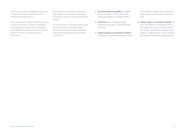The Group uses internal validation procedures for the model that are independent of the model development process.

VaR is calculated at a 99% confidence level and a 1-day time horizon. In order to extrapolate to the regulatory 10-day horizon, the figures are multiplied by square root of 10. A historical period of 2 years is used for risk factor observation.

The market risks model has a sufficiently large number of risk factors depending on the business volume in the various financial markets.

For the purposes of calculating bank capital requirements for the trading portfolio, the Group is incorporating the new Basel requirements stipulated by the European Directive for:

- 1. Incremental Risk Charge(IRC): Calculates the risk not captured by the VaR model, specifically migration and default events.
- 2. VaR Stress: Gives a VaR figure using parameters calculated in a period of stress conditions.
- 3. Capital charge on securitization portfolio: The specific risk will be calculated according

to the standard method rules, i.e. the same capital charge as a position in the banking book.

4. Capital charge on correlation portfolio: The risk is calculated by the standard method and supervisory formula. The perimeter of this charge is fixed to Nth-to-default market positions, market tranches, only for positions with an active market and hedging capacity.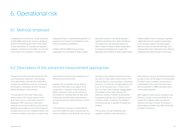## 6. Operational risk

### 6.1. Methods employed

In keeping with the Solvency Circular, advanced models (AMA method) are used in a significant portion of the banking perimeter in the sphere of Spain and Mexico to calculate the regulatory capital for operational risk for Pillar I. For the rest of the Group, the calculation is carried out by

applying the basic or standardized approach, as required, to the relevant consolidated income from the remaining subsidiaries.

In March 2010 the BBVA Group received authorization from the Bank of Spain to apply advanced models for calculating regulatory capital by operational risk in Spain and Mexico. This made it the only financial institution to date to obtain the Bank of Spain's classification for advanced operational risk models. The application and the Bank of Spain's authorization initially establish a floor on saving in regulatory capital, defined as the capital corresponding to the standard method. The authorization also lists a series of improvements that, once implemented in the model, will result in effective operational risk capital savings for the Group.

### 6.2. Description of the advanced measurement approaches

The advanced internal model follows the LDA (Loss Distribution Approach) methodology. This methodology estimates the distribution of losses by operational event by convoluting the frequency distribution and the loss given default distribution of said events.

The calculations have been made using internal data on the Group's historic losses as its main source of information. External databases (ORX consortium) have been employed to enrich the data from this internal database and to take account of the impact of possible events not yet considered therein, and scenario simulations have been included using

information from the Group's operational risk self-assessment tool (Ev-Ro).

However, the combination of the different sources of information is an aspect of the model that is constantly being developed. BBVA continues to work on the analysis of techniques for rescaling external data while looking into possible capital adjustments to include internal and external business control factors.

The distribution of losses is constructed for each of the different types of operational risk, which are defined as per Basel Accord cells, for example, a cross between business line and risk class. In those cases in which there is not sufficient data for a sound analysis, it becomes necessary to undertake cell aggregations, and to do so the business line is chosen as the axis. In certain cases, a greater disaggregation of the Basel cell has been selected. The objective consists of identifying statistically homogenous groups and a sufficient amount of data for proper modeling. The definition of these groupings is regularly reviewed and updated.

The Solvency Circular establishes that regulatory capital for operational risk is

determined as the sum of individual estimates by type of risk, but the option of incorporating the effect of the correlation among them is contemplated. This impact has been taken into consideration in BBVA estimates with a conservative approach.

With regards to other factors included in the Solvency Circular, current estimates do not include the mitigation effect provided by insurance activities, however an analysis is being made of whether said effect should be included in the future.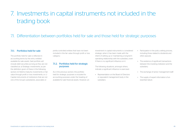## 7. Investments in capital instruments not included in the trading book

## 7.1. Differentiation between portfolios held for sale and those held for strategic purposes

#### 7.1.1. Portfolios held for sale

The portfolio held for sale is reflected in accounting terms by the entry entitled available-for-sale assets. Said portfolio will include debt securities as long as they are not classified as: a) Strategic investments, as per the definition given of these in the following section; b) Held-to-maturity investments or fair value through profit or loss investments; or c) Capital instruments of institutions that are not one of the Group's subsidiaries, associates or

jointly-controlled entities that have not been included in the fair value through profit or loss category.

#### 7.1.2. Portfolios held for strategic purposes

As in the previous section, the portfolio held for strategic purposes is included for accounting purposes under the heading of available-for-sale financial assets. However, an investment in capital instruments is considered strategic when it has been made with the intent of setting up or maintaining a long-term operating relationship with the subsidiary, even if there is no significant influence on it.

The following situations, amongst others, indicate a significant influence is exercised:

• Representation on the Board of Directors or equivalent management body in the subsidiary

- Participation in the policy setting process, including those related to dividends and other payouts.
- The existence of significant transactions between the investing institution and the subsidiary.
- The exchange of senior management staff.
- The supply of expert information of an essential nature.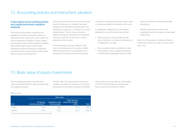## 7.2. Accounting policies and instrument valuation

#### A description of accounting policies and capital instrument valuation methods

The financial instruments contained in the available-for-sale financial assets portfolio are valued at their fair value both in their initial entry and on subsequent valuations. These changes are recorded in equity unless objective evidence exists that the fall in value is due to asset impairment where the amounts recorded will be written-off from equity and they will be taken directly to the income statement.

The fair value is the amount for which an asset could be made over or a liability cancelled, between duly informed interested parties in a transaction carried out in conditions of mutual independence. The fair value is reached without making any deduction for transaction costs that might be incurred due to sale or disposal by other means.

In the initial entry, the best evidence of fair value is the listing price on an active market. When these prices are not available, recent transactions on the same instrument will be

consulted or valuation techniques based solely on data observable in the market will be used.

In subsequent valuations, fair value will be obtained by one of the following methods:

- Prices quoted on active markets for the same instrument, i.e., without modification or reorganizing in any way.
- Prices quoted on active markets for similar instruments or other valuation techniques in which all the meaningful inputs are used

based on directly or indirectly observable market data.

• Valuation techniques in which some meaningful input is not based on observable market data.

When it is not possible to reliably estimate a capital instrument's fair value, it will be valued at its cost.

### 7.3. Book value of equity investments

The accompanying table shows the book values of portfolios held for sale and those held for strategic purposes.

The fair value of the permanent investment portfolio, calculated on the basis of the official listing price of the listed companies was €694 million below the book value as at December 31, 2010 and €476 million euros above the book value as at December 31, 2009.

#### (Millions euros)

|          | <b>Book value</b>                                |                                        |                                                  |        |  |  |
|----------|--------------------------------------------------|----------------------------------------|--------------------------------------------------|--------|--|--|
| Item     | Permanent<br>investment portfolio <sup>(1)</sup> | Available-for-sale<br>financial assets | Other financial<br>assets with changes<br>in P&L | Total  |  |  |
| 31/12/10 | 6.779                                            | 5.493                                  | 578                                              | 12.851 |  |  |
| 31/12/09 | 6.583                                            | 6.326                                  | 418                                              | 13327  |  |  |

(1) It includes investments in associates and jointly-controlled entities.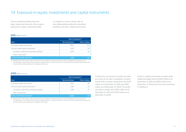### 7.4. Exposure in equity investments and capital instruments

The accompanying table shows the types, nature and amounts of the original exposures in equity investments listed

or unlisted on a stock market, with an item differentiating sufficiently diversified portfolios and other unlisted instruments.

#### 2010 (Millions euros)

|                                                 | Type of exposure <sup>(1)</sup> |               |
|-------------------------------------------------|---------------------------------|---------------|
| Item                                            | Non-derivatives                 | Other trading |
| Exchange traded instruments                     | 4.809                           |               |
| Non-exchange traded instruments                 | 2.476                           | -42           |
| Included in sufficiently diversified portfolios | 2.476                           |               |
| Other instruments                               |                                 |               |
| <b>TOTAL POSITIONS IN EQUITY</b>                | 7.285                           | 60            |

(1) Depending on their nature, equity instruments not included in trading book activity will be separated into derivatives and non-derivatives, The amount shown refers to original exposure, i,e, gross exposure of value corrections through asset impairment and provisions, before applying risk mitigation techniques,

#### 2009 (Millions euros)

|                                                 | Type of exposure <sup>(1)</sup> |               |
|-------------------------------------------------|---------------------------------|---------------|
| Item                                            | Non-derivatives                 | Other trading |
| Exchange traded instruments                     | 5.629                           | -56           |
| Non-exchange traded instruments                 | 2.916                           | -27           |
| Included in sufficiently diversified portfolios | 2.916                           | -27           |
| Other instruments                               |                                 |               |
| <b>TOTAL POSITIONS IN EQUITY</b>                | 8.545                           |               |

(1) Depending on their nature, equity instruments not included in trading book activity will be separated into derivatives and non-derivatives, The amount shown refers to original exposure, i.e. gross exposure of value corrections through asset impairment and provisions, before applying risk mitigation techniques,

Furthermore, the amount of profits recorded as a result of the sale or liquidation of equity instruments or equity investments was €224 million as at December 31, 2010 and €266 million as of December 31, 2009. The profits recorded in equity were €1,120 million as at December 31, 2010 and €1,541 million as at December 31, 2009.

Profits in capital instruments included under additional capital stood at €563 million as at December 31, 2010 and €830 million as at December 31, 2009, most from the investment in Telefónica.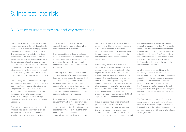## 8. Interest-rate risk

## 8.1. Nature of interest rate risk and key hypotheses

The Group's exposure to variations in market interest rates is one of the main financial risks linked to the pursuit of its banking operations. The risk of repricing, which stems from the difference between the periods for reviewing interest rates or the maturity of investment transactions vis-ŕ-vis their financing, constitutes the basic interest rate risk to be considered. Nonetheless, other risks such as the exposure to changes in the slope and shape of interest rate curves and the risk of optionality present in certain banking transactions are also taken into consideration by risk control mechanisms.

The sensitivity measurements of the Group's net interest income and economic value in the face of variations in market interest rates are complemented by provisional scenarios and risk measurements using curve simulation processes, thereby allowing an assessment of the impact changes have on the slope, curvature and parallel movements of varying magnitude.

Especially important in the measurement of structural interest rate risk, which is carried out every month, is the establishment of hypotheses on the evolution and performance of certain items on the balance sheet, especially those involving products with no explicit or contractual due date.

The most significant of these hypotheses are those established on current and savings accounts, since they largely condition risk levels given the volume they represent within the liabilities of the Group's financial institutions.

A prior step to the study of these liabilities necessarily involves "account segmentation". To do so, the balances on the balance sheet are broken down by products, analyzed separately and subsequently grouped according to their common features, especially regarding the criteria on the remuneration of each account and independently of the accounting standards on grouping.

A first stage involves analyzing the relationship between the trends in market interest rates and the interest rates of those accounts with no contractual due date. This relationship is established by means of models that show whether the account's remuneration can be considered either fixed-rate (there is no

relationship between the two variables) or variable-rate. In this latter case, an assessment is made of whether this relationship is produced with some form of delay and what the percentage impact of the variations in market interest rates is on the account's interest rate.

Subsequently, an analysis is made of the evolution over time of the balances in each category in order to establish their trend, as regards the seasonal variations in the balance. It is assumed that these seasonal variations mature in the very short term, whereas the trend in the balance is given a long-term maturity. This prevents oscillations in the level of risks caused by momentary variations in balances, thus favoring the stability of balancesheet management. This breakdown of amounts is made by the regressions that best adjust the balance's evolution over time.

Group companies have opted for different procedures to determine the maturity of transactional liabilities, taking into account the varying nature of markets and the availability of historical data. In the Group's case, calculation is made of the average period

of effectiveness of the accounts through a descriptive analysis of the data. An analysis is made of the distribution of the accounts that make up a product by "contractual period" and establishment is made of the "average life" of the accounts that make up said product. On the basis of the "average contractual period", the "maturity" of the trend in the balance is ascertained for the product.

A further aspect to be considered in the model's hypotheses is the analysis of the prepayments associated with certain positions, especially with the loan-book and mortgage portfolios. The evolution of market interest rates conditions the incentive that the bank's customer has to proceed to the early repayment of the loan granted, modifying the calendar of payments initially specified in the contract.

The function used to estimate future early repayments, in light of a given interest rate scenario, is obtained through the analysis of historical data on the early repayment of loans, and their relationship with market interest rates at any given moment.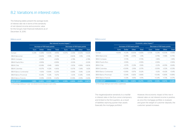### 8.2. Variations in interest rates

The following tables present the average levels of interest rate risk in terms of the sensitivity of net interest income and economic value for the Group's main financial institutions as of December 31, 2010:

#### (Millions euros)

|                               | Net interest income impact (1) |               |                              |              |                          |                              |           |              |  |  |
|-------------------------------|--------------------------------|---------------|------------------------------|--------------|--------------------------|------------------------------|-----------|--------------|--|--|
|                               |                                |               | Increase of 100 basis points |              |                          | Decrease of 100 basis points |           |              |  |  |
|                               | Euro                           | <b>Dollar</b> | Other                        | <b>Total</b> | Euro                     | <b>Dollar</b>                | Other     | <b>Total</b> |  |  |
| Europe                        | $-5.34%$                       | $+0.38%$      | $+0.00\%$                    | $-4.95%$     | +6.97%                   | $-0.35%$                     | $-0.00\%$ | $+6.62%$     |  |  |
| <b>BBVA Bancomer</b>          |                                | $+0.60%$      | $+1.13%$                     | $+1.72%$     | $\overline{\phantom{0}}$ | $-0.60%$                     | $-1.13%$  | $-1.72%$     |  |  |
| <b>BBVA Compass</b>           |                                | $+2.92%$      | $\overline{\phantom{0}}$     | $+2.92%$     | -                        | $-2.78%$                     |           | $-2.78%$     |  |  |
| <b>BBVA Puerto Rico</b>       | $\overline{\phantom{0}}$       | +3.99%        | $\overline{\phantom{0}}$     | +3.99%       | -                        | $-3.02%$                     |           | $-3.02%$     |  |  |
| <b>BBVA Chile</b>             | $\overline{\phantom{a}}$       | $+0.08%$      | $-1.94%$                     | $-1.86%$     | -                        | $-0.10%$                     | $+1.89%$  | $+1.80%$     |  |  |
| <b>BBVA Colombia</b>          | $\overline{\phantom{0}}$       | $+0.07%$      | $+1.32%$                     | $+1.40%$     |                          | $-0.07\%$                    | $-1.34\%$ | $-1.42%$     |  |  |
| <b>BBVA Banco Continental</b> | $\overline{\phantom{0}}$       | $+1.56%$      | $+0.69%$                     | $+2.25%$     |                          | $-0.68%$                     | $-1.54%$  | $-2.22%$     |  |  |
| <b>BBVA Banco Provincial</b>  | $\overline{\phantom{0}}$       | $+0.34%$      | $+1.33%$                     | $+1.67%$     |                          | $-1.20%$                     | $-0.34%$  | $-1.54%$     |  |  |
| BBVA Banco Francés            |                                | $-0.08%$      | $+0.50%$                     | $+0.42%$     |                          | $+0.08%$                     | $-0.51%$  | $-0.43%$     |  |  |
| <b>BBVA GROUP</b>             | $-1.68%$                       | $+0.85%$      | $+0.52%$                     | $-0.31%$     | $+2.19%$                 | $-0.83%$                     | $-0.49%$  | $+0.87%$     |  |  |

(1) Percentage relating to "1 year" net interest income forecast in each entity.

#### (Millions euros)

|                               |                          |               |                              |              | Economic value impact <sup>(1)</sup> |               |                          |              |
|-------------------------------|--------------------------|---------------|------------------------------|--------------|--------------------------------------|---------------|--------------------------|--------------|
|                               |                          |               | Increase of 100 basis points |              | Decrease of 100 basis points         |               |                          |              |
|                               | Euro                     | <b>Dollar</b> | Other                        | <b>Total</b> | Euro                                 | <b>Dollar</b> | Other                    | <b>Total</b> |
| Europe                        | $+0.64%$                 | $+0.21%$      | $-0.00\%$                    | $+0.85%$     | $-0.70%$                             | $-0.23%$      | $+0.00\%$                | $-0.93%$     |
| <b>BBVA Bancomer</b>          | $\overline{\phantom{m}}$ | $+0.78%$      | $-2.09%$                     | $-1.31%$     | $\overline{\phantom{m}}$             | $-0.79%$      | $+1.58%$                 | $+0.79%$     |
| <b>BBVA Compass</b>           | $\overline{\phantom{0}}$ | $+1.70%$      | $\overline{\phantom{0}}$     | $+1.70%$     | $\qquad \qquad -$                    | $-1.46%$      | $\overline{\phantom{0}}$ | $-1.46%$     |
| <b>BBVA Puerto Rico</b>       | $\overline{\phantom{0}}$ | $+0.16%$      | $\overline{\phantom{0}}$     | $+0.16%$     |                                      | $+0.16%$      |                          | $+0.16%$     |
| <b>BBVA Chile</b>             | $\overline{\phantom{0}}$ | $+0.17%$      | $-5.33\%$                    | $-5.16%$     |                                      | $-0.21%$      | $+4.05%$                 | +3.84%       |
| <b>BBVA Colombia</b>          | $\overline{\phantom{0}}$ | $+0.09%$      | $-2.16%$                     | $-2.07\%$    |                                      | $-0.09%$      | $+2.12%$                 | $+2.03%$     |
| <b>BBVA Banco Continental</b> |                          | $+0.95%$      | -5.97%                       | $-5.02%$     | $\qquad \qquad -$                    | $-1.02%$      | +6.42%                   | $+5.41%$     |
| <b>BBVA Banco Provincial</b>  | $\overline{\phantom{0}}$ | $-0.04%$      | $-0.82%$                     | $-0.86%$     | $\overline{\phantom{0}}$             | $+0.04%$      | $+0.85%$                 | $+0.89%$     |
| BBVA Banco Francés            |                          | $-0.33%$      | $-1.65%$                     | $-1.97\%$    | $\overline{\phantom{0}}$             | $+0.34%$      | $+1.73%$                 | $+2.07%$     |
| <b>BBVA GROUP</b>             | $+0.52%$                 | $+0.55%$      | $-0.80%$                     | $+0.27%$     | $-0.57%$                             | $-0.53%$      | $+0.67%$                 | $-0.44%$     |

(1) Percentage relating to each entity's capital base.

The negative/positive sensitivity to a rise/fall in interest rates in the Euro zone is temporary and limited to the first quarters, as a result of liabilities repricing quicker than assets (basically the mortgage portfolio).

However, the economic impact of this rise in interest rates on net interest income is positive, as once the mortgage portfolio is revalued, and given the weight of customer deposits, the customer spread increases.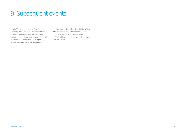## 9. Subsequent events

Law 2/2011 of 4 March on the *Sustainable Economy*, which amends Section 1 of Article 10 ter of Law 13/1985, on *investment ratios, capital and reporting requirements of financial intermediaries*, establishes a new reporting requirement relating to the remuneration

practices and policies of credit institutions. This information is available in the report on the remuneration policy of the Board of Directors of BBVA, which can be accessed via the website *www.bbva.com.*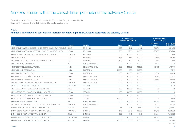## Annexes: Entities within the consolidation perimeter of the Solvency Circular

There follows a list of the entities that comprise the Consolidated Group determined by the Solvency Circular, according to their treatment for capital requirements:

#### Annex I

#### Additional information on consolidated subsidiaries composing the BBVA Group according to the Solvency Circular

|                                                                   |                |                           |               | % voting rights<br>controlled by the Bank |              |                          | (Thousand euros)<br>Subsidiary data |  |
|-------------------------------------------------------------------|----------------|---------------------------|---------------|-------------------------------------------|--------------|--------------------------|-------------------------------------|--|
| Company                                                           | Location       | Activity                  | <b>Direct</b> | Indirect                                  | <b>Total</b> | Net carrying<br>amount   | Assets as of<br>31-Dec-2010         |  |
| ADMINISTRADORA DE FONDOS DE PENSIONES PROVIDA, S.A. (AFP PROVIDA) | CHIL F         | PENSIONS                  | 12.70         | 51.62                                     | 64.32        | 299.781                  | 604.814                             |  |
| ADMINISTRADORA DE FONDOS PARA EL RETIRO - BANCOMER.S.A DE C.V.    | <b>MEXICO</b>  | <b>PENSIONS</b>           | 17.50         | 82.50                                     | 100.00       | 378,280                  | 253,580                             |  |
| AFP GÉNESIS ADMINISTRADORA DE FONDOS Y FIDEICOMISOS, S.A.         | <b>FCUADOR</b> | PENSIONS                  | 0.00          | 100.00                                    | 100.00       | 5.705                    | 9.911                               |  |
| AFP HORIZONTE, S.A.                                               | PERU           | PENSIONS                  | 24.85         | 75.15                                     | 100.00       | 57,956                   | 93,038                              |  |
| AFP PREVISIÓN BBV-ADM. DE FONDOS DE PENSIONES, S.A.               | <b>BOLIVIA</b> | PENSIONS                  | 75.00         | 5.00                                      | 80.00        | 2.063                    | 9.634                               |  |
| AMERICAN FINANCE GROUP. INC.                                      | U.S.           | <b>FINANCIAL SERVICES</b> | 0.00          | 100.00                                    | 100.00       | 15.599                   | 16,529                              |  |
| ANIDA DESARROLLOS SINGULARES, S.L.                                | <b>SPAIN</b>   | <b>REAL ESTATE INSTR.</b> | 0.00          | 100.00                                    | 100.00       | $-485,076$               | 1,613,790                           |  |
| ANIDA GRUPO INMOBILIARIO, S.L.                                    | <b>SPAIN</b>   | PORTFOLIO                 | 100.00        | 0.00                                      | 100.00       |                          | 186.112                             |  |
| ANIDA INMOBILIARIA, S.A. DE C.V.                                  | <b>MEXICO</b>  | PORTFOLIO                 | 0.00          | 100.00                                    | 100.00       | 106.704                  | 98.004                              |  |
| ANIDA INMUEBLES ESPAÑA Y PORTUGAL, S.L.                           | <b>SPAIN</b>   | <b>REAL ESTATE INSTR.</b> | 0.00          | 100.00                                    | 100.00       | $-11.543$                | 333.936                             |  |
| ANIDA OPERACIONES SINGULARES, S.L.                                | <b>SPAIN</b>   | <b>REAL ESTATE INSTR.</b> | 0.00          | 100.00                                    | 100.00       | $-436.849$               | 2.152.664                           |  |
| ANIDAPORT INVESTIMENTOS IMOBILIARIOS, UNIPESSOAL, LTDA.           | PORTUGAL       | <b>REAL ESTATE INSTR.</b> | 0.00          | 100.00                                    | 100.00       | $\overline{\phantom{a}}$ | 21,948                              |  |
| APLICA SOLUCIONES ARGENTINAS, S.A.                                | ARGENTINA      | <b>SERVICES</b>           | 0.00          | 100.00                                    | 100.00       | 1.399                    | 1.604                               |  |
| APLICA SOLUCIONES TECNOLÓGICAS CHILE LIMITADA                     | <b>CHILE</b>   | <b>SERVICES</b>           | 0.00          | 100.00                                    | 100.00       | $-76$                    | 431                                 |  |
| APLICA TECNOLOGÍA AVANZADA OPERADORA, S.A. DE C.V.                | <b>MFXICO</b>  | <b>SERVICES</b>           | 0.00          | 100.00                                    | 100.00       | 3                        | 3                                   |  |
| APLICA TECNOLOGÍA AVANZADA SERVICIOS, S.A. DE C.V.                | <b>MEXICO</b>  | <b>SERVICES</b>           | 0.00          | 100.00                                    | 100.00       | 3                        | 3                                   |  |
| APLICA TECNOLOGÍA AVANZADA, S.A. DE C.V.- ATA                     | <b>MEXICO</b>  | <b>SERVICES</b>           | 100.00        | 0.00                                      | 100.00       | $\overline{4}$           | 60.114                              |  |
| ARIZONA FINANCIAL PRODUCTS. INC.                                  | U.S.           | <b>FINANCIAL SERVICES</b> | 0.00          | 100.00                                    | 100.00       | 718.853                  | 721.440                             |  |
| AUTOMERCANTIL-COMERCIO E ALUGER DE VEICULOS AUTOM. LDA.           | PORTUGAL       | <b>FINANCIAL SERVICES</b> | 0.00          | 100.00                                    | 100.00       | 4.720                    | 45,950                              |  |
| BANCO BILBAO VIZCAYA ARGENTARIA (PANAMÁ), S.A.                    | PANAMA         | <b>BANKING</b>            | 54.11         | 44.81                                     | 98.92        | 19.464                   | 1.585.516                           |  |
| BANCO BILBAO VIZCAYA ARGENTARIA (PORTUGAL), S.A.                  | PORTUGAL       | <b>BANKING</b>            | 9.52          | 90.48                                     | 100.00       | 338.916                  | 8,094,054                           |  |
| BANCO BILBAO VIZCAYA ARGENTARIA CHILE, S.A.                       | CHILE          | <b>BANKING</b>            | 0.00          | 68.18                                     | 68.18        | 543.201                  | 11.637.734                          |  |
| BANCO BILBAO VIZCAYA ARGENTARIA PUERTO RICO S.A.                  | PUFRTO RICO    | <b>BANKING</b>            | 0.00          | 100.00                                    | 100.00       | 178.673                  | 3.614.532                           |  |
| BANCO BILBAO VIZCAYA ARGENTARIA URUGUAY, S.A.                     | <b>URUGUAY</b> | <b>BANKING</b>            | 100.00        | 0.00                                      | 100.00       | 17.049                   | 754,090                             |  |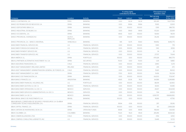|                                                                                                         |                                 |                           |               | % voting rights<br>controlled by the Bank |              | (Thousand euros)<br>Subsidiary data |                             |
|---------------------------------------------------------------------------------------------------------|---------------------------------|---------------------------|---------------|-------------------------------------------|--------------|-------------------------------------|-----------------------------|
| Company                                                                                                 | Location                        | <b>Activity</b>           | <b>Direct</b> | Indirect                                  | <b>Total</b> | Net carrying<br>amount              | Assets as of<br>31-Dec-2010 |
| <b>BANCO CONTINENTAL, S.A.</b>                                                                          | PERU                            | <b>BANKING</b>            | 0.00          | 92.24                                     | 92.24        | 835.381                             | 10,077,559                  |
| BANCO DE PROMOCIÓN DE NEGOCIOS, S.A.                                                                    | <b>SPAIN</b>                    | <b>BANKING</b>            | 0.00          | 99.84                                     | 99.84        | 15,165                              | 32,901                      |
| BANCO DEPOSITARIO BBVA, S.A.                                                                            | SPAIN                           | <b>BANKING</b>            | 0.00          | 100.00                                    | 100.00       | 1,595                               | 986.755                     |
| BANCO INDUSTRIAL DE BILBAO, S.A.                                                                        | <b>SPAIN</b>                    | <b>BANKING</b>            | 0.00          | 99.93                                     | 99.93        | 97,220                              | 212,691                     |
| BANCO OCCIDENTAL, S.A.                                                                                  | <b>SPAIN</b>                    | <b>BANKING</b>            | 49.43         | 50.57                                     | 100.00       | 16,464                              | 18,014                      |
| <b>BANCO PROVINCIAL OVERSEAS N.V.</b>                                                                   | <b>DUTCH</b><br><b>ANTILLES</b> | <b>BANKING</b>            | 0.00          | 100.00                                    | 100.00       | 35,236                              | 424,812                     |
| BANCO PROVINCIAL S.A. - BANCO UNIVERSAL                                                                 | VENEZUELA                       | <b>BANKING</b>            | 1.85          | 53.75                                     | 55.60        | 159.952                             | 8.492.775                   |
| <b>BANCOMER FINANCIAL SERVICES INC.</b>                                                                 | U.S.                            | <b>FINANCIAL SERVICES</b> | 0.00          | 100.00                                    | 100.00       | 1.930                               | 778                         |
| BANCOMER FOREIGN EXCHANGE INC.                                                                          | U.S.                            | <b>FINANCIAL SERVICES</b> | 0.00          | 100.00                                    | 100.00       | 7,412                               | 8,593                       |
| <b>BANCOMER PAYMENT SERVICES INC.</b>                                                                   | U.S.                            | <b>FINANCIAL SERVICES</b> | 0.00          | 100.00                                    | 100.00       | 34                                  | 22                          |
| <b>BANCOMER TRANSFER SERVICES. INC.</b>                                                                 | U.S.                            | <b>FINANCIAL SERVICES</b> | 0.00          | 100.00                                    | 100.00       | 27,707                              | 71.644                      |
| BBVA AMÉRICA, S.L.                                                                                      | <b>SPAIN</b>                    | <b>PORTFOLIO</b>          | 100.00        | 0.00                                      | 100.00       | 479.328                             | 880,779                     |
| BBVA & PARTNERS ALTERNATIVE INVESTMENT A.V., S.A.                                                       | <b>SPAIN</b>                    | <b>SECURITIES</b>         | 70.00         | 0.00                                      | 70.00        | 1,331                               | 9,880                       |
| BBVA ASESORIAS FINANCIERAS, S.A.                                                                        | CHILE                           | <b>FINANCIAL SERVICES</b> | 0.00          | 100.00                                    | 100.00       | 3.990                               | 5.374                       |
| BBVA ASSET MANAGEMENT (IRELAND) LIMITED                                                                 | <b>IRELAND</b>                  | <b>FINANCIAL SERVICES</b> | 0.00          | 100.00                                    | 100.00       | 245                                 | 270                         |
| BBVA ASSET MANAGEMENT ADMINISTRADORA GENERAL DE FONDOS, S.A.                                            | CHILE                           | <b>FINANCIAL SERVICES</b> | 0.00          | 100.00                                    | 100.00       | 15,821                              | 18,002                      |
| BBVA ASSET MANAGEMENT, S.A., SGIIC                                                                      | <b>SPAIN</b>                    | <b>FINANCIAL SERVICES</b> | 17.00         | 83.00                                     | 100.00       | 11,436                              | 152,334                     |
| BBVA BANCO DE FINANCIACIÓN, S.A.                                                                        | <b>SPAIN</b>                    | <b>BANKING</b>            | 0.00          | 100.00                                    | 100.00       | 64.200                              | 703.047                     |
| BBVA BANCO FRANCÉS, S.A.                                                                                | ARGENTINA                       | <b>BANKING</b>            | 45.65         | 30.36                                     | 76.01        | 64,589                              | 5,249,989                   |
| BBVA BANCOMER FINANCIAL HOLDINGS, INC.                                                                  | U.S.                            | <b>PORTFOLIO</b>          | 0.00          | 100.00                                    | 100.00       | 48,091                              | 42,900                      |
| BBVA BANCOMER GESTIÓN, S.A. DE C.V.                                                                     | <b>MEXICO</b>                   | <b>FINANCIAL SERVICES</b> | 0.00          | 100.00                                    | 100.00       | 30.613                              | 54.585                      |
| BBVA BANCOMER OPERADORA, S.A. DE C.V.                                                                   | <b>MEXICO</b>                   | <b>SERVICES</b>           | 0.00          | 100.00                                    | 100.00       | 41.407                              | 304.008                     |
| BBVA BANCOMER SERVICIOS ADMINISTRATIVOS, S.A. DE C.V.                                                   | <b>MEXICO</b>                   | <b>SERVICES</b>           | 0.00          | 100.00                                    | 100.00       | 534                                 | 24,503                      |
| BBVA BANCOMER, S.A. DE C.V.                                                                             | <b>MEXICO</b>                   | <b>BANKING</b>            | 0.00          | 100.00                                    | 100.00       | 6,561,797                           | 69,666,830                  |
| BBVA BRASIL BANCO DE INVESTIMENTO, S.A.                                                                 | <b>BRASIL</b>                   | <b>BANKING</b>            | 100.00        | 0.00                                      | 100.00       | 16.166                              | 47,756                      |
| BBVA BROKER, CORREDURÍA DE SEGUROS Y REASEGUROS, S.A. (Ex-BBVA<br>CORREDURÍA TÉCNICA ASEGURADORA, S.A.) | SPAIN                           | <b>FINANCIAL SERVICES</b> | 99.94         | 0.06                                      | 100.00       | 297                                 | 35.016                      |
| BBVA CAPITAL FINANCE, S.A.                                                                              | SPAIN                           | <b>FINANCIAL SERVICES</b> | 100.00        | 0.00                                      | 100.00       | 60                                  | 2.983.028                   |
| BBVA CARTERA DE INVERSIONES, SICAV, S.A.                                                                | <b>SPAIN</b>                    | OPEN-END FUNDS            | 99.99         | 0.00                                      | 99.99        | 118,444                             | 120,093                     |
| BBVA COLOMBIA, S.A.                                                                                     | COLOMBIA                        | <b>BANKING</b>            | 76.20         | 19.23                                     | 95.43        | 265,416                             | 8,634,332                   |
| BBVA COMERCIALIZADORA LTDA                                                                              | CHILE                           | <b>FINANCIAL SERVICES</b> | 0.00          | 100.00                                    | 100.00       | $-1,154$                            | 3.050                       |
| BBVA COMPASS CONSULTING & BENEFITS. INC.                                                                | U.S.                            | <b>FINANCIAL SERVICES</b> | 0.00          | 100.00                                    | 100.00       | 13.449                              | 13.723                      |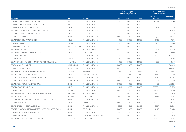|                                                              |                       |                           |               | % voting rights<br>controlled by the Bank |              |                        | (Thousand euros)<br>Subsidiary data |
|--------------------------------------------------------------|-----------------------|---------------------------|---------------|-------------------------------------------|--------------|------------------------|-------------------------------------|
| Company                                                      | Location              | <b>Activity</b>           | <b>Direct</b> | Indirect                                  | <b>Total</b> | Net carrying<br>amount | Assets as of<br>31-Dec-2010         |
| BBVA COMPASS INSURANCE AGENCY. INC                           | U.S.                  | <b>FINANCIAL SERVICES</b> | 0.00          | 100.00                                    | 100.00       | 146.614                | 155.943                             |
| BBVA COMPASS INVESTMENT SOLUTIONS, INC.                      | U.S.                  | <b>FINANCIAL SERVICES</b> | 0.00          | 100.00                                    | 100.00       | 51,158                 | 56,021                              |
| BBVA CONSULTING (BEIJING) LIMITED                            | CHINA                 | <b>FINANCIAL SERVICES</b> | 0.00          | 100.00                                    | 100.00       | 477                    | 683                                 |
| BBVA CORREDORA TÉCNICA DE SEGUROS LIMITADA                   | CHILE                 | <b>FINANCIAL SERVICES</b> | 0.00          | 100.00                                    | 100.00       | 13,377                 | 15.902                              |
| BBVA CORREDORES DE BOLSA LIMITADA                            | CHILE                 | <b>SECURITIES</b>         | 0.00          | 100.00                                    | 100.00       | 48,415                 | 573,180                             |
| BBVA DINERO EXPRESS, S.A.U.                                  | <b>SPAIN</b>          | <b>FINANCIAL SERVICES</b> | 100.00        | 0.00                                      | 100.00       | 2,186                  | 14,524                              |
| <b>BBVA FACTORING LIMITADA (CHILE)</b>                       | CHILE                 | <b>FINANCIAL SERVICES</b> | 0.00          | 100.00                                    | 100.00       | 6.765                  | 31,974                              |
| <b>BBVA FIDUCIARIA, S.A.</b>                                 | COLOMBIA              | <b>FINANCIAL SERVICES</b> | 0.00          | 100.00                                    | 100.00       | 23,453                 | 26,094                              |
| BBVA FINANCE (UK). LTD.                                      | UNITED KINGDOM        | <b>FINANCIAL SERVICES</b> | 0.00          | 100.00                                    | 100.00       | 3.324                  | 24.867                              |
| <b>BBVA FINANCE, S.p.A</b>                                   | <b>ITALY</b>          | <b>FINANCIAL SERVICES</b> | 100.00        | 0.00                                      | 100.00       | 4,648                  | 6,860                               |
| BBVA FINANCIAMIENTO AUTOMOTRIZ, S.A.                         | CHILE                 | PORTFOLIO                 | 0.00          | 100.00                                    | 100.00       | 145,494                | 145,529                             |
| BBVA FINANZIA, S.p.A                                         | <b>ITALY</b>          | <b>FINANCIAL SERVICES</b> | 50.00         | 50.00                                     | 100.00       | 29,200                 | 600,187                             |
| BBVA FUNDOS, S. Gestora Fundos Pensoes, S.A.                 | PORTUGAL              | <b>FINANCIAL SERVICES</b> | 0.00          | 100.00                                    | 100.00       | 998                    | 8,679                               |
| BBVA GEST, S.G. DE FUNDOS DE INVESTIMENTO MOBILIARIO, S.A.   | PORTUGAL              | <b>FINANCIAL SERVICES</b> | 0.00          | 100.00                                    | 100.00       | 998                    | 7,206                               |
| BBVA GLOBAL FINANCE LTD.                                     | <b>CAYMAN ISLANDS</b> | <b>FINANCIAL SERVICES</b> | 100.00        | 0.00                                      | 100.00       |                        | 688,846                             |
| BBVA GLOBAL MARKETS B.V.                                     | NETHERLAND            | <b>FINANCIAL SERVICES</b> | 100.00        | 0.00                                      | 100.00       | 18                     | 256.964                             |
| BBVA HORIZONTE PENSIONES Y CESANTÍAS, S.A.                   | COLOMBIA              | <b>PENSIONS</b>           | 78.52         | 21.44                                     | 99.96        | 62,061                 | 162,934                             |
| BBVA INMOBILIARIA E INVERSIONES, S.A.                        | <b>CHILE</b>          | <b>REAL ESTATE INSTR.</b> | 0.00          | 68.11                                     | 68.11        | 5.652                  | 44.049                              |
| BBVA INSTITUICAO FINANCEIRA DE CREDITO, S.A.                 | PORTUGAL              | <b>FINANCIAL SERVICES</b> | O.OO          | 100.00                                    | 100.00       | 33,148                 | 443,576                             |
| <b>BBVA INTERNATIONAL LIMITED</b>                            | CAYMAN ISI ANDS       | <b>FINANCIAL SERVICES</b> | 100.00        | 0.00                                      | 100.00       |                        | 503.692                             |
| BBVA INTERNATIONAL PREFERRED, S.A.U.                         | <b>SPAIN</b>          | <b>FINANCIAL SERVICES</b> | 100.00        | 0.00                                      | 100.00       | 60                     | 1,697,891                           |
| BBVA INVERSIONES CHILE, S.A.                                 | CHILE                 | <b>FINANCIAL SERVICES</b> | 61.22         | 38.78                                     | 100.00       | 580.584                | 1.254.723                           |
| <b>BBVA IRELAND PLC</b>                                      | <b>IRELAND</b>        | <b>FINANCIAL SERVICES</b> | 100.00        | 0.00                                      | 100.00       | 180.381                | 881,138                             |
| BBVA LEASIMO - SOCIEDADE DE LOCAÇÃO FINANCEIRA, S.A.         | PORTUGAL              | <b>FINANCIAL SERVICES</b> | 0.00          | 100.00                                    | 100.00       | 11,576                 | 28,620                              |
| BBVA LUXINVEST. S.A.                                         | <b>LUXEMBOURG</b>     | <b>PORTFOLIO</b>          | 36.00         | 64.00                                     | 100.00       | 255,843                | 1,477,238                           |
| BBVA MEDIACIÓN OPERADOR DE BANCA-SEGUROS VINCULADO, S.A.     | <b>SPAIN</b>          | <b>FINANCIAL SERVICES</b> | 0.00          | 100.00                                    | 100.00       | 60                     | 85,311                              |
| <b>BBVA PARAGUAY, S.A.</b>                                   | PARAGUAY              | <b>BANKING</b>            | 100.00        | 0.00                                      | 100.00       | 22.598                 | 1,121,259                           |
| BBVA PATRIMONIOS GESTORA SGIIC, S.A.                         | <b>SPAIN</b>          | <b>FINANCIAL SERVICES</b> | 99.98         | 0.02                                      | 100.00       | 3,907                  | 28,634                              |
| BBVA PENSIONES, S.A., ENTIDAD GESTORA DE FONDOS DE PENSIONES | <b>SPAIN</b>          | <b>PENSIONS</b>           | 100.00        | 0.00                                      | 100.00       | 12.922                 | 72.968                              |
| BBVA PLANIFICACIÓN PATRIMONIAL, S.L.                         | <b>SPAIN</b>          | <b>FINANCIAL SERVICES</b> | 80.00         | 20.00                                     | 100.00       | $\overline{1}$         | 502                                 |
| <b>BBVA PROPIEDAD F.I.I.</b>                                 | <b>SPAIN</b>          | REAL-ESTATE MUTUAL FUND   | 0.00          | 100.00                                    | 100.00       | 1.384.561              | 1.469.283                           |
| BBVA PUERTO RICO HOLDING CORPORATION                         | PUERTO RICO           | <b>PORTFOLIO</b>          | 100.00        | 0.00                                      | 100.00       | 322.837                | 179.048                             |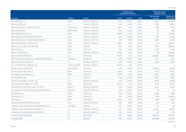|                                                   |                       |                           |               | % voting rights<br>controlled by the Bank |              | (Thousand euros)<br>Subsidiary data |                             |
|---------------------------------------------------|-----------------------|---------------------------|---------------|-------------------------------------------|--------------|-------------------------------------|-----------------------------|
| Company                                           | Location              | <b>Activity</b>           | <b>Direct</b> | Indirect                                  | <b>Total</b> | Net carrying<br>amount              | Assets as of<br>31-Dec-2010 |
| <b>BBVA RENTING, S.A.</b>                         | <b>SPAIN</b>          | <b>FINANCIAL SERVICES</b> | 0.00          | 100.00                                    | 100.00       | 20,976                              | 840,056                     |
| <b>BBVA SECURITIES INC.</b>                       | U.S.                  | <b>FINANCIAL SERVICES</b> | 0.00          | 100.00                                    | 100.00       | 41,796                              | 45,580                      |
| BBVA SECURITIES OF PUERTO RICO. INC.              | PUERTO RICO           | <b>FINANCIAL SERVICES</b> | 100.00        | 0.00                                      | 100.00       | 4,726                               | 6.963                       |
| <b>BBVA SEGUROS INC.</b>                          | PUERTO RICO           | <b>FINANCIAL SERVICES</b> | 0.00          | 100.00                                    | 100.00       | 187                                 | 5.459                       |
| BBVA SENIOR FINANCE, S.A.U.                       | <b>SPAIN</b>          | <b>FINANCIAL SERVICES</b> | 100.00        | 0.00                                      | 100.00       | 60                                  | 15,154,181                  |
| BBVA SERVICIOS CORPORATIVOS LIMITADA              | CHILE                 | <b>FINANCIAL SERVICES</b> | 0.00          | 100.00                                    | 100.00       | 1.297                               | 10,949                      |
| BBVA SOCIEDAD DE LEASING INMOBILIARIO, S.A.       | CHILE                 | <b>FINANCIAL SERVICES</b> | 0.00          | 97.49                                     | 97.49        | 15,901                              | 64,945                      |
| BBVA SUBORDINATED CAPITAL, S.A.U.                 | <b>SPAIN</b>          | <b>FINANCIAL SERVICES</b> | 100.00        | 0.00                                      | 100.00       | 130                                 | 3,434,727                   |
| BBVA SUIZA, S.A. (BBVA SWITZERLAND)               | <b>SUIZA</b>          | <b>BANKING</b>            | 39.72         | 60.28                                     | 100.00       | 58,107                              | 1,406,692                   |
| <b>BBVA TRADE, S.A.</b>                           | <b>SPAIN</b>          | <b>PORTFOLIO</b>          | 0.00          | 100.00                                    | 100.00       | 6.379                               | 21,274                      |
| BBVA U.S. SENIOR S.A.U.                           | SPAIN                 | <b>FINANCIAL SERVICES</b> | 100.00        | 0.00                                      | 100.00       | 169                                 | 898.687                     |
| BBVA USA BANCSHARES, INC.                         | U.S.                  | <b>PORTFOLIO</b>          | 100.00        | 0.00                                      | 100.00       | 9,268,740                           | 9,106,626                   |
| BBVA VALORES COLOMBIA, S.A. COMISIONISTA DE BOLSA | COLOMBIA              | <b>SECURITIES</b>         | 0.00          | 100.00                                    | 100.00       | 4.747                               | 9,330                       |
| BBVA WEALTH SOLUTIONS, INC.                       | U.S.                  | <b>FINANCIAL SERVICES</b> | 0.00          | 100.00                                    | 100.00       | 25,398                              | 25,990                      |
| <b>BCL INTERNATIONAL FINANCE, LTD.</b>            | <b>CAYMAN ISLANDS</b> | <b>FINANCIAL SERVICES</b> | 100.00        | 0.00                                      | 100.00       |                                     | $\overline{4}$              |
| BILBAO VIZCAYA AMÉRICA B.V.                       | NETHERLAND            | <b>PORTFOLIO</b>          | 0.00          | 100.00                                    | 100.00       | 746.000                             | 629.416                     |
| BILBAO VIZCAYA HOLDING, S.A.                      | <b>SPAIN</b>          | <b>PORTFOLIO</b>          | 89.00         | 11.00                                     | 100.00       | 34,771                              | 251,089                     |
| BLUE INDICO INVESTMENTS, S.L.                     | SPAIN                 | <b>PORTFOLIO</b>          | 100.00        | 0.00                                      | 100.00       | 49.106                              | 55.957                      |
| C B TRANSPORT, INC.                               | U.S.                  | <b>SERVICES</b>           | 0.00          | 100.00                                    | 100.00       | 12,427                              | 13,622                      |
| CAPITAL INVESTMENT COUNSEL. INC.                  | U.S.                  | <b>FINANCIAL SERVICES</b> | 0.00          | 100.00                                    | 100.00       | 22,807                              | 24,088                      |
| CARTERA E INVERSIONES, S.A., CÍA DE               | <b>SPAIN</b>          | <b>PORTFOLIO</b>          | 100.00        | 0.00                                      | 100.00       | 92,016                              | 253,247                     |
| CASA DE BOLSA BBVA BANCOMER, S.A. DE C.V.         | <b>MEXICO</b>         | <b>FINANCIAL SERVICES</b> | 0.00          | 100.00                                    | 100.00       | 77,423                              | 99.183                      |
| CÍA. GLOBAL DE MANDATOS Y REPRESENTACIONES, S.A.  | <b>URUGUAY</b>        | <b>FINANCIAL SERVICES</b> | 0.00          | 100.00                                    | 100.00       | 108                                 | 187                         |
| CIDESSA DOS. S.L.                                 | <b>SPAIN</b>          | <b>PORTFOLIO</b>          | 0.00          | 100.00                                    | 100.00       | 12.062                              | 12,183                      |
| CIDESSA UNO. S.L.                                 | SPAIN                 | <b>PORTFOLIO</b>          | 0.00          | 100.00                                    | 100.00       | 4,754                               | 898,460                     |
| CIERVANA, S.L.                                    | <b>SPAIN</b>          | <b>PORTFOLIO</b>          | 100.00        | 0.00                                      | 100.00       | 53,164                              | 70,156                      |
| COMERCIALIZADORA CORPORATIVA SAC                  | PERU                  | <b>FINANCIAL SERVICES</b> | 0.00          | 99.99                                     | 99.99        | 449                                 | 1.050                       |
| COMERCIALIZADORA DE SERVICIOS FINANCIEROS, S.A.   | COLOMBIA              | <b>SERVICES</b>           | 0.00          | 100.00                                    | 100.00       | 587                                 | 1,738                       |
| COMPASS ASSET ACCEPTANCE COMPANY, LLC             | U.S.                  | <b>FINANCIAL SERVICES</b> | 0.00          | 100.00                                    | 100.00       | 363.575                             | 363,575                     |
| COMPASS AUTO RECEIVABLES CORPORATION              | U.S.                  | <b>FINANCIAL SERVICES</b> | 0.00          | 100.00                                    | 100.00       | 3,125                               | 3,125                       |
| COMPASS BANCSHARES. INC.                          | U.S.                  | <b>PORTFOLIO</b>          | 0.00          | 100.00                                    | 100.00       | 9.083.594                           | 9,178,765                   |
| <b>COMPASS BANK</b>                               | U.S.                  | <b>BANKING</b>            | 0.00          | 100.00                                    | 100.00       | 9.049.899                           | 51.111.008                  |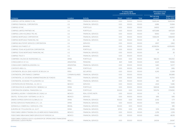|                                                                                              |                       |                           |               | % voting rights<br>controlled by the Bank |              | (Thousand euros)<br>Subsidiary data |                             |
|----------------------------------------------------------------------------------------------|-----------------------|---------------------------|---------------|-------------------------------------------|--------------|-------------------------------------|-----------------------------|
| Company                                                                                      | Location              | <b>Activity</b>           | <b>Direct</b> | Indirect                                  | <b>Total</b> | Net carrying<br>amount              | Assets as of<br>31-Dec-2010 |
| COMPASS CAPITAL MARKETS, INC.                                                                | U.S.                  | <b>FINANCIAL SERVICES</b> | 0.00          | 100.00                                    | 100.00       | 5,626,344                           | 5,626,344                   |
| COMPASS FINANCIAL CORPORATION                                                                | U.S.                  | <b>FINANCIAL SERVICES</b> | 0.00          | 100.00                                    | 100.00       | 6,886                               | 53,984                      |
| COMPASS GP, INC.                                                                             | U.S.                  | <b>PORTFOLIO</b>          | 0.00          | 100.00                                    | 100.00       | 34,802                              | 43,807                      |
| COMPASS LIMITED PARTNER. INC.                                                                | U.S.                  | <b>PORTFOLIO</b>          | 0.00          | 100.00                                    | 100.00       | 4.872.688                           | 4,873,129                   |
| COMPASS LOAN HOLDINGS TRS, INC.                                                              | U.S.                  | <b>FINANCIAL SERVICES</b> | 0.00          | 100.00                                    | 100.00       | 58,163                              | 60,101                      |
| COMPASS MORTGAGE CORPORATION                                                                 | U.S.                  | <b>FINANCIAL SERVICES</b> | 0.00          | 100.00                                    | 100.00       | 1,938,209                           | 1,938,459                   |
| COMPASS MORTGAGE FINANCING, INC.                                                             | U.S.                  | <b>FINANCIAL SERVICES</b> | 0.00          | 100.00                                    | 100.00       | 26                                  | 26                          |
| COMPASS MULTISTATE SERVICES CORPORATION                                                      | U.S.                  | <b>SERVICES</b>           | 0.00          | 100.00                                    | 100.00       | 2,807                               | 2,862                       |
| <b>COMPASS SOUTHWEST. LP</b>                                                                 | U.S.                  | <b>BANKING</b>            | 0.00          | 100.00                                    | 100.00       | 4,008,054                           | 4,008,406                   |
| COMPASS TEXAS ACQUISITION CORPORATION                                                        | U.S.                  | <b>PORTFOLIO</b>          | 0.00          | 100.00                                    | 100.00       | 1.694                               | 1,711                       |
| COMPASS TEXAS MORTGAGE FINANCING, INC.                                                       | U.S.                  | <b>FINANCIAL SERVICES</b> | 0.00          | 100.00                                    | 100.00       | 26                                  | 26                          |
| <b>COMPASS TRUST II</b>                                                                      | U.S.                  | <b>FINANCIAL SERVICES</b> | 0.00          | 100.00                                    | 100.00       |                                     | $\overline{1}$              |
| COMPAÑÍA CHILENA DE INVERSIONES, S.L.                                                        | <b>SPAIN</b>          | <b>PORTFOLIO</b>          | 100.00        | 0.00                                      | 100.00       | 580,313                             | 590,050                     |
| CONSOLIDAR A.F.J.P., S.A.                                                                    | <b>ARGENTINA</b>      | <b>PENSIONS</b>           | 46.11         | 53.89                                     | 100.00       | 4,025                               | 19.566                      |
| CONSOLIDAR COMERCIALIZADORA, S.A.                                                            | <b>ARGENTINA</b>      | <b>FINANCIAL SERVICES</b> | 0.00          | 100.00                                    | 100.00       | 1.440                               | 12,577                      |
| CONTENTS ÁREA, S.L.                                                                          | <b>SPAIN</b>          | <b>PORTFOLIO</b>          | 0.00          | 100.00                                    | 100.00       | 1.251                               | 1.456                       |
| CONTINENTAL BOLSA, SDAD, AGENTE DE BOLSA, S.A.                                               | PFRU                  | <b>SECURITIES</b>         | 0.00          | 100.00                                    | 100.00       | 6.243                               | 12.399                      |
| CONTINENTAL DPR FINANCE COMPANY                                                              | <b>CAYMAN ISLANDS</b> | <b>FINANCIAL SERVICES</b> | 0.00          | 100.00                                    | 100.00       | $\overline{\phantom{a}}$            | 350,885                     |
| CONTINENTAL S.A. SOCIEDAD ADMINISTRADORA DE FONDOS                                           | PERU                  | <b>FINANCIAL SERVICES</b> | 0.00          | 100.00                                    | 100.00       | 9,013                               | 10,700                      |
| CONTINENTAL SOCIEDAD TITULIZADORA, S.A.                                                      | PERU                  | <b>FINANCIAL SERVICES</b> | 0.00          | 100.00                                    | 100.00       | 440                                 | 467                         |
| CONTRATACIÓN DE PERSONAL, S.A. DE C.V.                                                       | <b>MEXICO</b>         | <b>SERVICES</b>           | 0.00          | 100.00                                    | 100.00       | 2.633                               | 11,486                      |
| CORPORACIÓN DE ALIMENTACIÓN Y BEBIDAS, S.A.                                                  | <b>SPAIN</b>          | <b>PORTFOLIO</b>          | 0.00          | 100.00                                    | 100.00       | 138.508                             | 164.685                     |
| CORPORACIÓN GENERAL FINANCIERA, S.A.                                                         | <b>SPAIN</b>          | <b>PORTFOLIO</b>          | 100.00        | 0.00                                      | 100.00       | 509,716                             | 1,704,190                   |
| DESARROLLADORA Y VENDEDORA DE CASAS, S.A.                                                    | <b>MEXICO</b>         | REAL ESTATE INSTR.        | 0.00          | 100.00                                    | 100.00       | 13                                  | 15                          |
| DESITEL TECNOLOGÍA Y SISTEMAS, S.A. DE C.V.                                                  | <b>MEXICO</b>         | <b>SERVICES</b>           | 0.00          | 100.00                                    | 100.00       | 1,616                               | 1,616                       |
| DINERO EXPRESS SERVICIOS GLOBALES, S.A.                                                      | <b>SPAIN</b>          | <b>FINANCIAL SERVICES</b> | 100.00        | 0.00                                      | 100.00       | 2.042                               | 1,771                       |
| ENTRE2 SERVICIOS FINANCIEROS, E.F.C., S.A.                                                   | <b>SPAIN</b>          | <b>FINANCIAL SERVICES</b> | 0.00          | 100.00                                    | 100.00       | 9,139                               | 9,515                       |
| ESPANHOLA COMERCIAL E SERVICOS, LTDA.                                                        | <b>BRASIL</b>         | <b>FINANCIAL SERVICES</b> | 100.00        | 0.00                                      | 100.00       |                                     | 985                         |
| EUROPEA DE TITULIZACIÓN, S.A., S.G.F.T.                                                      | <b>SPAIN</b>          | <b>FINANCIAL SERVICES</b> | 87.50         | 0.00                                      | 87.50        | 1.974                               | 23.916                      |
| FIDEICOMISO 28991-8 TRADING EN LOS MERCADOS FINANCIEROS                                      | <b>MEXICO</b>         | <b>FINANCIAL SERVICES</b> | 0.00          | 100.00                                    | 100.00       | 2,259                               | 2,259                       |
| FIDEICOMISO BBVA BANCOMER SERVICIOS Nº F/47433-8, S.A.                                       | <b>MEXICO</b>         | <b>FINANCIAL SERVICES</b> | 0.00          | 100.00                                    | 100.00       | 41.490                              | 48.139                      |
| FIDEICOMISO F/29763-O SOCIO LIQUIDADOR DE OPERACIONES FINANCIERAS<br>DERIVADAS CUENTA PROPIA | <b>MEXICO</b>         | <b>FINANCIAL SERVICES</b> | 0.00          | 100.00                                    | 100.00       | 24,506                              | 24.947                      |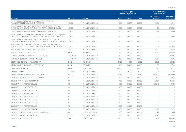|                                                                                                                                                  |                  |                           |               | % voting rights<br>controlled by the Bank | (Thousand euros)<br>Subsidiary data |                        |                             |
|--------------------------------------------------------------------------------------------------------------------------------------------------|------------------|---------------------------|---------------|-------------------------------------------|-------------------------------------|------------------------|-----------------------------|
| Company                                                                                                                                          | Location         | <b>Activity</b>           | <b>Direct</b> | Indirect                                  | <b>Total</b>                        | Net carrying<br>amount | Assets as of<br>31-Dec-2010 |
| FIDEICOMISO F/29764-8 SOCIO LIOUIDADOR DE OPERACIONES<br>FINANCIERAS DERIVADAS CUENTA TERCEROS                                                   | <b>MEXICO</b>    | <b>FINANCIAL SERVICES</b> | 0.00          | 100.00                                    | 100.00                              | 39.772                 | 40.540                      |
| FIDEICOMISO Nº. 847 EN BANCO INVEX, S.A., INSTITUCIÓN DE BANCA<br>MÚLTIPLE, INVEX GRUPO FINANCIERO, FIDUCIARIO (FIDEIC. 4ª EMISIÓN)              | <b>MEXICO</b>    | <b>FINANCIAL SERVICES</b> | 0.00          | 100.00                                    | 100.00                              | 29                     | 270,963                     |
| FIDEICOMISO Nº. 402900-5 ADMINISTRACIÓN DE INMUEBLES                                                                                             | <b>MEXICO</b>    | <b>FINANCIAL SERVICES</b> | 0.00          | 100.00                                    | 100.00                              | 2,522                  | 2,734                       |
| FIDEICOMISO Nº. 711, EN BANCO INVEX, S.A. INSTITUCIÓN DE BANCA MÚLTIPLE,<br>INVEX GRUPO FINANCIERO, FIDUCIARIO (FIDEICOMISO INVEX 1ª EMISIÓN)    | <b>MEXICO</b>    | <b>FINANCIAL SERVICES</b> | 0.00          | 100.00                                    | 100.00                              |                        | 111.196                     |
| FIDEICOMISO Nº. 752 EN BANCO INVEX. S.A., INSTITUCION DE BANCA<br>MÚLTIPLE, INVEX GRUPO FINANCIERO, FIDUCIARIO (FIDEIC, INVEX 2ª EMISIÓN) MEXICO |                  | <b>FINANCIAL SERVICES</b> | 0.00          | 100.00                                    | 100.00                              |                        | 51.183                      |
| FIDEICOMISO Nº. 781 EN BANCO INVEX. S.A., INSTITUCION DE BANCA<br>MÚLTIPLE, INVEX GRUPO FINANCIERO, FIDUCIARIO (FIDEIC. 3ª EMISIÓN)              | <b>MEXICO</b>    | <b>FINANCIAL SERVICES</b> | 0.00          | 100.00                                    | 100.00                              |                        | 295,754                     |
| FINANCIERA AYUDAMOS S.A. DE C.V., SOFOMER                                                                                                        | <b>MEXICO</b>    | <b>FINANCIAL SERVICES</b> | 0.00          | 100.00                                    | 100.00                              | 3,405                  | 7,428                       |
| FINANZIA, BANCO DE CRÉDITO, S.A.                                                                                                                 | <b>SPAIN</b>     | <b>BANKING</b>            | 0.00          | 100.00                                    | 100.00                              | 174,207                | 7,778,930                   |
| FRANCÉS ADMINISTRADORA DE INVERSIONES, S.A.                                                                                                      | ARGENTINA        | <b>FINANCIAL SERVICES</b> | 0.00          | 100.00                                    | 100.00                              | 7,118                  | 10,436                      |
| FRANCÉS VALORES SOCIEDAD DE BOLSA, S.A.                                                                                                          | <b>ARGENTINA</b> | <b>FINANCIAL SERVICES</b> | 0.00          | 100.00                                    | 100.00                              | 2.255                  | 3.686                       |
| GESTIÓN DE PREVISIÓN Y PENSIONES, S.A.                                                                                                           | <b>SPAIN</b>     | PENSIONS                  | 60.00         | 0.00                                      | 60.00                               | 8,830                  | 27,725                      |
| GESTIÓN Y ADMINISTRACIÓN DE RECIBOS, S.A.                                                                                                        | <b>SPAIN</b>     | <b>SFRVICES</b>           | 0.00          | 100.00                                    | 100.00                              | 150                    | 2.780                       |
| GRAN JORGE JUAN, S.A.                                                                                                                            | <b>SPAIN</b>     | <b>REAL ESTATE</b>        | 100.00        | 0.00                                      | 100.00                              | 110,115                | 515,862                     |
| <b>GRANFIDUCIARIA</b>                                                                                                                            | COLOMBIA         | <b>FINANCIAL SERVICES</b> | 0.00          | 90.00                                     | 90.00                               | $\sim$                 | 218                         |
| GRUPO FINANCIERO BBVA BANCOMER, S.A. DE C.V.                                                                                                     | <b>MEXICO</b>    | <b>FINANCIAL SERVICES</b> | 99.97         | 0.00                                      | 99.97                               | 6,677,124              | 7,580,999                   |
| <b>GUARANTY BUSINESS CREDIT CORPORATION</b>                                                                                                      | U.S.             | <b>FINANCIAL SERVICES</b> | 0.00          | 100.00                                    | 100.00                              | 27,132                 | 28,524                      |
| <b>GUARANTY PLUS HOLDING COMPANY</b>                                                                                                             | U.S.             | <b>FINANCIAL SERVICES</b> | 0.00          | 100.00                                    | 100.00                              | $-23.927$              | 45,646                      |
| <b>GUARANTY PLUS PROPERTIES LLC-2</b>                                                                                                            | U.S.             | <b>FINANCIAL SERVICES</b> | 0.00          | 100.00                                    | 100.00                              | 35.040                 | 35.193                      |
| <b>GUARANTY PLUS PROPERTIES LLC-3</b>                                                                                                            | U.S.             | <b>FINANCIAL SERVICES</b> | 0.00          | 100.00                                    | 100.00                              | $\mathbf{1}$           | $\mathbf{1}$                |
| <b>GUARANTY PLUS PROPERTIES LLC-4</b>                                                                                                            | U.S.             | <b>FINANCIAL SERVICES</b> | 0.00          | 100.00                                    | 100.00                              |                        | $\overline{1}$              |
| <b>GUARANTY PLUS PROPERTIES LLC-5</b>                                                                                                            | U.S.             | <b>FINANCIAL SERVICES</b> | 0.00          | 100.00                                    | 100.00                              |                        | $\overline{1}$              |
| <b>GUARANTY PLUS PROPERTIES LLC-6</b>                                                                                                            | U.S.             | <b>FINANCIAL SERVICES</b> | 0.00          | 100.00                                    | 100.00                              | 1                      | $\mathbf{1}$                |
| <b>GUARANTY PLUS PROPERTIES LLC-7</b>                                                                                                            | U.S.             | <b>FINANCIAL SERVICES</b> | 0.00          | 100.00                                    | 100.00                              |                        | $\mathbf{1}$                |
| <b>GUARANTY PLUS PROPERTIES LLC-8</b>                                                                                                            | U.S.             | <b>FINANCIAL SERVICES</b> | 0.00          | 100.00                                    | 100.00                              |                        | $\mathbf{1}$                |
| <b>GUARANTY PLUS PROPERTIES LLC-9</b>                                                                                                            | U.S.             | <b>FINANCIAL SERVICES</b> | 0.00          | 100.00                                    | 100.00                              |                        | $\overline{1}$              |
| <b>GUARANTY PLUS PROPERTIES. INC-1</b>                                                                                                           | U.S.             | <b>FINANCIAL SERVICES</b> | 0.00          | 100.00                                    | 100.00                              | 9.349                  | 9.351                       |
| HIPOTECARIA NACIONAL MEXICANA INCORPORATED                                                                                                       | U.S.             | REAL ESTATE INSTR.        | 0.00          | 100.00                                    | 100.00                              | 312                    | 408                         |
| HIPOTECARIA NACIONAL, S.A. DE C.V.                                                                                                               | <b>MEXICO</b>    | <b>FINANCIAL SERVICES</b> | 0.00          | 100.00                                    | 100.00                              | 58.701                 | 91.122                      |
| HOLDING CONTINENTAL, S.A.                                                                                                                        | PERU             | <b>PORTFOLIO</b>          | 50.00         | 0.00                                      | 50.00                               | 123.678                | 884.998                     |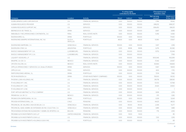|                                                              |                                 |                            | % voting rights<br>controlled by the Bank |          | (Thousand euros)<br>Subsidiary data |                        |                             |
|--------------------------------------------------------------|---------------------------------|----------------------------|-------------------------------------------|----------|-------------------------------------|------------------------|-----------------------------|
| Company                                                      | Location                        | <b>Activity</b>            | <b>Direct</b>                             | Indirect | <b>Total</b>                        | Net carrying<br>amount | Assets as of<br>31-Dec-2010 |
| HOMEOWNERS LOAN CORPORATION                                  | U.S.                            | <b>FINANCIAL SERVICES</b>  | 0.00                                      | 100.00   | 100.00                              | 7,786                  | 8,062                       |
| <b>HUMAN RESOURCES PROVIDER</b>                              | U.S.                            | <b>SERVICES</b>            | 0.00                                      | 100.00   | 100.00                              | 698.212                | 698.237                     |
| HUMAN RESOURCES SUPPORT. INC.                                | U.S.                            | <b>SERVICES</b>            | 0.00                                      | 100.00   | 100.00                              | 696.453                | 696,511                     |
| <b>IBERNEGOCIO DE TRADE, S.L.</b>                            | <b>SPAIN</b>                    | <b>SERVICES</b>            | 0.00                                      | 100.00   | 100.00                              | 3.687                  | 3.688                       |
| INMUEBLES Y RECUPERACIONES CONTINENTAL, S.A.                 | PERU                            | REAL ESTATE INSTR.         | 0.00                                      | 100.00   | 100.00                              | 5,392                  | 6,583                       |
| <b>INVERAHORRO, S.L.</b>                                     | <b>SPAIN</b>                    | <b>PORTFOLIO</b>           | 100.00                                    | 0.00     | 100.00                              | $\overline{a}$         | 77,630                      |
| <b>INVERSIONES BANPRO INTERNATIONAL INC. N.V.</b>            | <b>DUTCH</b><br><b>ANTILLES</b> | <b>PORTFOLIO</b>           | 48.00                                     | 0.00     | 48.00                               | 11.390                 | 37,837                      |
| <b>INVERSIONES BAPROBA, C.A.</b>                             | VENEZUELA                       | <b>FINANCIAL SERVICES</b>  | 100.00                                    | 0.00     | 100.00                              | 1.307                  | 1,258                       |
| <b>INVERSORA OTAR, S.A.</b>                                  | ARGENTINA                       | PORTEOLIO                  | 0.00                                      | 99.96    | 99.96                               | 3.276                  | 65.392                      |
| INVESCO MANAGEMENT Nº 1. S.A.                                | <b>LUXEMBOURG</b>               | <b>FINANCIAL SERVICES</b>  | 0.00                                      | 100.00   | 100.00                              | 9.753                  | 10.344                      |
| INVESCO MANAGEMENT Nº 2, S.A.                                | LUXEMBOURG                      | <b>FINANCIAL SERVICES</b>  | 0.00                                      | 100.00   | 100.00                              | $\overline{a}$         | 7,769                       |
| LIQUIDITY ADVISORS, L.P.                                     | U.S.                            | <b>FINANCIAL SERVICES</b>  | 0.00                                      | 100.00   | 100.00                              | 900,046                | 902,819                     |
| MISAPRE, S.A. DE C.V.                                        | <b>MEXICO</b>                   | <b>FINANCIAL SERVICES</b>  | 0.00                                      | 100.00   | 100.00                              | 17,342                 | 23,937                      |
| OPCIÓN VOLCÁN. S.A.                                          | <b>MEXICO</b>                   | REAL ESTATE INSTR.         | 0.00                                      | 100.00   | 100.00                              | 65,964                 | 69,684                      |
| OPPLUS OPERACIONES Y SERVICIOS, S.A. (Antes STURGES)         | <b>SPAIN</b>                    | <b>SERVICES</b>            | 100.00                                    | 0.00     | 100.00                              | 1,067                  | 19,109                      |
| OPPLUS S.A.C                                                 | PERU                            | <b>SERVICES</b>            | 0.00                                      | 100.00   | 100.00                              | 600                    | 1.710                       |
| PARTICIPACIONES ARENAL, S.L.                                 | <b>SPAIN</b>                    | <b>PORTFOLIO</b>           | 0.00                                      | 100.00   | 100.00                              | 7,574                  | 7,582                       |
| PECRI INVERSIÓN S.A                                          | <b>SPAIN</b>                    | OTHER INVESTMENT COMPANIES | 100.00                                    | 0.00     | 100.00                              | 78.500                 | 95,512                      |
| PHOENIX LOAN HOLDINGS. INC.                                  | U.S.                            | <b>FINANCIAL SERVICES</b>  | 0.00                                      | 100.00   | 100.00                              | 319.718                | 338,561                     |
| PI HOLDINGS Nº. 1, INC.                                      | U.S.                            | <b>FINANCIAL SERVICES</b>  | 0.00                                      | 100.00   | 100.00                              | 57,372                 | 57,768                      |
| PI HOLDINGS Nº. 3, INC.                                      | U.S.                            | <b>FINANCIAL SERVICES</b>  | 0.00                                      | 100.00   | 100.00                              | 21,423                 | 21,650                      |
| PI HOLDINGS Nº. 4, INC.                                      | U.S.                            | <b>FINANCIAL SERVICES</b>  | 0.00                                      | 100.00   | 100.00                              | $\overline{1}$         |                             |
| PORT ARTHUR ABSTRACT & TITLE COMPANY                         | U.S.                            | <b>FINANCIAL SERVICES</b>  | 0.00                                      | 100.00   | 100.00                              | 1.839                  | 2,176                       |
| PREMEXSA, S.A. DE C.V.                                       | <b>MEXICO</b>                   | <b>FINANCIAL SERVICES</b>  | 0.00                                      | 100.00   | 100.00                              | 375                    | 1,282                       |
| PROMOCIÓN EMPRESARIAL XX. S.A.                               | <b>SPAIN</b>                    | <b>PORTFOLIO</b>           | 100.00                                    | 0.00     | 100.00                              | 1.039                  | 12,641                      |
| PROVIDA INTERNACIONAL, S.A.                                  | <b>CHILE</b>                    | <b>PENSIONS</b>            | 0.00                                      | 100.00   | 100.00                              | 44,125                 | 48,133                      |
| PROVINCIAL DE VALORES CASA DE BOLSA, C.A.                    | VENEZUELA                       | <b>FINANCIAL SERVICES</b>  | 0.00                                      | 90.00    | 90.00                               | 2,344                  | 11,277                      |
| PROVINCIAL SDAD, ADMIN, DE ENTIDADES DE INV. COLECTIVA, C.A. | VENEZUELA                       | <b>FINANCIAL SERVICES</b>  | 0.00                                      | 100.00   | 100.00                              | 1.489                  | 1.488                       |
| PROVIVIENDA ENTIDAD RECAUDADORA Y ADMIN. DE APORTES, S.A.    | <b>BOLIVIA</b>                  | <b>PENSIONS</b>            | 0.00                                      | 100.00   | 100.00                              | 776                    | 2,913                       |
| PROXIMA ALFA INVESTMENTS (UK) LLP                            | UNITED KINGDOM                  | <b>FINANCIAL SERVICES</b>  | 0.00                                      | 51.00    | 51.00                               |                        | 85                          |
| PROXIMA ALFA INVESTMENTS (USA) LLC                           | U.S.                            | <b>FINANCIAL SERVICES</b>  | 0.00                                      | 100.00   | 100.00                              | 7,212                  | 1,293                       |
| PROXIMA ALFA INVESTMENTS HOLDINGS (USA) II INC.              | U.S.                            | <b>PORTFOLIO</b>           | 0.00                                      | 100.00   | 100.00                              | 72                     | 68                          |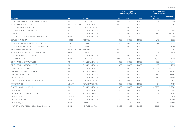|                                                      |                |                           | % voting rights<br>controlled by the Bank |          |              | (Thousand euros)<br>Subsidiary data |                             |
|------------------------------------------------------|----------------|---------------------------|-------------------------------------------|----------|--------------|-------------------------------------|-----------------------------|
| Company                                              | Location       | <b>Activity</b>           | <b>Direct</b>                             | Indirect | <b>Total</b> | Net carrying<br>amount              | Assets as of<br>31-Dec-2010 |
| PROXIMA ALFA INVESTMENTS HOLDINGS (USA) INC.         | U.S.           | PORTEOLIO                 | 100.00                                    | 0.00     | 100.00       | 72                                  | 7,216                       |
| PROXIMA ALFA SERVICES LTD.                           | UNITED KINGDOM | FINANCIAL SERVICES        | 100.00                                    | 0.00     | 100.00       | 105                                 | 2.342                       |
| RIVER OAKS BANK BUILDING, INC.                       | U.S.           | REAL ESTATE INSTR.        | 0.00                                      | 100.00   | 100.00       | 24,530                              | 29,231                      |
| RIVERWAY HOLDINGS CAPITAL TRUST I                    | U.S.           | <b>FINANCIAL SERVICES</b> | 0.00                                      | 100.00   | 100.00       | 233                                 | 7,765                       |
| RWHC. INC.                                           | U.S.           | <b>FINANCIAL SERVICES</b> | 0.00                                      | 100.00   | 100.00       | 542,101                             | 542,734                     |
| S. GESTORA FONDO PUBL. REGUL. MERCADO HIPOT.         | <b>SPAIN</b>   | <b>FINANCIAL SERVICES</b> | 77.20                                     | 0.00     | 77.20        | 138                                 | 213                         |
| SCALDIS FINANCE, S.A.                                | <b>BELGICA</b> | <b>PORTFOLIO</b>          | 0.00                                      | 100.00   | 100.00       | 3.416                               | 3,652                       |
| SERVICIOS CORPORATIVOS BANCOMER, S.A. DE C.V.        | <b>MEXICO</b>  | <b>SERVICES</b>           | 0.00                                      | 100.00   | 100.00       | 317                                 | 2.501                       |
| SERVICIOS EXTERNOS DE APOYO EMPRESARIAL, S.A DE C.V. | <b>MEXICO</b>  | <b>SERVICES</b>           | 0.00                                      | 100.00   | 100.00       | 3,603                               | 5,266                       |
| SMARTSPREAD LIMITED (UK)                             | UNITED KINGDOM | <b>SERVICES</b>           | 100.00                                    | 0.00     | 100.00       | $\overline{1}$                      | 137                         |
| SOCIEDAD DE ESTUDIOS Y ANÁLISIS FINANCIERO, S.A.     | <b>SPAIN</b>   | COMERCIAL                 | 100.00                                    | 0.00     | 100.00       | 114.518                             | 193.810                     |
| SOUTHEAST TEXAS TITLE COMPANY                        | U.S.           | <b>FINANCIAL SERVICES</b> | 0.00                                      | 100.00   | 100.00       | 529                                 | 727                         |
| SPORT CLUB 18, S.A.                                  | <b>SPAIN</b>   | <b>PORTFOLIO</b>          | 100.00                                    | 0.00     | 100.00       | 23,412                              | 53,093                      |
| STATE NATIONAL CAPITAL TRUST I                       | U.S.           | <b>FINANCIAL SERVICES</b> | 0.00                                      | 100.00   | 100.00       | 352                                 | 11,580                      |
| STATE NATIONAL STATUTORY TRUST II                    | U.S.           | <b>FINANCIAL SERVICES</b> | 0.00                                      | 100.00   | 100.00       | 233                                 | 7,725                       |
| TEXAS LOAN SERVICES, LP.                             | U.S.           | <b>FINANCIAL SERVICES</b> | 0.00                                      | 100.00   | 100.00       | 894.559                             | 895,031                     |
| <b>TEXAS REGIONAL STATUTORY TRUST I</b>              | U.S.           | <b>FINANCIAL SERVICES</b> | 0.00                                      | 100.00   | 100.00       | 1.159                               | 38,627                      |
| TEXASBANC CAPITAL TRUST I                            | U.S.           | <b>FINANCIAL SERVICES</b> | 0.00                                      | 100.00   | 100.00       | 582                                 | 19.396                      |
| TMF HOLDING INC.                                     | U.S.           | <b>FINANCIAL SERVICES</b> | 0.00                                      | 100.00   | 100.00       | 7,601                               | 10,388                      |
| TRAINER PRO GESTIÓN DE ACTIVIDADES, S.A.             | <b>SPAIN</b>   | REAL ESTATE INSTR.        | 0.00                                      | 100.00   | 100.00       | 2.886                               | 2,931                       |
| <b>TRANSITORY CO.</b>                                | PANAMA         | <b>REAL ESTATE INSTR.</b> | 0.00                                      | 100.00   | 100.00       | 124                                 | 1.435                       |
| TUCSON LOAN HOLDINGS, INC.                           | U.S.           | <b>FINANCIAL SERVICES</b> | 0.00                                      | 100.00   | 100.00       | 345,706                             | 345,789                     |
| TWOENC, INC.                                         | U.S.           | <b>FINANCIAL SERVICES</b> | 0.00                                      | 100.00   | 100.00       | $-1.164$                            | 1.117                       |
| UNIDAD DE AVALUOS MÉXICO, S.A. DE CV                 | <b>MEXICO</b>  | <b>FINANCIAL SERVICES</b> | 0.00                                      | 100.00   | 100.00       | 1.918                               | 3.533                       |
| UNIVERSALIDAD "E5"                                   | COLOMBIA       | <b>FINANCIAL SERVICES</b> | 0.00                                      | 100.00   | 100.00       | $\overline{\phantom{a}}$            | 3,250                       |
| UNIVERSALIDAD TIPS PESOS E-9                         | COLOMBIA       | <b>FINANCIAL SERVICES</b> | 0.00                                      | 100.00   | 100.00       | $\sim$                              | 94.309                      |
| UNO-E BANK, S.A.                                     | <b>SPAIN</b>   | <b>BANKING</b>            | 67.35                                     | 32.65    | 100.00       | 174.751                             | 1.361.488                   |
| VALANZA CAPITAL RIESGO S.G.E.C.R. S.A. UNIPERSONAL   | <b>SPAIN</b>   | <b>VENTURE CAPITAL</b>    | 100.00                                    | 0.00     | 100.00       | 1,200                               | 16,026                      |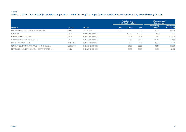#### Annex II

Additional information on jointly-controlled companies accounted for using the proportionate consolidation method according to the Solvency Circular

|                                                     |              |                           |               | % voting rights<br>controlled by the Bank |              | (Thousand euros)<br>Subsidiary data |                             |
|-----------------------------------------------------|--------------|---------------------------|---------------|-------------------------------------------|--------------|-------------------------------------|-----------------------------|
| Company                                             | Location     | Activity                  | <b>Direct</b> | Indirect                                  | <b>Total</b> | Net carrying<br>amount              | Assets as of<br>31-Dec-2010 |
| ALTURA MARKETS. SOCIEDAD DE VALORES, S.A.           | <b>SPAIN</b> | <b>SECURITIES</b>         | 50.00         |                                           | 50.00        | 12.600                              | 1.038.431                   |
| ECASA, S.A.                                         | CHILE        | <b>FINANCIAL SERVICES</b> |               | 100.00                                    | 100.00       | 5.515                               | 7.102                       |
| FÓRUM DISTRIBUIDORA, S.A.                           | CHILE        | FINANCIAL SERVICES        |               | 51.04                                     | 51.04        | 7.480                               | 107.008                     |
| FÓRUM SERVICIOS FINANCIEROS, S.A.                   | CHILE        | FINANCIAL SERVICES        |               | 51.00                                     | 51.00        | 56.493                              | 719.366                     |
| <b>INVERSIONES PLATCO, C.A.</b>                     | VENEZUELA    | <b>FINANCIAL SERVICES</b> |               | 50.00                                     | 50.00        | 11.832                              | 26.803                      |
| PSA FINANCE ARGENTINA COMPAÑÍA FINANCIERA, S.A.     | ARGENTINA    | <b>FINANCIAL SERVICES</b> |               | 50.00                                     | 50.00        | 12.451                              | 137.358                     |
| RENTRUCKS, ALOUILER Y SERVICIOS DE TRANSPORTE, S.A. | <b>SPAIN</b> | <b>FINANCIAL SERVICES</b> |               | 50.00                                     | 50.00        | 3.959                               | 42.281                      |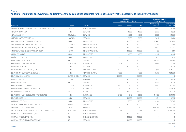#### Annex III

Additional information on investments and jointly-controlled companies accounted for using the equity method according to the Solvency Circular

|                                                     |                  |                           |               | % voting rights<br>controlled by the Bank |              | (Thousand euros)<br>Subsidiary data |                             |
|-----------------------------------------------------|------------------|---------------------------|---------------|-------------------------------------------|--------------|-------------------------------------|-----------------------------|
| Company                                             | Location         | Activity                  | <b>Direct</b> | Indirect                                  | <b>Total</b> | Net carrying<br>amount              | Assets as of<br>31-Dec-2010 |
| ADMINISTRADORA DE FONDOS DE CESANTIA DE CHILE, S.A. | CHILE            | <b>FINANCIAL SERVICES</b> |               | 37.80                                     | 37.80        | 5.460                               | 15,263                      |
| ADOUIRA ESPAÑA, S.A.                                | <b>SPAIN</b>     | <b>SERVICES</b>           |               | 40.00                                     | 40.00        | 2.037                               | 17,162                      |
| AI MAGRARIO, S.A.                                   | COI OMBIA        | <b>SFRVICES</b>           |               | 35.38                                     | 35.38        | 3,956                               | 31,858                      |
| ALTITUDE SOFTWARE SGPS. S.A.                        | PORTUGAL         | <b>SERVICES</b>           |               | 30.00                                     | 30.00        | 9.842                               | 18.619                      |
| ANIDA DESARROLLOS INMOBILIARIOS, S.L.               | <b>SPAIN</b>     | <b>REAL ESTATE</b>        |               | 100.00                                    | 100.00       | 264,143                             | 570,278                     |
| ANIDA GERMANIA IMMOBILIEN ONE, GMBH                 | ALEMANIA         | REAL ESTATE INSTR.        |               | 100.00                                    | 100.00       | 4,358                               | 20,130                      |
| ANIDA PROYECTOS INMOBILIARIOS, S.A. DE C.V.         | <b>MEXICO</b>    | <b>REAL ESTATE INSTR.</b> |               | 100.00                                    | 100.00       | 97,027                              | 143,976                     |
| ANIDA SERVICIOS INMOBILIARIOS, S.A. DE C.V.         | <b>MEXICO</b>    | REAL ESTATE INSTR.        |               | 100.00                                    | 100.00       | 499                                 | 919                         |
| ÁUREA, S.A. (CUBA)                                  | <b>CUBA</b>      | REAL ESTATE               |               | 49.00                                     | 49.00        | 3,922                               | 8,421                       |
| <b>BAHÍA SUR RESORT, S.C.</b>                       | <b>SPAIN</b>     | <b>REAL ESTATE</b>        | 99.95         |                                           | 99.95        | 1.436                               | 1.438                       |
| BBVA AUTORENTING, S.p.A.                            | <b>ITALY</b>     | <b>SERVICES</b>           |               | 100.00                                    | 100.00       | 66.793                              | 314,830                     |
| BBVA CONSOLIDAR SEGUROS, S.A.                       | <b>ARGENTINA</b> | <b>INSURANCE</b>          | 87.78         | 12.22                                     | 100.00       | 6,496                               | 48,124                      |
| BBVA CONSULTORÍA, S.A.                              | <b>SPAIN</b>     | <b>SFRVICES</b>           |               | 100.00                                    | 100.00       | 2,227                               | 4,257                       |
| BBVA ELCANO EMPRESARIAL II. S.C.R., S.A.            | <b>SPAIN</b>     | <b>VENTURE CAPITAL</b>    | 45.00         |                                           | 45.00        | 37,491                              | 104.885                     |
| BBVA ELCANO EMPRESARIAL, S.C.R., S.A.               | <b>SPAIN</b>     | <b>VENTURE CAPITAL</b>    | 45.00         |                                           | 45.00        | 37,487                              | 104,958                     |
| <b>BBVA NOMINEES LIMITED</b>                        | UNITED KINGDOM   | <b>SERVICES</b>           | 100.00        |                                           | 100.00       | $\sim$                              |                             |
| <b>BBVA RE LIMITED</b>                              | <b>IRELAND</b>   | <b>INSURANCE</b>          |               | 100.00                                    | 100.00       | 656                                 | 67.631                      |
| <b>BBVA RENTING, S.p.A</b>                          | <b>ITALY</b>     | <b>SERVICES</b>           |               | 100.00                                    | 100.00       | 8,453                               | 56,154                      |
| BBVA SEGUROS COLOMBIA, S.A.                         | COLOMBIA         | <b>INSURANCE</b>          | 94.00         | 6.00                                      | 100.00       | 9,490                               | 42,797                      |
| BBVA SEGUROS DE VIDA COLOMBIA, S.A.                 | COLOMBIA         | <b>INSURANCE</b>          | 94.00         | 6.00                                      | 100.00       | 13.242                              | 329.602                     |
| BBVA SEGUROS DE VIDA, S.A.                          | CHILE            | <b>INSURANCE</b>          |               | 100.00                                    | 100.00       | 56,178                              | 397,262                     |
| BBVA SEGUROS, S.A. DE SEGUROS Y REASEGUROS          | <b>SPAIN</b>     | <b>INSURANCE</b>          | 94.30         | 5.65                                      | 99.95        | 414,659                             | 10,913,118                  |
| <b>BBVA SERVICIOS, S.A.</b>                         | <b>SPAIN</b>     | <b>SERVICES</b>           |               | 100.00                                    | 100.00       | 354                                 | 10,791                      |
| CAMARATE GOLF, S.A.                                 | <b>SPAIN</b>     | REAL ESTATE               |               | 26.00                                     | 26.00        | 4,091                               | 39,396                      |
| CASA DE CAMBIO MULTIDIVISAS, S.A. DE C.V.           | <b>MEXICO</b>    | <b>SERVICES</b>           |               | 100.00                                    | 100.00       | 171                                 | 170                         |
| CHINA CITIC BANK LIMITED CNCB                       | <b>CHINA</b>     | <b>BANKING</b>            | 15.00         |                                           | 15.00        | 3,557,759                           | 180.608.192                 |
| CITIC INTERNATIONAL FINANCIAL HOLDINGS LIMITED CIFH | <b>HONG KONG</b> | <b>FINANCIAL SERVICES</b> | 29.68         |                                           | 29.68        | 464,339                             | 11,063,029                  |
| COMPASS CUSTODIAL SERVICES, INC.                    | U.S.             | <b>FINANCIAL SERVICES</b> |               | 100.00                                    | 100.00       |                                     |                             |
| COMPASS INVESTMENTS, INC.                           | U.S.             | <b>FINANCIAL SERVICES</b> |               | 100.00                                    | 100.00       |                                     | $\overline{1}$              |
| COMPASS WEALTH MANAGERS COMPANY                     | U.S.             | <b>SERVICES</b>           |               | 100.00                                    | 100.00       |                                     | $\overline{1}$              |

*<sup>(</sup>Continued)*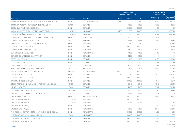|                                                           | Location         | Activity                  |               | % voting rights<br>controlled by the Bank |              |                        | (Thousand euros)<br>Subsidiary data |  |
|-----------------------------------------------------------|------------------|---------------------------|---------------|-------------------------------------------|--------------|------------------------|-------------------------------------|--|
| Company                                                   |                  |                           | <b>Direct</b> | Indirect                                  | <b>Total</b> | Net carrying<br>amount | Assets as of<br>31-Dec-2010         |  |
| COMPAÑÍA ESPAÑOLA DE FINANCIACIÓN DEL DESARROLLO, S.A.    | <b>SPAIN</b>     | <b>FINANCIAL SERVICES</b> | 21.82         |                                           | 21.82        | 14,413                 | 61,967                              |  |
| COMPAÑÍA MEXICANA DE PROCESAMIENTO, S.A. DE C.V.          | <b>MEXICO</b>    | <b>SERVICES</b>           |               | 50.00                                     | 50.00        | 4,706                  | 8,854                               |  |
| COMUNIDAD FINANCIERA ÍNDICO, S.L.                         | <b>SPAIN</b>     | <b>SERVICES</b>           |               | 100.00                                    | 100.00       | 69                     | 62                                  |  |
| CONSOLIDAR ASEGURADORA DE RIESGOS DEL TRABAJO, S.A        | <b>ARGENTINA</b> | <b>INSURANCE</b>          | 87.50         | 12.50                                     | 100.00       | 29,434                 | 237,856                             |  |
| CONSOLIDAR CÍA. DE SEGUROS DE RETIRO, S.A.                | ARGENTINA        | <b>INSURANCE</b>          | 33.79         | 66.21                                     | 100.00       | 32,612                 | 608,698                             |  |
| CORPORACIÓN IBV PARTICIPACIONES EMPRESARIALES, S.A.       | <b>SPAIN</b>     | PORTFOLIO                 |               | 50.00                                     | 50.00        | 71.027                 | 808.482                             |  |
| CORPORATIVO VITAMÉDICA, S.A. DE C.V.                      | <b>MEXICO</b>    | <b>SERVICES</b>           |               | 99.98                                     | 99.98        | 2,586                  | 9.833                               |  |
| DESARROLLO URBANISTICO DE CHAMARTIN, S.A.                 | <b>SPAIN</b>     | REAL ESTATE               |               | 72.50                                     | 72.50        | 52,210                 | 91,653                              |  |
| ECONTA GESTIÓN INTEGRAL, S.L.                             | <b>SPAIN</b>     | <b>SERVICES</b>           |               | 100.00                                    | 100.00       | 372                    | 1,829                               |  |
| EL ENCINAR METROPOLITANO, S.A.                            | <b>SPAIN</b>     | REAL ESTATE               |               | 99.01                                     | 99.01        | 6,253                  | 7,240                               |  |
| EL OASIS DE LAS RAMBLAS, S.L.                             | <b>SPAIN</b>     | REAL ESTATE               |               | 70.00                                     | 70.00        | 167                    | 473                                 |  |
| ESTACIÓN DE AUTOBUSES CHAMARTÍN, S.A.                     | <b>SPAIN</b>     | <b>SERVICES</b>           |               | 51.00                                     | 51.00        | 31                     | 30                                  |  |
| FERROMÓVIL 3000, S.L.                                     | <b>SPAIN</b>     | <b>SERVICES</b>           |               | 20.00                                     | 20.00        | 6,275                  | 649,334                             |  |
| FERROMÓVIL 9000, S.L.                                     | <b>SPAIN</b>     | <b>SERVICES</b>           |               | 20.00                                     | 20.00        | 4,614                  | 413,798                             |  |
| FIDEICOMISO F/70191-2 PUEBLA                              | <b>MEXICO</b>    | <b>REAL ESTATE</b>        |               | 25.00                                     | 25.00        | 5.017                  | 44.360                              |  |
| FIDEICOMISO HARES BBVA BANCOMER F/47997-2                 | <b>MEXICO</b>    | <b>REAL ESTATE</b>        |               | 80.91                                     | 80.91        | 28,371                 | 35,433                              |  |
| FINANCEIRA DO COMERCIO EXTERIOR, S.A.R.                   | PORTUGAL         | <b>FINANCIAL SERVICES</b> | 100.00        |                                           | 100.00       | 51                     | 35                                  |  |
| FINANZIA AUTORENTING, S.A.                                | <b>SPAIN</b>     | <b>SERVICES</b>           | 27.13         | 72.87                                     | 100.00       | 49,879                 | 540,085                             |  |
| FUTURO FAMILIAR, S.A. DE C.V.                             | <b>MEXICO</b>    | <b>SERVICES</b>           |               | 100.00                                    | 100.00       | 439                    | 1,176                               |  |
| GOBERNALIA GLOBAL NET, S.A.                               | <b>SPAIN</b>     | <b>SERVICES</b>           |               | 100.00                                    | 100.00       | 947                    | 2,977                               |  |
| GRUPO PROFESIONAL PLANEACIÓN Y PROYECTOS, S.A. DE C.V.    | <b>MEXICO</b>    | <b>SERVICES</b>           |               | 58.40                                     | 58.40        | 4,049                  | 23,913                              |  |
| I+D MÉXICO, S.A. DE C.V.                                  | <b>MEXICO</b>    | <b>SERVICES</b>           |               | 50.00                                     | 50.00        | 22,127                 | 70,158                              |  |
| IMOBILIARIA DUQUE D'AVILA, S.A.                           | PORTUGAL         | REAL ESTATE               |               | 50.00                                     | 50.00        | 5,346                  | 24,149                              |  |
| INGENIERIA EMPRESARIAL MULTIBA, S.A. DE C.V.              | <b>MEXICO</b>    | <b>SERVICES</b>           |               | 99.99                                     | 99.99        |                        |                                     |  |
| INMOBILIARIA BILBAO, S.A.                                 | <b>SPAIN</b>     | <b>REAL ESTATE INSTR.</b> |               | 100.00                                    | 100.00       | 3.842                  | 3.847                               |  |
| INVERSIONES ALDAMA, C.A.                                  | VENEZUELA        | <b>REAL ESTATE</b>        |               | 100.00                                    | 100.00       |                        |                                     |  |
| <b>INVERSIONES P.H.R.4, C.A.</b>                          | VENEZUELA        | REAL ESTATE               |               | 60.46                                     | 60.46        |                        | 26                                  |  |
| JARDINES DE SARRIENA, S.L.                                | <b>SPAIN</b>     | REAL ESTATE               |               | 85.00                                     | 85.00        | 255                    | 457                                 |  |
| LAS PEDRAZAS GOLF, S.L.                                   | <b>SPAIN</b>     | <b>REAL ESTATE</b>        |               | 50.00                                     | 50.00        | 9,647                  | 66,286                              |  |
| MEDITERRANIA DE PROMOCIONS I GESTIONS INMOBILIARIES, S.A. | <b>SPAIN</b>     | <b>REAL ESTATE</b>        |               | 100.00                                    | 100.00       | 1,189                  | 1,251                               |  |
| MULTIASISTENCIA OPERADORA, S.A. DE C.V.                   | <b>MEXICO</b>    | <b>INSURANCE</b>          |               | 100.00                                    | 100.00       | 121                    | 877                                 |  |
| MULTIASISTENCIA SERVICIOS, S.A. DE C.V.                   | <b>MEXICO</b>    | <b>INSURANCE</b>          |               | 100.00                                    | 100.00       | 381                    | 1,971                               |  |
| MULTIASISTENCIA, S.A. DE C.V.                             | <b>MEXICO</b>    | <b>INSURANCE</b>          |               | 100.00                                    | 100.00       | 16.913                 | 25.983                              |  |